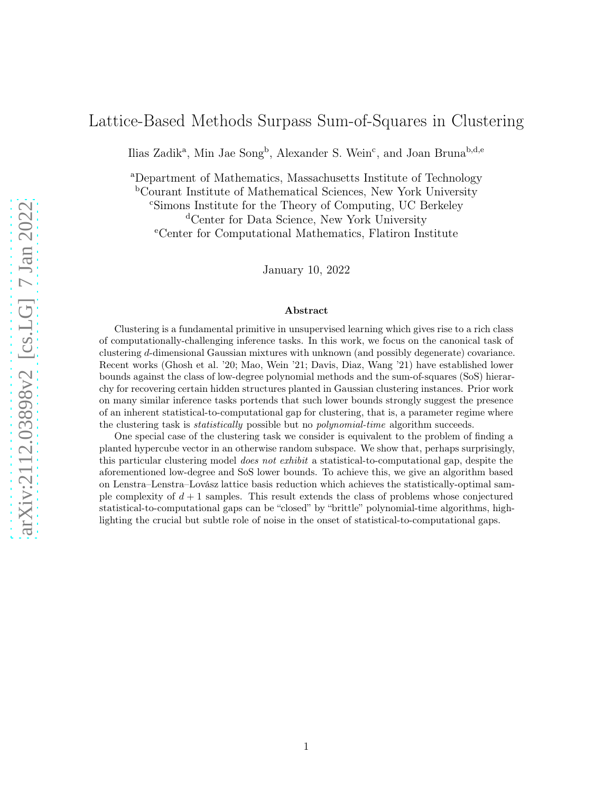## Lattice-Based Methods Surpass Sum-of-Squares in Clustering

Ilias Zadik<sup>a</sup>, Min Jae Song<sup>b</sup>, Alexander S. Wein<sup>c</sup>, and Joan Bruna<sup>b,d,e</sup>

<sup>a</sup>Department of Mathematics, Massachusetts Institute of Technology

<sup>b</sup>Courant Institute of Mathematical Sciences, New York University

<sup>c</sup>Simons Institute for the Theory of Computing, UC Berkeley

<sup>d</sup>Center for Data Science, New York University

<sup>e</sup>Center for Computational Mathematics, Flatiron Institute

January 10, 2022

#### Abstract

Clustering is a fundamental primitive in unsupervised learning which gives rise to a rich class of computationally-challenging inference tasks. In this work, we focus on the canonical task of clustering d-dimensional Gaussian mixtures with unknown (and possibly degenerate) covariance. Recent works (Ghosh et al. '20; Mao, Wein '21; Davis, Diaz, Wang '21) have established lower bounds against the class of low-degree polynomial methods and the sum-of-squares (SoS) hierarchy for recovering certain hidden structures planted in Gaussian clustering instances. Prior work on many similar inference tasks portends that such lower bounds strongly suggest the presence of an inherent statistical-to-computational gap for clustering, that is, a parameter regime where the clustering task is statistically possible but no polynomial-time algorithm succeeds.

One special case of the clustering task we consider is equivalent to the problem of finding a planted hypercube vector in an otherwise random subspace. We show that, perhaps surprisingly, this particular clustering model does not exhibit a statistical-to-computational gap, despite the aforementioned low-degree and SoS lower bounds. To achieve this, we give an algorithm based on Lenstra–Lenstra–Lovász lattice basis reduction which achieves the statistically-optimal sample complexity of  $d+1$  samples. This result extends the class of problems whose conjectured statistical-to-computational gaps can be "closed" by "brittle" polynomial-time algorithms, highlighting the crucial but subtle role of noise in the onset of statistical-to-computational gaps.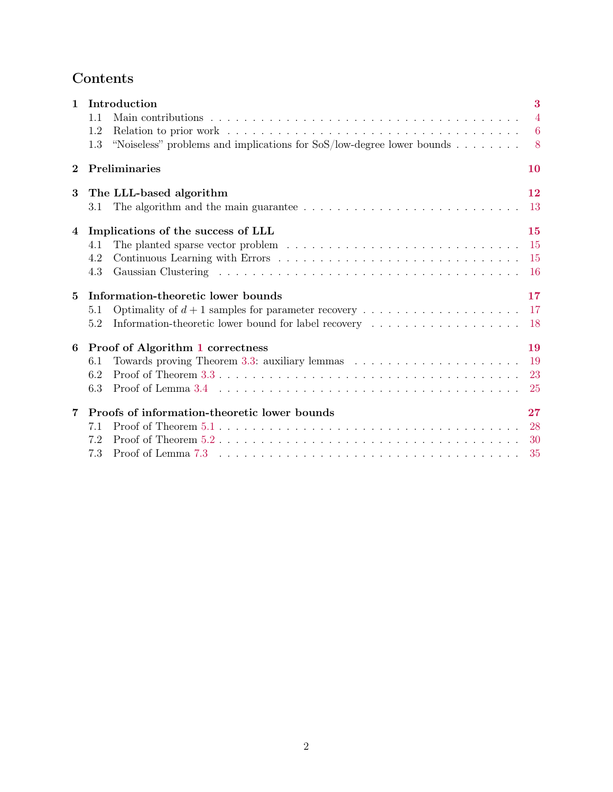# Contents

| $\mathbf{1}$ | Introduction                                                                                                        | 3              |  |  |  |  |
|--------------|---------------------------------------------------------------------------------------------------------------------|----------------|--|--|--|--|
|              | 1.1                                                                                                                 | $\overline{4}$ |  |  |  |  |
|              | Relation to prior work $\ldots \ldots \ldots \ldots \ldots \ldots \ldots \ldots \ldots \ldots \ldots \ldots$<br>1.2 |                |  |  |  |  |
|              | "Noiseless" problems and implications for $SoS/low$ -degree lower bounds<br>1.3                                     | 8 <sup>8</sup> |  |  |  |  |
| $\mathbf 2$  | Preliminaries                                                                                                       | 10             |  |  |  |  |
| 3            | The LLL-based algorithm                                                                                             | 12             |  |  |  |  |
|              | The algorithm and the main guarantee $\ldots \ldots \ldots \ldots \ldots \ldots \ldots \ldots \ldots$<br>3.1        | 13             |  |  |  |  |
| 4            | Implications of the success of LLL                                                                                  | 15             |  |  |  |  |
|              | 4.1                                                                                                                 | -15            |  |  |  |  |
|              | 4.2                                                                                                                 | -15            |  |  |  |  |
|              | 4.3                                                                                                                 | -16            |  |  |  |  |
| 5            | Information-theoretic lower bounds                                                                                  |                |  |  |  |  |
|              | 5.1                                                                                                                 | 17             |  |  |  |  |
|              | Information-theoretic lower bound for label recovery<br>5.2                                                         | -18            |  |  |  |  |
| 6            | Proof of Algorithm 1 correctness                                                                                    | 19             |  |  |  |  |
|              | 6.1                                                                                                                 | -19            |  |  |  |  |
|              | 6.2                                                                                                                 | 23             |  |  |  |  |
|              | 6.3                                                                                                                 | <b>25</b>      |  |  |  |  |
| 7            | Proofs of information-theoretic lower bounds                                                                        |                |  |  |  |  |
|              | 7.1                                                                                                                 | 28             |  |  |  |  |
|              | 7.2                                                                                                                 | <b>30</b>      |  |  |  |  |
|              | 7.3                                                                                                                 | 35             |  |  |  |  |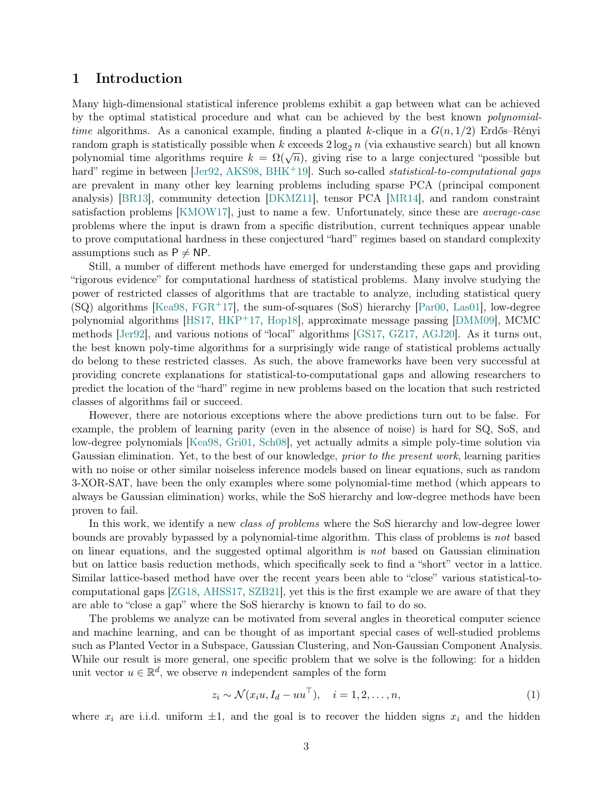## <span id="page-2-0"></span>1 Introduction

Many high-dimensional statistical inference problems exhibit a gap between what can be achieved by the optimal statistical procedure and what can be achieved by the best known polynomialtime algorithms. As a canonical example, finding a planted k-clique in a  $G(n, 1/2)$  Erdős–Rényi random graph is statistically possible when k exceeds  $2 \log_2 n$  (via exhaustive search) but all known polynomial time algorithms require  $k = \Omega(\sqrt{n})$ , giving rise to a large conjectured "possible but hard" regime in between [\[Jer92,](#page-43-0) [AKS98,](#page-39-0) [BHK](#page-39-1)<sup>+</sup>19]. Such so-called *statistical-to-computational gaps* are prevalent in many other key learning problems including sparse PCA (principal component analysis) [\[BR13\]](#page-40-0), community detection [\[DKMZ11\]](#page-41-0), tensor PCA [\[MR14\]](#page-44-0), and random constraint satisfaction problems [\[KMOW17\]](#page-43-1), just to name a few. Unfortunately, since these are average-case problems where the input is drawn from a specific distribution, current techniques appear unable to prove computational hardness in these conjectured "hard" regimes based on standard complexity assumptions such as  $P \neq NP$ .

Still, a number of different methods have emerged for understanding these gaps and providing "rigorous evidence" for computational hardness of statistical problems. Many involve studying the power of restricted classes of algorithms that are tractable to analyze, including statistical query (SQ) algorithms [\[Kea98,](#page-43-2) [FGR](#page-41-1)+17], the sum-of-squares (SoS) hierarchy [\[Par00,](#page-45-0) [Las01\]](#page-43-3), low-degree polynomial algorithms [\[HS17,](#page-42-0) [HKP](#page-42-1)+17, [Hop18\]](#page-42-2), approximate message passing [\[DMM09\]](#page-41-2), MCMC methods [\[Jer92\]](#page-43-0), and various notions of "local" algorithms [\[GS17,](#page-42-3) [GZ17,](#page-42-4) [AGJ20\]](#page-39-2). As it turns out, the best known poly-time algorithms for a surprisingly wide range of statistical problems actually do belong to these restricted classes. As such, the above frameworks have been very successful at providing concrete explanations for statistical-to-computational gaps and allowing researchers to predict the location of the "hard" regime in new problems based on the location that such restricted classes of algorithms fail or succeed.

However, there are notorious exceptions where the above predictions turn out to be false. For example, the problem of learning parity (even in the absence of noise) is hard for SQ, SoS, and low-degree polynomials [\[Kea98,](#page-43-2) [Gri01,](#page-42-5) [Sch08\]](#page-45-1), yet actually admits a simple poly-time solution via Gaussian elimination. Yet, to the best of our knowledge, *prior to the present work*, learning parities with no noise or other similar noiseless inference models based on linear equations, such as random 3-XOR-SAT, have been the only examples where some polynomial-time method (which appears to always be Gaussian elimination) works, while the SoS hierarchy and low-degree methods have been proven to fail.

In this work, we identify a new *class of problems* where the SoS hierarchy and low-degree lower bounds are provably bypassed by a polynomial-time algorithm. This class of problems is not based on linear equations, and the suggested optimal algorithm is not based on Gaussian elimination but on lattice basis reduction methods, which specifically seek to find a "short" vector in a lattice. Similar lattice-based method have over the recent years been able to "close" various statistical-tocomputational gaps [\[ZG18,](#page-45-2) [AHSS17,](#page-39-3) [SZB21\]](#page-45-3), yet this is the first example we are aware of that they are able to "close a gap" where the SoS hierarchy is known to fail to do so.

The problems we analyze can be motivated from several angles in theoretical computer science and machine learning, and can be thought of as important special cases of well-studied problems such as Planted Vector in a Subspace, Gaussian Clustering, and Non-Gaussian Component Analysis. While our result is more general, one specific problem that we solve is the following: for a hidden unit vector  $u \in \mathbb{R}^d$ , we observe *n* independent samples of the form

<span id="page-2-1"></span>
$$
z_i \sim \mathcal{N}(x_i u, I_d - u u^\top), \quad i = 1, 2, \dots, n,
$$
\n<sup>(1)</sup>

where  $x_i$  are i.i.d. uniform  $\pm 1$ , and the goal is to recover the hidden signs  $x_i$  and the hidden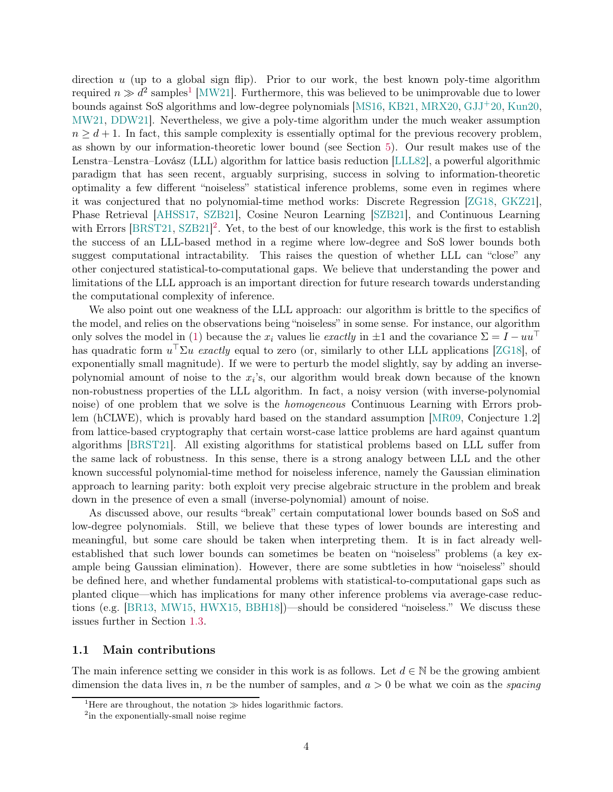direction  $u$  (up to a global sign flip). Prior to our work, the best known poly-time algorithm required  $n \gg d^2$  samples<sup>[1](#page-3-1)</sup> [\[MW21\]](#page-44-1). Furthermore, this was believed to be unimprovable due to lower bounds against SoS algorithms and low-degree polynomials [\[MS16,](#page-44-2) [KB21,](#page-43-4) [MRX20,](#page-44-3) [GJJ](#page-42-6)+20, [Kun20,](#page-43-5) [MW21,](#page-44-1) [DDW21\]](#page-40-1). Nevertheless, we give a poly-time algorithm under the much weaker assumption  $n \geq d+1$ . In fact, this sample complexity is essentially optimal for the previous recovery problem. as shown by our information-theoretic lower bound (see Section [5\)](#page-16-0). Our result makes use of the Lenstra–Lenstra–Lovász (LLL) algorithm for lattice basis reduction [\[LLL82\]](#page-43-6), a powerful algorithmic paradigm that has seen recent, arguably surprising, success in solving to information-theoretic optimality a few different "noiseless" statistical inference problems, some even in regimes where it was conjectured that no polynomial-time method works: Discrete Regression [\[ZG18,](#page-45-2) [GKZ21\]](#page-42-7), Phase Retrieval [\[AHSS17,](#page-39-3) [SZB21\]](#page-45-3), Cosine Neuron Learning [\[SZB21\]](#page-45-3), and Continuous Learning with Errors [\[BRST21,](#page-40-2) [SZB21\]](#page-45-3)<sup>[2](#page-3-2)</sup>. Yet, to the best of our knowledge, this work is the first to establish the success of an LLL-based method in a regime where low-degree and SoS lower bounds both suggest computational intractability. This raises the question of whether LLL can "close" any other conjectured statistical-to-computational gaps. We believe that understanding the power and limitations of the LLL approach is an important direction for future research towards understanding the computational complexity of inference.

We also point out one weakness of the LLL approach: our algorithm is brittle to the specifics of the model, and relies on the observations being "noiseless" in some sense. For instance, our algorithm only solves the model in [\(1\)](#page-2-1) because the  $x_i$  values lie *exactly* in  $\pm 1$  and the covariance  $\Sigma = I - uu^{\perp}$ has quadratic form  $u^{\top} \Sigma u$  exactly equal to zero (or, similarly to other LLL applications [\[ZG18\]](#page-45-2), of exponentially small magnitude). If we were to perturb the model slightly, say by adding an inversepolynomial amount of noise to the  $x_i$ 's, our algorithm would break down because of the known non-robustness properties of the LLL algorithm. In fact, a noisy version (with inverse-polynomial noise) of one problem that we solve is the homogeneous Continuous Learning with Errors problem (hCLWE), which is provably hard based on the standard assumption [\[MR09,](#page-44-4) Conjecture 1.2] from lattice-based cryptography that certain worst-case lattice problems are hard against quantum algorithms [\[BRST21\]](#page-40-2). All existing algorithms for statistical problems based on LLL suffer from the same lack of robustness. In this sense, there is a strong analogy between LLL and the other known successful polynomial-time method for noiseless inference, namely the Gaussian elimination approach to learning parity: both exploit very precise algebraic structure in the problem and break down in the presence of even a small (inverse-polynomial) amount of noise.

As discussed above, our results "break" certain computational lower bounds based on SoS and low-degree polynomials. Still, we believe that these types of lower bounds are interesting and meaningful, but some care should be taken when interpreting them. It is in fact already wellestablished that such lower bounds can sometimes be beaten on "noiseless" problems (a key example being Gaussian elimination). However, there are some subtleties in how "noiseless" should be defined here, and whether fundamental problems with statistical-to-computational gaps such as planted clique—which has implications for many other inference problems via average-case reductions (e.g. [\[BR13,](#page-40-0) [MW15,](#page-44-5) [HWX15,](#page-43-7) [BBH18\]](#page-39-4))—should be considered "noiseless." We discuss these issues further in Section [1.3.](#page-7-0)

## <span id="page-3-0"></span>1.1 Main contributions

The main inference setting we consider in this work is as follows. Let  $d \in \mathbb{N}$  be the growing ambient dimension the data lives in, n be the number of samples, and  $a > 0$  be what we coin as the *spacing* 

<sup>&</sup>lt;sup>1</sup>Here are throughout, the notation  $\gg$  hides logarithmic factors.

<span id="page-3-2"></span><span id="page-3-1"></span><sup>2</sup> in the exponentially-small noise regime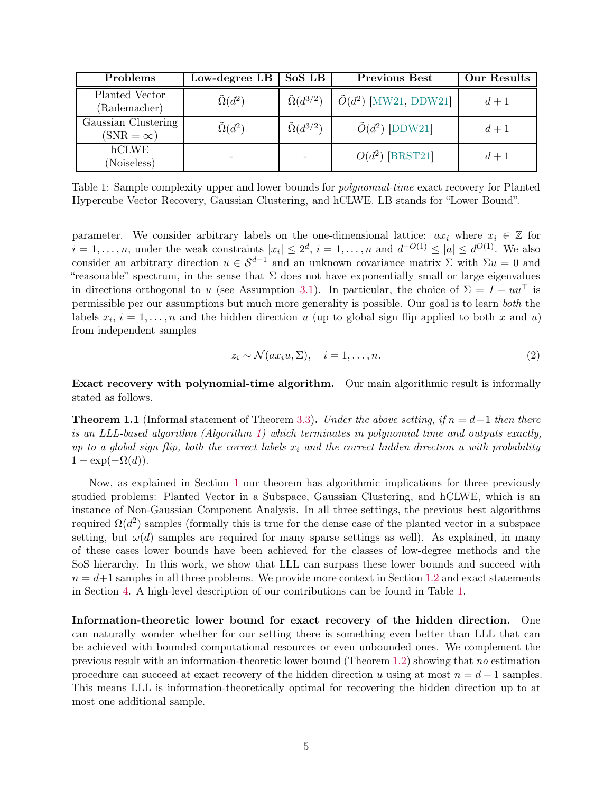<span id="page-4-0"></span>

| Problems                                | Low-degree LB         | SoS LB                    | <b>Previous Best</b>           | Our Results |
|-----------------------------------------|-----------------------|---------------------------|--------------------------------|-------------|
| Planted Vector<br>(Rademacher)          | $\tilde{\Omega}(d^2)$ | $\tilde{\Omega}(d^{3/2})$ | $\tilde{O}(d^2)$ [MW21, DDW21] | $d+1$       |
| Gaussian Clustering<br>$(SNR = \infty)$ | $\tilde{\Omega}(d^2)$ | $\tilde{\Omega}(d^{3/2})$ | $\tilde{O}(d^2)$ [DDW21]       | $d+1$       |
| hCLWE<br>(Noiseless)                    |                       |                           | $O(d^2)$ [BRST21]              | $d+1$       |

Table 1: Sample complexity upper and lower bounds for *polynomial-time* exact recovery for Planted Hypercube Vector Recovery, Gaussian Clustering, and hCLWE. LB stands for "Lower Bound".

parameter. We consider arbitrary labels on the one-dimensional lattice:  $ax_i$  where  $x_i \in \mathbb{Z}$  for  $i = 1, \ldots, n$ , under the weak constraints  $|x_i| \leq 2^d$ ,  $i = 1, \ldots, n$  and  $d^{-O(1)} \leq |a| \leq d^{O(1)}$ . We also consider an arbitrary direction  $u \in S^{d-1}$  and an unknown covariance matrix  $\Sigma$  with  $\Sigma u = 0$  and "reasonable" spectrum, in the sense that  $\Sigma$  does not have exponentially small or large eigenvalues in directions orthogonal to u (see Assumption [3.1\)](#page-11-1). In particular, the choice of  $\Sigma = I - uu^{\top}$  is permissible per our assumptions but much more generality is possible. Our goal is to learn both the labels  $x_i$ ,  $i = 1, \ldots, n$  and the hidden direction u (up to global sign flip applied to both x and u) from independent samples

<span id="page-4-2"></span>
$$
z_i \sim \mathcal{N}(ax_iu, \Sigma), \quad i = 1, \dots, n. \tag{2}
$$

Exact recovery with polynomial-time algorithm. Our main algorithmic result is informally stated as follows.

<span id="page-4-1"></span>**Theorem 1.1** (Informal statement of Theorem [3.3\)](#page-12-2). Under the above setting, if  $n = d+1$  then there is an LLL-based algorithm (Algorithm [1\)](#page-12-1) which terminates in polynomial time and outputs exactly, up to a global sign flip, both the correct labels  $x_i$  and the correct hidden direction u with probability  $1 - \exp(-\Omega(d)).$ 

Now, as explained in Section [1](#page-2-0) our theorem has algorithmic implications for three previously studied problems: Planted Vector in a Subspace, Gaussian Clustering, and hCLWE, which is an instance of Non-Gaussian Component Analysis. In all three settings, the previous best algorithms required  $\Omega(d^2)$  samples (formally this is true for the dense case of the planted vector in a subspace setting, but  $\omega(d)$  samples are required for many sparse settings as well). As explained, in many of these cases lower bounds have been achieved for the classes of low-degree methods and the SoS hierarchy. In this work, we show that LLL can surpass these lower bounds and succeed with  $n = d+1$  samples in all three problems. We provide more context in Section [1.2](#page-5-0) and exact statements in Section [4.](#page-14-0) A high-level description of our contributions can be found in Table [1.](#page-4-0)

Information-theoretic lower bound for exact recovery of the hidden direction. One can naturally wonder whether for our setting there is something even better than LLL that can be achieved with bounded computational resources or even unbounded ones. We complement the previous result with an information-theoretic lower bound (Theorem [1.2\)](#page-5-1) showing that no estimation procedure can succeed at exact recovery of the hidden direction u using at most  $n = d - 1$  samples. This means LLL is information-theoretically optimal for recovering the hidden direction up to at most one additional sample.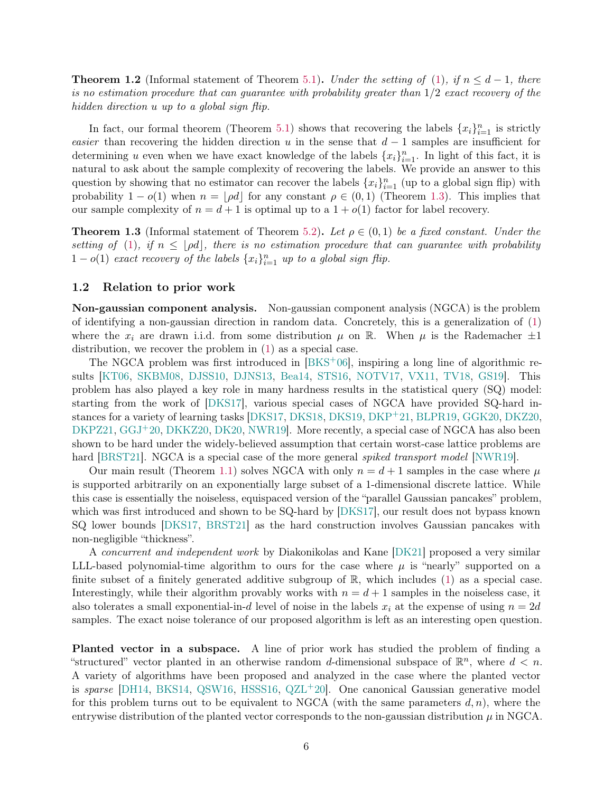<span id="page-5-1"></span>**Theorem 1.2** (Informal statement of Theorem [5.1\)](#page-17-1). Under the setting of [\(1\)](#page-2-1), if  $n \leq d-1$ , there is no estimation procedure that can guarantee with probability greater than  $1/2$  exact recovery of the hidden direction u up to a global sign flip.

In fact, our formal theorem (Theorem [5.1\)](#page-17-1) shows that recovering the labels  $\{x_i\}_{i=1}^n$  is strictly easier than recovering the hidden direction u in the sense that  $d-1$  samples are insufficient for determining u even when we have exact knowledge of the labels  $\{x_i\}_{i=1}^n$ . In light of this fact, it is natural to ask about the sample complexity of recovering the labels. We provide an answer to this question by showing that no estimator can recover the labels  $\{x_i\}_{i=1}^n$  (up to a global sign flip) with probability  $1 - o(1)$  when  $n = |\rho d|$  for any constant  $\rho \in (0, 1)$  (Theorem [1.3\)](#page-5-2). This implies that our sample complexity of  $n = d + 1$  is optimal up to a  $1 + o(1)$  factor for label recovery.

<span id="page-5-2"></span>**Theorem 1.3** (Informal statement of Theorem [5.2\)](#page-17-2). Let  $\rho \in (0,1)$  be a fixed constant. Under the setting of [\(1\)](#page-2-1), if  $n \leq \lfloor \rho d \rfloor$ , there is no estimation procedure that can guarantee with probability  $1 - o(1)$  exact recovery of the labels  $\{x_i\}_{i=1}^n$  up to a global sign flip.

### <span id="page-5-0"></span>1.2 Relation to prior work

Non-gaussian component analysis. Non-gaussian component analysis (NGCA) is the problem of identifying a non-gaussian direction in random data. Concretely, this is a generalization of [\(1\)](#page-2-1) where the  $x_i$  are drawn i.i.d. from some distribution  $\mu$  on R. When  $\mu$  is the Rademacher  $\pm 1$ distribution, we recover the problem in [\(1\)](#page-2-1) as a special case.

The NGCA problem was first introduced in [\[BKS](#page-39-5)+06], inspiring a long line of algorithmic results [\[KT06,](#page-43-8) [SKBM08,](#page-45-4) [DJSS10,](#page-40-3) [DJNS13,](#page-40-4) [Bea14,](#page-39-6) [STS16,](#page-45-5) [NOTV17,](#page-44-6) [VX11,](#page-45-6) [TV18,](#page-45-7) [GS19\]](#page-42-8). This problem has also played a key role in many hardness results in the statistical query (SQ) model: starting from the work of [\[DKS17\]](#page-41-3), various special cases of NGCA have provided SQ-hard instances for a variety of learning tasks [\[DKS17,](#page-41-3) [DKS18,](#page-41-4) [DKS19,](#page-41-5) [DKP](#page-41-6)+21, [BLPR19,](#page-40-5) [GGK20,](#page-42-9) [DKZ20,](#page-41-7) [DKPZ21,](#page-41-8) [GGJ](#page-42-10)<sup>+</sup>20, [DKKZ20,](#page-41-9) [DK20,](#page-40-6) NWR19. More recently, a special case of NGCA has also been shown to be hard under the widely-believed assumption that certain worst-case lattice problems are hard [\[BRST21\]](#page-40-2). NGCA is a special case of the more general *spiked transport model* [\[NWR19\]](#page-44-7).

Our main result (Theorem [1.1\)](#page-4-1) solves NGCA with only  $n = d + 1$  samples in the case where  $\mu$ is supported arbitrarily on an exponentially large subset of a 1-dimensional discrete lattice. While this case is essentially the noiseless, equispaced version of the "parallel Gaussian pancakes" problem, which was first introduced and shown to be SQ-hard by [\[DKS17\]](#page-41-3), our result does not bypass known SQ lower bounds [\[DKS17,](#page-41-3) [BRST21\]](#page-40-2) as the hard construction involves Gaussian pancakes with non-negligible "thickness".

A concurrent and independent work by Diakonikolas and Kane [\[DK21\]](#page-41-10) proposed a very similar LLL-based polynomial-time algorithm to ours for the case where  $\mu$  is "nearly" supported on a finite subset of a finitely generated additive subgroup of  $\mathbb{R}$ , which includes [\(1\)](#page-2-1) as a special case. Interestingly, while their algorithm provably works with  $n = d + 1$  samples in the noiseless case, it also tolerates a small exponential-in-d level of noise in the labels  $x_i$  at the expense of using  $n = 2d$ samples. The exact noise tolerance of our proposed algorithm is left as an interesting open question.

Planted vector in a subspace. A line of prior work has studied the problem of finding a "structured" vector planted in an otherwise random d-dimensional subspace of  $\mathbb{R}^n$ , where  $d < n$ . A variety of algorithms have been proposed and analyzed in the case where the planted vector is sparse [\[DH14,](#page-40-7) [BKS14,](#page-39-7) [QSW16,](#page-45-8) [HSSS16,](#page-43-9) [QZL](#page-45-9)<sup>+</sup>20]. One canonical Gaussian generative model for this problem turns out to be equivalent to NGCA (with the same parameters  $d, n$ ), where the entrywise distribution of the planted vector corresponds to the non-gaussian distribution  $\mu$  in NGCA.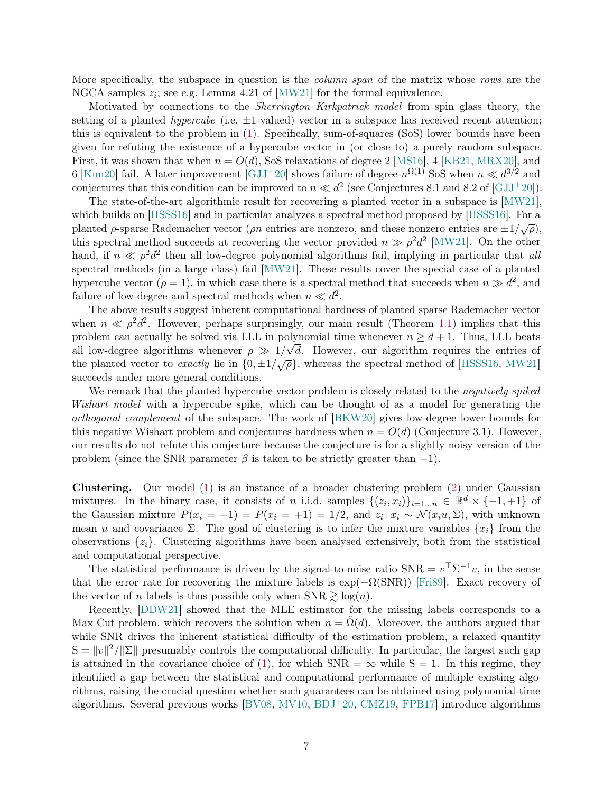More specifically, the subspace in question is the *column span* of the matrix whose rows are the NGCA samples  $z_i$ ; see e.g. Lemma 4.21 of [\[MW21\]](#page-44-1) for the formal equivalence.

Motivated by connections to the Sherrington–Kirkpatrick model from spin glass theory, the setting of a planted *hypercube* (i.e.  $\pm 1$ -valued) vector in a subspace has received recent attention; this is equivalent to the problem in [\(1\)](#page-2-1). Specifically, sum-of-squares (SoS) lower bounds have been given for refuting the existence of a hypercube vector in (or close to) a purely random subspace. First, it was shown that when  $n = O(d)$ , SoS relaxations of degree 2 [\[MS16\]](#page-44-2), 4 [\[KB21,](#page-43-4) [MRX20\]](#page-44-3), and 6 [\[Kun20\]](#page-43-5) fail. A later improvement [\[GJJ](#page-42-6)+20] shows failure of degree- $n^{\Omega(1)}$  SoS when  $n \ll d^{3/2}$  and conjectures that this condition can be improved to  $n \ll d^2$  (see Conjectures 8.1 and 8.2 of [\[GJJ](#page-42-6)<sup>+</sup>20]).

The state-of-the-art algorithmic result for recovering a planted vector in a subspace is [\[MW21\]](#page-44-1), which builds on [\[HSSS16\]](#page-43-9) and in particular analyzes a spectral method proposed by [\[HSSS16\]](#page-43-9). For a planted  $\rho$ -sparse Rademacher vector (*ρn* entries are nonzero, and these nonzero entries are  $\pm 1/\sqrt{\rho}$ ), this spectral method succeeds at recovering the vector provided  $n \gg \rho^2 d^2$  [\[MW21\]](#page-44-1). On the other hand, if  $n \ll \rho^2 d^2$  then all low-degree polynomial algorithms fail, implying in particular that all spectral methods (in a large class) fail [\[MW21\]](#page-44-1). These results cover the special case of a planted hypercube vector ( $\rho = 1$ ), in which case there is a spectral method that succeeds when  $n \gg d^2$ , and failure of low-degree and spectral methods when  $n \ll d^2$ .

The above results suggest inherent computational hardness of planted sparse Rademacher vector when  $n \ll \rho^2 d^2$ . However, perhaps surprisingly, our main result (Theorem [1.1\)](#page-4-1) implies that this problem can actually be solved via LLL in polynomial time whenever  $n \geq d+1$ . Thus, LLL beats all low-degree algorithms whenever  $\rho \gg 1/\sqrt{d}$ . However, our algorithm requires the entries of the planted vector to *exactly* lie in  $\{0, \pm 1/\sqrt{\rho}\}\$ , whereas the spectral method of [\[HSSS16,](#page-43-9) [MW21\]](#page-44-1) succeeds under more general conditions.

We remark that the planted hypercube vector problem is closely related to the *negatively-spiked* Wishart model with a hypercube spike, which can be thought of as a model for generating the orthogonal complement of the subspace. The work of [\[BKW20\]](#page-40-8) gives low-degree lower bounds for this negative Wishart problem and conjectures hardness when  $n = O(d)$  (Conjecture 3.1). However, our results do not refute this conjecture because the conjecture is for a slightly noisy version of the problem (since the SNR parameter  $\beta$  is taken to be strictly greater than -1).

Clustering. Our model [\(1\)](#page-2-1) is an instance of a broader clustering problem [\(2\)](#page-4-2) under Gaussian mixtures. In the binary case, it consists of n i.i.d. samples  $\{(z_i, x_i)\}_{i=1...n} \in \mathbb{R}^d \times \{-1, +1\}$  of the Gaussian mixture  $P(x_i = -1) = P(x_i = +1) = 1/2$ , and  $z_i | x_i \sim \mathcal{N}(x_i u, \Sigma)$ , with unknown mean u and covariance  $\Sigma$ . The goal of clustering is to infer the mixture variables  $\{x_i\}$  from the observations  $\{z_i\}$ . Clustering algorithms have been analysed extensively, both from the statistical and computational perspective.

The statistical performance is driven by the signal-to-noise ratio  $SNR = v^T \Sigma^{-1} v$ , in the sense that the error rate for recovering the mixture labels is  $\exp(-\Omega(SNR))$  [\[Fri89\]](#page-42-11). Exact recovery of the vector of n labels is thus possible only when  $SNR \geq log(n)$ .

Recently, [\[DDW21\]](#page-40-1) showed that the MLE estimator for the missing labels corresponds to a Max-Cut problem, which recovers the solution when  $n = \Omega(d)$ . Moreover, the authors argued that while SNR drives the inherent statistical difficulty of the estimation problem, a relaxed quantity  $S = ||v||^2 / ||\Sigma||$  presumably controls the computational difficulty. In particular, the largest such gap is attained in the covariance choice of [\(1\)](#page-2-1), for which  $SNR = \infty$  while  $S = 1$ . In this regime, they identified a gap between the statistical and computational performance of multiple existing algorithms, raising the crucial question whether such guarantees can be obtained using polynomial-time algorithms. Several previous works [\[BV08,](#page-40-9) [MV10,](#page-44-8) [BDJ](#page-39-8)+20, [CMZ19,](#page-40-10) [FPB17\]](#page-41-11) introduce algorithms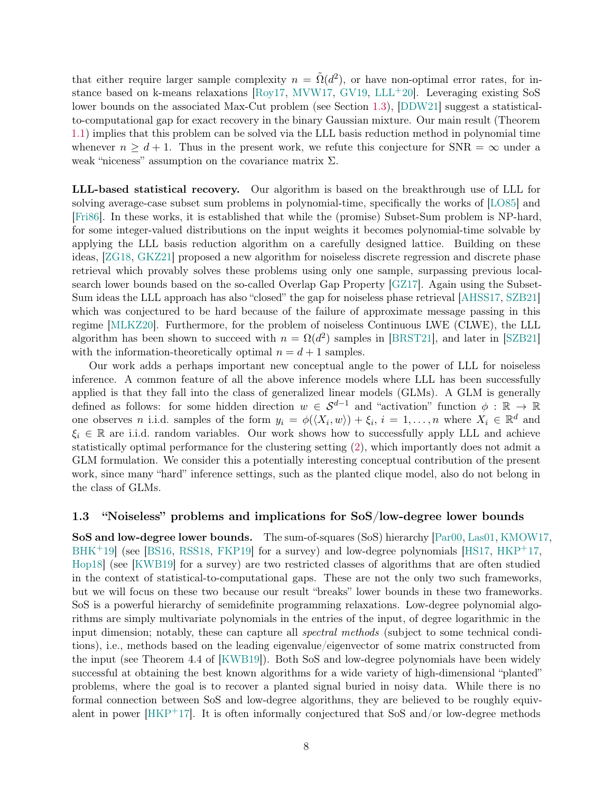that either require larger sample complexity  $n = \tilde{\Omega}(d^2)$ , or have non-optimal error rates, for in-stance based on k-means relaxations [\[Roy17,](#page-45-10) [MVW17,](#page-44-9) [GV19,](#page-42-12) [LLL](#page-43-10)+20]. Leveraging existing SoS lower bounds on the associated Max-Cut problem (see Section [1.3\)](#page-7-0), [\[DDW21\]](#page-40-1) suggest a statisticalto-computational gap for exact recovery in the binary Gaussian mixture. Our main result (Theorem [1.1\)](#page-4-1) implies that this problem can be solved via the LLL basis reduction method in polynomial time whenever  $n \geq d + 1$ . Thus in the present work, we refute this conjecture for SNR =  $\infty$  under a weak "niceness" assumption on the covariance matrix  $\Sigma$ .

LLL-based statistical recovery. Our algorithm is based on the breakthrough use of LLL for solving average-case subset sum problems in polynomial-time, specifically the works of [\[LO85\]](#page-43-11) and [\[Fri86\]](#page-42-13). In these works, it is established that while the (promise) Subset-Sum problem is NP-hard, for some integer-valued distributions on the input weights it becomes polynomial-time solvable by applying the LLL basis reduction algorithm on a carefully designed lattice. Building on these ideas, [\[ZG18,](#page-45-2) [GKZ21\]](#page-42-7) proposed a new algorithm for noiseless discrete regression and discrete phase retrieval which provably solves these problems using only one sample, surpassing previous localsearch lower bounds based on the so-called Overlap Gap Property [\[GZ17\]](#page-42-4). Again using the Subset-Sum ideas the LLL approach has also "closed" the gap for noiseless phase retrieval [\[AHSS17,](#page-39-3) [SZB21\]](#page-45-3) which was conjectured to be hard because of the failure of approximate message passing in this regime [\[MLKZ20\]](#page-44-10). Furthermore, for the problem of noiseless Continuous LWE (CLWE), the LLL algorithm has been shown to succeed with  $n = \Omega(d^2)$  samples in [\[BRST21\]](#page-40-2), and later in [\[SZB21\]](#page-45-3) with the information-theoretically optimal  $n = d + 1$  samples.

Our work adds a perhaps important new conceptual angle to the power of LLL for noiseless inference. A common feature of all the above inference models where LLL has been successfully applied is that they fall into the class of generalized linear models (GLMs). A GLM is generally defined as follows: for some hidden direction  $w \in S^{d-1}$  and "activation" function  $\phi : \mathbb{R} \to \mathbb{R}$ one observes n i.i.d. samples of the form  $y_i = \phi(\langle X_i, w \rangle) + \xi_i, i = 1, ..., n$  where  $X_i \in \mathbb{R}^d$  and  $\xi_i \in \mathbb{R}$  are i.i.d. random variables. Our work shows how to successfully apply LLL and achieve statistically optimal performance for the clustering setting [\(2\)](#page-4-2), which importantly does not admit a GLM formulation. We consider this a potentially interesting conceptual contribution of the present work, since many "hard" inference settings, such as the planted clique model, also do not belong in the class of GLMs.

#### <span id="page-7-0"></span>1.3 "Noiseless" problems and implications for SoS/low-degree lower bounds

SoS and low-degree lower bounds. The sum-of-squares (SoS) hierarchy [\[Par00,](#page-45-0) [Las01,](#page-43-3) [KMOW17,](#page-43-1) [BHK](#page-39-1)<sup>+</sup>19] (see [\[BS16,](#page-40-11) [RSS18,](#page-45-11) [FKP19\]](#page-41-12) for a survey) and low-degree polynomials [\[HS17,](#page-42-0) [HKP](#page-42-1)<sup>+</sup>17, [Hop18\]](#page-42-2) (see [\[KWB19\]](#page-43-12) for a survey) are two restricted classes of algorithms that are often studied in the context of statistical-to-computational gaps. These are not the only two such frameworks, but we will focus on these two because our result "breaks" lower bounds in these two frameworks. SoS is a powerful hierarchy of semidefinite programming relaxations. Low-degree polynomial algorithms are simply multivariate polynomials in the entries of the input, of degree logarithmic in the input dimension; notably, these can capture all spectral methods (subject to some technical conditions), i.e., methods based on the leading eigenvalue/eigenvector of some matrix constructed from the input (see Theorem 4.4 of [\[KWB19\]](#page-43-12)). Both SoS and low-degree polynomials have been widely successful at obtaining the best known algorithms for a wide variety of high-dimensional "planted" problems, where the goal is to recover a planted signal buried in noisy data. While there is no formal connection between SoS and low-degree algorithms, they are believed to be roughly equivalent in power  $[HKP^+17]$ . It is often informally conjectured that SoS and/or low-degree methods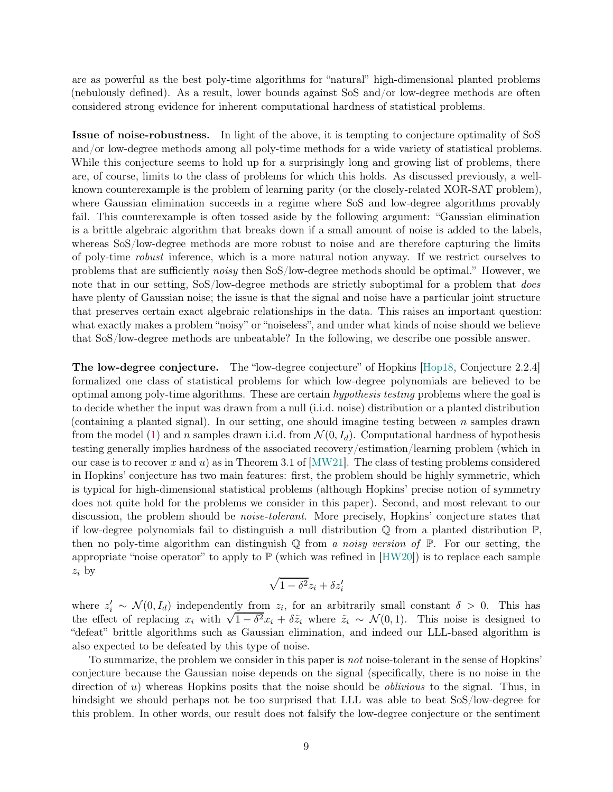are as powerful as the best poly-time algorithms for "natural" high-dimensional planted problems (nebulously defined). As a result, lower bounds against SoS and/or low-degree methods are often considered strong evidence for inherent computational hardness of statistical problems.

Issue of noise-robustness. In light of the above, it is tempting to conjecture optimality of SoS and/or low-degree methods among all poly-time methods for a wide variety of statistical problems. While this conjecture seems to hold up for a surprisingly long and growing list of problems, there are, of course, limits to the class of problems for which this holds. As discussed previously, a wellknown counterexample is the problem of learning parity (or the closely-related XOR-SAT problem), where Gaussian elimination succeeds in a regime where SoS and low-degree algorithms provably fail. This counterexample is often tossed aside by the following argument: "Gaussian elimination is a brittle algebraic algorithm that breaks down if a small amount of noise is added to the labels, whereas SoS/low-degree methods are more robust to noise and are therefore capturing the limits of poly-time robust inference, which is a more natural notion anyway. If we restrict ourselves to problems that are sufficiently noisy then SoS/low-degree methods should be optimal." However, we note that in our setting, SoS/low-degree methods are strictly suboptimal for a problem that *does* have plenty of Gaussian noise; the issue is that the signal and noise have a particular joint structure that preserves certain exact algebraic relationships in the data. This raises an important question: what exactly makes a problem "noisy" or "noiseless", and under what kinds of noise should we believe that SoS/low-degree methods are unbeatable? In the following, we describe one possible answer.

The low-degree conjecture. The "low-degree conjecture" of Hopkins [\[Hop18,](#page-42-2) Conjecture 2.2.4] formalized one class of statistical problems for which low-degree polynomials are believed to be optimal among poly-time algorithms. These are certain hypothesis testing problems where the goal is to decide whether the input was drawn from a null (i.i.d. noise) distribution or a planted distribution (containing a planted signal). In our setting, one should imagine testing between n samples drawn from the model [\(1\)](#page-2-1) and n samples drawn i.i.d. from  $\mathcal{N}(0, I_d)$ . Computational hardness of hypothesis testing generally implies hardness of the associated recovery/estimation/learning problem (which in our case is to recover x and u) as in Theorem 3.1 of  $[MW21]$ . The class of testing problems considered in Hopkins' conjecture has two main features: first, the problem should be highly symmetric, which is typical for high-dimensional statistical problems (although Hopkins' precise notion of symmetry does not quite hold for the problems we consider in this paper). Second, and most relevant to our discussion, the problem should be *noise-tolerant*. More precisely, Hopkins' conjecture states that if low-degree polynomials fail to distinguish a null distribution Q from a planted distribution P, then no poly-time algorithm can distinguish  $\mathbb Q$  from a noisy version of  $\mathbb P$ . For our setting, the appropriate "noise operator" to apply to  $\mathbb{P}$  (which was refined in [\[HW20\]](#page-43-13)) is to replace each sample  $z_i$  by

$$
\sqrt{1-\delta^2}z_i+\delta z'_i
$$

where  $z'_i \sim \mathcal{N}(0, I_d)$  independently from  $z_i$ , for an arbitrarily small constant  $\delta > 0$ . This has the effect of replacing  $x_i$  with  $\sqrt{1-\delta^2}x_i + \delta \tilde{z}_i$  where  $\tilde{z}_i \sim \mathcal{N}(0, 1)$ . This noise is designed to "defeat" brittle algorithms such as Gaussian elimination, and indeed our LLL-based algorithm is also expected to be defeated by this type of noise.

To summarize, the problem we consider in this paper is not noise-tolerant in the sense of Hopkins' conjecture because the Gaussian noise depends on the signal (specifically, there is no noise in the direction of u) whereas Hopkins posits that the noise should be *oblivious* to the signal. Thus, in hindsight we should perhaps not be too surprised that LLL was able to beat SoS/low-degree for this problem. In other words, our result does not falsify the low-degree conjecture or the sentiment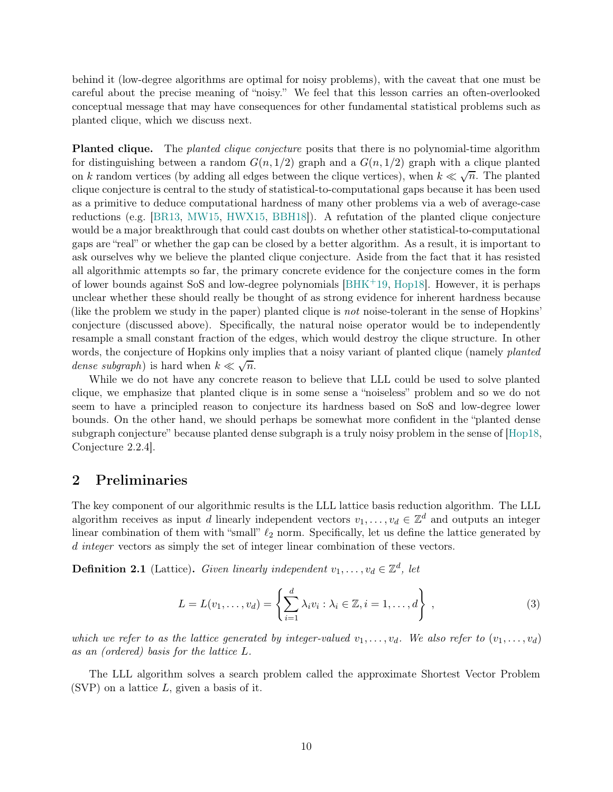behind it (low-degree algorithms are optimal for noisy problems), with the caveat that one must be careful about the precise meaning of "noisy." We feel that this lesson carries an often-overlooked conceptual message that may have consequences for other fundamental statistical problems such as planted clique, which we discuss next.

Planted clique. The *planted clique conjecture* posits that there is no polynomial-time algorithm for distinguishing between a random  $G(n, 1/2)$  graph and a  $G(n, 1/2)$  graph with a clique planted on k random vertices (by adding all edges between the clique vertices), when  $k \ll \sqrt{n}$ . The planted clique conjecture is central to the study of statistical-to-computational gaps because it has been used as a primitive to deduce computational hardness of many other problems via a web of average-case reductions (e.g. [\[BR13,](#page-40-0) [MW15,](#page-44-5) [HWX15,](#page-43-7) [BBH18\]](#page-39-4)). A refutation of the planted clique conjecture would be a major breakthrough that could cast doubts on whether other statistical-to-computational gaps are "real" or whether the gap can be closed by a better algorithm. As a result, it is important to ask ourselves why we believe the planted clique conjecture. Aside from the fact that it has resisted all algorithmic attempts so far, the primary concrete evidence for the conjecture comes in the form of lower bounds against SoS and low-degree polynomials [\[BHK](#page-39-1)+19, [Hop18\]](#page-42-2). However, it is perhaps unclear whether these should really be thought of as strong evidence for inherent hardness because (like the problem we study in the paper) planted clique is not noise-tolerant in the sense of Hopkins' conjecture (discussed above). Specifically, the natural noise operator would be to independently resample a small constant fraction of the edges, which would destroy the clique structure. In other words, the conjecture of Hopkins only implies that a noisy variant of planted clique (namely *planted*) dense subgraph) is hard when  $k \ll \sqrt{n}$ .

While we do not have any concrete reason to believe that LLL could be used to solve planted clique, we emphasize that planted clique is in some sense a "noiseless" problem and so we do not seem to have a principled reason to conjecture its hardness based on SoS and low-degree lower bounds. On the other hand, we should perhaps be somewhat more confident in the "planted dense subgraph conjecture" because planted dense subgraph is a truly noisy problem in the sense of [\[Hop18,](#page-42-2) Conjecture 2.2.4].

## <span id="page-9-0"></span>2 Preliminaries

The key component of our algorithmic results is the LLL lattice basis reduction algorithm. The LLL algorithm receives as input d linearly independent vectors  $v_1, \ldots, v_d \in \mathbb{Z}^d$  and outputs an integer linear combination of them with "small"  $\ell_2$  norm. Specifically, let us define the lattice generated by d integer vectors as simply the set of integer linear combination of these vectors.

**Definition 2.1** (Lattice). Given linearly independent  $v_1, \ldots, v_d \in \mathbb{Z}^d$ , let

$$
L = L(v_1, \dots, v_d) = \left\{ \sum_{i=1}^d \lambda_i v_i : \lambda_i \in \mathbb{Z}, i = 1, \dots, d \right\}, \tag{3}
$$

which we refer to as the lattice generated by integer-valued  $v_1, \ldots, v_d$ . We also refer to  $(v_1, \ldots, v_d)$ as an (ordered) basis for the lattice L.

The LLL algorithm solves a search problem called the approximate Shortest Vector Problem  $(SVP)$  on a lattice L, given a basis of it.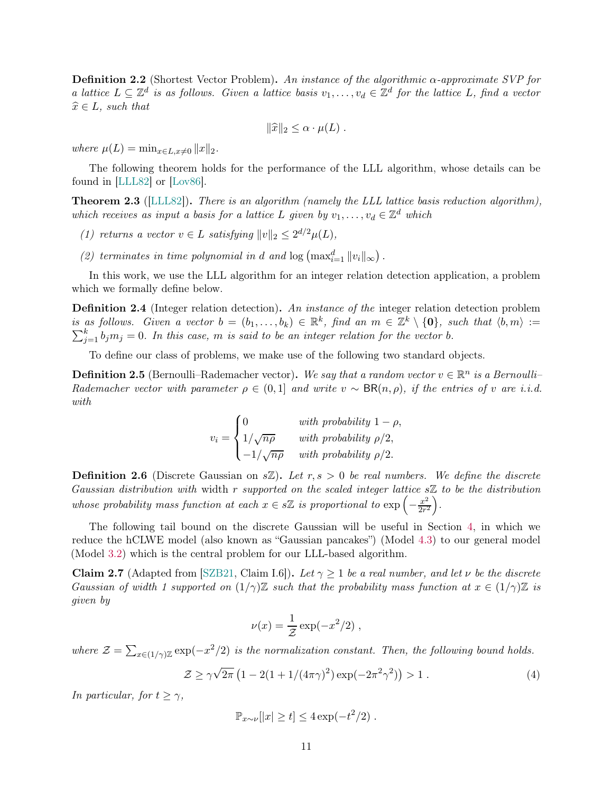**Definition 2.2** (Shortest Vector Problem). An instance of the algorithmic  $\alpha$ -approximate SVP for a lattice  $L \subseteq \mathbb{Z}^d$  is as follows. Given a lattice basis  $v_1, \ldots, v_d \in \mathbb{Z}^d$  for the lattice L, find a vector  $\widehat{x} \in L$ , such that

$$
\|\widehat{x}\|_2 \leq \alpha \cdot \mu(L) .
$$

where  $\mu(L) = \min_{x \in L, x \neq 0} ||x||_2$ .

The following theorem holds for the performance of the LLL algorithm, whose details can be found in [\[LLL82\]](#page-43-6) or [\[Lov86\]](#page-43-14).

<span id="page-10-2"></span>**Theorem 2.3** ([\[LLL82\]](#page-43-6)). There is an algorithm (namely the LLL lattice basis reduction algorithm), which receives as input a basis for a lattice L given by  $v_1, \ldots, v_d \in \mathbb{Z}^d$  which

- (1) returns a vector  $v \in L$  satisfying  $||v||_2 \leq 2^{d/2} \mu(L)$ ,
- (2) terminates in time polynomial in d and  $\log \left( \max_{i=1}^d ||v_i||_{\infty} \right)$ .

In this work, we use the LLL algorithm for an integer relation detection application, a problem which we formally define below.

Definition 2.4 (Integer relation detection). An instance of the integer relation detection problem is as follows. Given a vector  $b = (b_1, \ldots, b_k) \in \mathbb{R}^k$ , find an  $m \in \mathbb{Z}^k \setminus \{0\}$ , such that  $\langle b, m \rangle :=$  $\sum_{j=1}^{k} b_j m_j = 0$ . In this case, m is said to be an integer relation for the vector b.

To define our class of problems, we make use of the following two standard objects.

**Definition 2.5** (Bernoulli–Rademacher vector). We say that a random vector  $v \in \mathbb{R}^n$  is a Bernoulli– Rademacher vector with parameter  $\rho \in (0,1]$  and write  $v \sim BR(n,\rho)$ , if the entries of v are i.i.d. with

$$
v_i = \begin{cases} 0 & \text{with probability } 1 - \rho, \\ 1/\sqrt{n\rho} & \text{with probability } \rho/2, \\ -1/\sqrt{n\rho} & \text{with probability } \rho/2. \end{cases}
$$

**Definition 2.6** (Discrete Gaussian on  $s\mathbb{Z}$ ). Let  $r, s > 0$  be real numbers. We define the discrete Gaussian distribution with width  $r$  supported on the scaled integer lattice  $s\mathbb{Z}$  to be the distribution whose probability mass function at each  $x \in s\mathbb{Z}$  is proportional to  $\exp\left(-\frac{x^2}{2r^2}\right)$  $\frac{x^2}{2r^2}$ .

The following tail bound on the discrete Gaussian will be useful in Section [4,](#page-14-0) in which we reduce the hCLWE model (also known as "Gaussian pancakes") (Model [4.3\)](#page-15-1) to our general model (Model [3.2\)](#page-11-2) which is the central problem for our LLL-based algorithm.

<span id="page-10-1"></span>**Claim 2.7** (Adapted from [\[SZB21,](#page-45-3) Claim I.6]). Let  $\gamma \geq 1$  be a real number, and let  $\nu$  be the discrete Gaussian of width 1 supported on  $(1/\gamma)\mathbb{Z}$  such that the probability mass function at  $x \in (1/\gamma)\mathbb{Z}$  is given by

<span id="page-10-0"></span>
$$
\nu(x) = \frac{1}{\mathcal{Z}} \exp(-x^2/2) ,
$$

where  $\mathcal{Z} = \sum_{x \in (1/\gamma)\mathbb{Z}} \exp(-x^2/2)$  is the normalization constant. Then, the following bound holds.

$$
\mathcal{Z} \ge \gamma \sqrt{2\pi} \left( 1 - 2(1 + 1/(4\pi\gamma)^2) \exp(-2\pi^2\gamma^2) \right) > 1 \,. \tag{4}
$$

In particular, for  $t \geq \gamma$ ,

$$
\mathbb{P}_{x \sim \nu}[|x| \ge t] \le 4 \exp(-t^2/2).
$$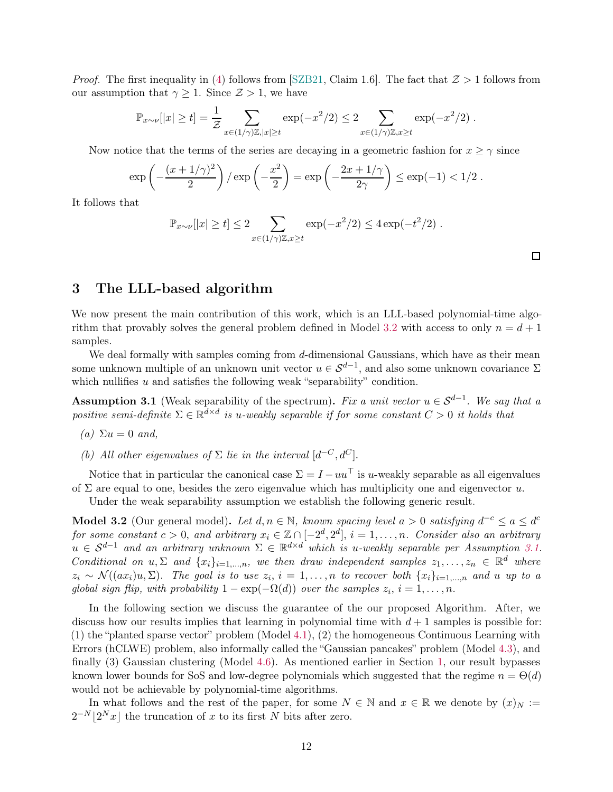*Proof.* The first inequality in [\(4\)](#page-10-0) follows from [\[SZB21,](#page-45-3) Claim 1.6]. The fact that  $\mathcal{Z} > 1$  follows from our assumption that  $\gamma \geq 1$ . Since  $\mathcal{Z} > 1$ , we have

$$
\mathbb{P}_{x \sim \nu}[|x| \ge t] = \frac{1}{\mathcal{Z}} \sum_{x \in (1/\gamma)\mathbb{Z}, |x| \ge t} \exp(-x^2/2) \le 2 \sum_{x \in (1/\gamma)\mathbb{Z}, x \ge t} \exp(-x^2/2).
$$

Now notice that the terms of the series are decaying in a geometric fashion for  $x \geq \gamma$  since

$$
\exp\left(-\frac{(x+1/\gamma)^2}{2}\right)/\exp\left(-\frac{x^2}{2}\right) = \exp\left(-\frac{2x+1/\gamma}{2\gamma}\right) \le \exp(-1) < 1/2.
$$

It follows that

$$
\mathbb{P}_{x \sim \nu}[|x| \ge t] \le 2 \sum_{x \in (1/\gamma)\mathbb{Z}, x \ge t} \exp(-x^2/2) \le 4 \exp(-t^2/2).
$$

 $\Box$ 

## <span id="page-11-0"></span>3 The LLL-based algorithm

We now present the main contribution of this work, which is an LLL-based polynomial-time algo-rithm that provably solves the general problem defined in Model [3.2](#page-11-2) with access to only  $n = d + 1$ samples.

We deal formally with samples coming from  $d$ -dimensional Gaussians, which have as their mean some unknown multiple of an unknown unit vector  $u \in S^{d-1}$ , and also some unknown covariance  $\Sigma$ which nullifies  $u$  and satisfies the following weak "separability" condition.

<span id="page-11-1"></span>**Assumption 3.1** (Weak separability of the spectrum). Fix a unit vector  $u \in S^{d-1}$ . We say that a positive semi-definite  $\Sigma \in \mathbb{R}^{d \times d}$  is u-weakly separable if for some constant  $C > 0$  it holds that

(a) 
$$
\Sigma u = 0
$$
 and,

(b) All other eigenvalues of  $\Sigma$  lie in the interval  $[d^{-C}, d^{C}]$ .

Notice that in particular the canonical case  $\Sigma = I - uu^{\top}$  is u-weakly separable as all eigenvalues of  $\Sigma$  are equal to one, besides the zero eigenvalue which has multiplicity one and eigenvector u.

Under the weak separability assumption we establish the following generic result.

<span id="page-11-2"></span>Model 3.2 (Our general model). Let  $d, n \in \mathbb{N}$ , known spacing level  $a > 0$  satisfying  $d^{-c} \le a \le d^{c}$ for some constant  $c > 0$ , and arbitrary  $x_i \in \mathbb{Z} \cap [-2^d, 2^d]$ ,  $i = 1, \ldots, n$ . Consider also an arbitrary  $u \in S^{d-1}$  and an arbitrary unknown  $\Sigma \in \mathbb{R}^{d \times d}$  which is u-weakly separable per Assumption [3.1.](#page-11-1) Conditional on  $u, \Sigma$  and  $\{x_i\}_{i=1,\dots,n}$ , we then draw independent samples  $z_1, \dots, z_n \in \mathbb{R}^d$  where  $z_i \sim \mathcal{N}((ax_i)u, \Sigma)$ . The goal is to use  $z_i$ ,  $i = 1, \ldots, n$  to recover both  $\{x_i\}_{i=1,\ldots,n}$  and u up to a global sign flip, with probability  $1 - \exp(-\Omega(d))$  over the samples  $z_i$ ,  $i = 1, ..., n$ .

In the following section we discuss the guarantee of the our proposed Algorithm. After, we discuss how our results implies that learning in polynomial time with  $d+1$  samples is possible for: (1) the "planted sparse vector" problem (Model [4.1\)](#page-14-3), (2) the homogeneous Continuous Learning with Errors (hCLWE) problem, also informally called the "Gaussian pancakes" problem (Model [4.3\)](#page-15-1), and finally (3) Gaussian clustering (Model [4.6\)](#page-15-2). As mentioned earlier in Section [1,](#page-2-0) our result bypasses known lower bounds for SoS and low-degree polynomials which suggested that the regime  $n = \Theta(d)$ would not be achievable by polynomial-time algorithms.

In what follows and the rest of the paper, for some  $N \in \mathbb{N}$  and  $x \in \mathbb{R}$  we denote by  $(x)_N :=$  $2^{-N} \lfloor 2^{N} x \rfloor$  the truncation of x to its first N bits after zero.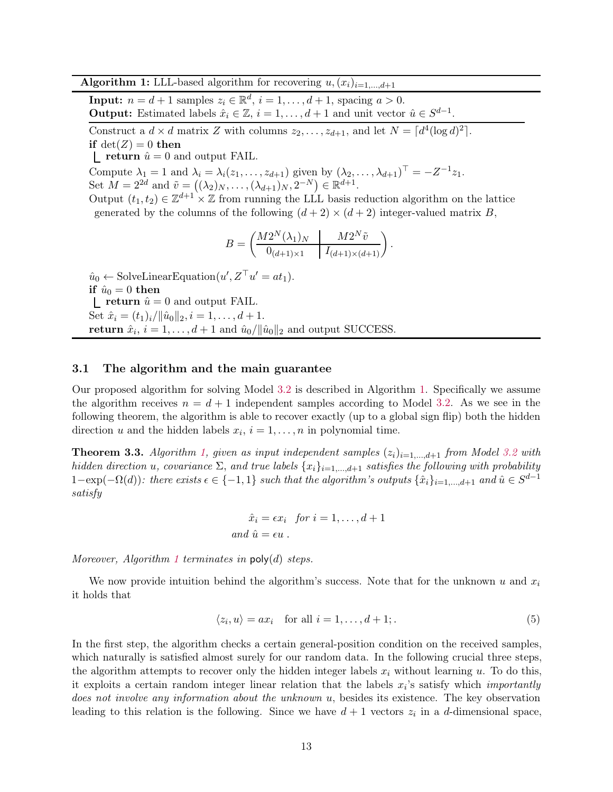**Algorithm 1:** LLL-based algorithm for recovering  $u, (x_i)_{i=1,\dots,d+1}$ 

<span id="page-12-1"></span>**Input:**  $n = d + 1$  samples  $z_i \in \mathbb{R}^d$ ,  $i = 1, ..., d + 1$ , spacing  $a > 0$ . **Output:** Estimated labels  $\hat{x}_i \in \mathbb{Z}, i = 1, ..., d + 1$  and unit vector  $\hat{u} \in S^{d-1}$ .

Construct a  $d \times d$  matrix Z with columns  $z_2, \ldots, z_{d+1}$ , and let  $N = \lceil d^4 (\log d)^2 \rceil$ . if  $det(Z) = 0$  then

 $\Gamma$  return  $\hat{u} = 0$  and output FAIL.

Compute  $\lambda_1 = 1$  and  $\lambda_i = \lambda_i(z_1, \ldots, z_{d+1})$  given by  $(\lambda_2, \ldots, \lambda_{d+1})^{\top} = -Z^{-1}z_1$ . Set  $M = 2^{2d}$  and  $\tilde{v} = ((\lambda_2)_N, \ldots, (\lambda_{d+1})_N, 2^{-N}) \in \mathbb{R}^{d+1}$ .

Output  $(t_1, t_2) \in \mathbb{Z}^{d+1} \times \mathbb{Z}$  from running the LLL basis reduction algorithm on the lattice generated by the columns of the following  $(d+2) \times (d+2)$  integer-valued matrix B,

$$
B = \begin{pmatrix} M2^{N}(\lambda_1)_{N} & M2^{N} \tilde{v} \\ 0_{(d+1)\times 1} & I_{(d+1)\times (d+1)} \end{pmatrix}
$$

.

 $\hat{u}_0 \leftarrow$  SolveLinearEquation $(u', Z^{\top} u' = at_1)$ . if  $\hat{u}_0 = 0$  then  $\Gamma$  return  $\hat{u} = 0$  and output FAIL. Set  $\hat{x}_i = (t_1)_i / ||\hat{u}_0||_2, i = 1, \ldots, d + 1.$ return  $\hat{x}_i$ ,  $i = 1, ..., d + 1$  and  $\hat{u}_0 / ||\hat{u}_0||_2$  and output SUCCESS.

## <span id="page-12-0"></span>3.1 The algorithm and the main guarantee

Our proposed algorithm for solving Model [3.2](#page-11-2) is described in Algorithm [1.](#page-12-1) Specifically we assume the algorithm receives  $n = d + 1$  independent samples according to Model [3.2.](#page-11-2) As we see in the following theorem, the algorithm is able to recover exactly (up to a global sign flip) both the hidden direction u and the hidden labels  $x_i$ ,  $i = 1, ..., n$  in polynomial time.

<span id="page-12-2"></span>**Theorem 3.3.** Algorithm [1,](#page-12-1) given as input independent samples  $(z_i)_{i=1,\dots,d+1}$  from Model [3.2](#page-11-2) with hidden direction u, covariance  $\Sigma$ , and true labels  $\{x_i\}_{i=1,\dots,d+1}$  satisfies the following with probability  $1-\exp(-\Omega(d))$ : there exists  $\epsilon \in \{-1,1\}$  such that the algorithm's outputs  $\{\hat{x}_i\}_{i=1,\dots,d+1}$  and  $\hat{u} \in S^{d-1}$ satisfy

<span id="page-12-3"></span>
$$
\hat{x}_i = \epsilon x_i \text{ for } i = 1, \dots, d+1
$$
  
and  $\hat{u} = \epsilon u$ .

Moreover, Algorithm [1](#page-12-1) terminates in  $\mathsf{poly}(d)$  steps.

We now provide intuition behind the algorithm's success. Note that for the unknown u and  $x_i$ it holds that

$$
\langle z_i, u \rangle = ax_i \quad \text{for all } i = 1, \dots, d+1; \tag{5}
$$

In the first step, the algorithm checks a certain general-position condition on the received samples, which naturally is satisfied almost surely for our random data. In the following crucial three steps, the algorithm attempts to recover only the hidden integer labels  $x_i$  without learning u. To do this, it exploits a certain random integer linear relation that the labels  $x_i$ 's satisfy which *importantly* does not involve any information about the unknown u, besides its existence. The key observation leading to this relation is the following. Since we have  $d+1$  vectors  $z_i$  in a d-dimensional space,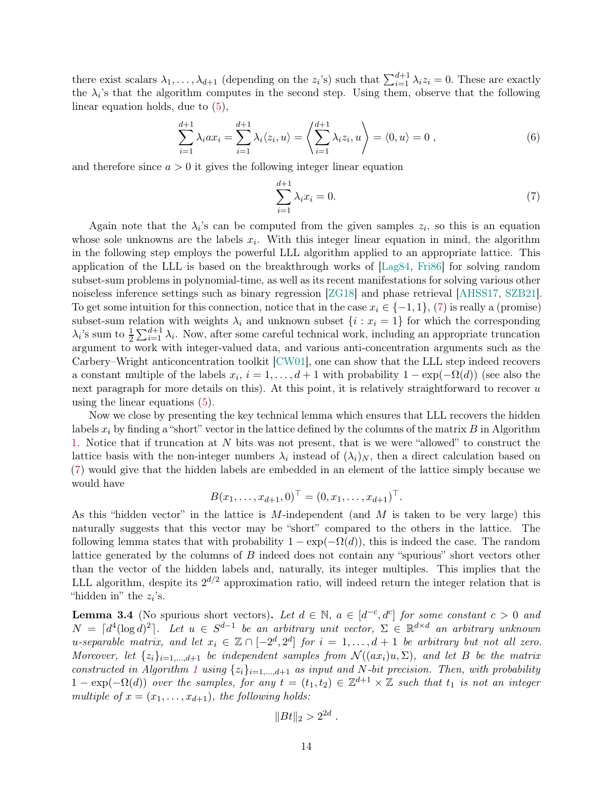there exist scalars  $\lambda_1, \ldots, \lambda_{d+1}$  (depending on the  $z_i$ 's) such that  $\sum_{i=1}^{d+1} \lambda_i z_i = 0$ . These are exactly the  $\lambda_i$ 's that the algorithm computes in the second step. Using them, observe that the following linear equation holds, due to [\(5\)](#page-12-3),

$$
\sum_{i=1}^{d+1} \lambda_i a x_i = \sum_{i=1}^{d+1} \lambda_i \langle z_i, u \rangle = \left\langle \sum_{i=1}^{d+1} \lambda_i z_i, u \right\rangle = \langle 0, u \rangle = 0 , \qquad (6)
$$

and therefore since  $a > 0$  it gives the following integer linear equation

<span id="page-13-1"></span>
$$
\sum_{i=1}^{d+1} \lambda_i x_i = 0. \tag{7}
$$

Again note that the  $\lambda_i$ 's can be computed from the given samples  $z_i$ , so this is an equation whose sole unknowns are the labels  $x_i$ . With this integer linear equation in mind, the algorithm in the following step employs the powerful LLL algorithm applied to an appropriate lattice. This application of the LLL is based on the breakthrough works of [\[Lag84,](#page-43-15) [Fri86\]](#page-42-13) for solving random subset-sum problems in polynomial-time, as well as its recent manifestations for solving various other noiseless inference settings such as binary regression [\[ZG18\]](#page-45-2) and phase retrieval [\[AHSS17,](#page-39-3) [SZB21\]](#page-45-3). To get some intuition for this connection, notice that in the case  $x_i \in \{-1, 1\}$ , [\(7\)](#page-13-1) is really a (promise) subset-sum relation with weights  $\lambda_i$  and unknown subset  $\{i : x_i = 1\}$  for which the corresponding  $\lambda_i$ 's sum to  $\frac{1}{2} \sum_{i=1}^{d+1} \lambda_i$ . Now, after some careful technical work, including an appropriate truncation argument to work with integer-valued data, and various anti-concentration arguments such as the Carbery–Wright anticoncentration toolkit [\[CW01\]](#page-40-12), one can show that the LLL step indeed recovers a constant multiple of the labels  $x_i$ ,  $i = 1, \ldots, d+1$  with probability  $1 - \exp(-\Omega(d))$  (see also the next paragraph for more details on this). At this point, it is relatively straightforward to recover u using the linear equations [\(5\)](#page-12-3).

Now we close by presenting the key technical lemma which ensures that LLL recovers the hidden labels  $x_i$  by finding a "short" vector in the lattice defined by the columns of the matrix B in Algorithm [1.](#page-12-1) Notice that if truncation at N bits was not present, that is we were "allowed" to construct the lattice basis with the non-integer numbers  $\lambda_i$  instead of  $(\lambda_i)_N$ , then a direct calculation based on [\(7\)](#page-13-1) would give that the hidden labels are embedded in an element of the lattice simply because we would have

$$
B(x_1, \ldots, x_{d+1}, 0)^{\top} = (0, x_1, \ldots, x_{d+1})^{\top}.
$$

As this "hidden vector" in the lattice is M-independent (and  $M$  is taken to be very large) this naturally suggests that this vector may be "short" compared to the others in the lattice. The following lemma states that with probability  $1 - \exp(-\Omega(d))$ , this is indeed the case. The random lattice generated by the columns of  $B$  indeed does not contain any "spurious" short vectors other than the vector of the hidden labels and, naturally, its integer multiples. This implies that the LLL algorithm, despite its  $2^{d/2}$  approximation ratio, will indeed return the integer relation that is "hidden in" the  $z_i$ 's.

<span id="page-13-0"></span>**Lemma 3.4** (No spurious short vectors). Let  $d \in \mathbb{N}$ ,  $a \in [d^{-c}, d^{c}]$  for some constant  $c > 0$  and  $N = \lceil d^4(\log d)^2 \rceil$ . Let  $u \in S^{d-1}$  be an arbitrary unit vector,  $\Sigma \in \mathbb{R}^{d \times d}$  an arbitrary unknown u-separable matrix, and let  $x_i \in \mathbb{Z} \cap [-2^d, 2^d]$  for  $i = 1, \ldots, d+1$  be arbitrary but not all zero. Moreover, let  $\{z_i\}_{i=1,\dots,d+1}$  be independent samples from  $\mathcal{N}((ax_i)u, \Sigma)$ , and let B be the matrix constructed in Algorithm [1](#page-12-1) using  $\{z_i\}_{i=1,\dots,d+1}$  as input and N-bit precision. Then, with probability  $1 - \exp(-\Omega(d))$  over the samples, for any  $t = (t_1, t_2) \in \mathbb{Z}^{d+1} \times \mathbb{Z}$  such that  $t_1$  is not an integer multiple of  $x = (x_1, \ldots, x_{d+1})$ , the following holds:

$$
||Bt||_2 > 2^{2d}.
$$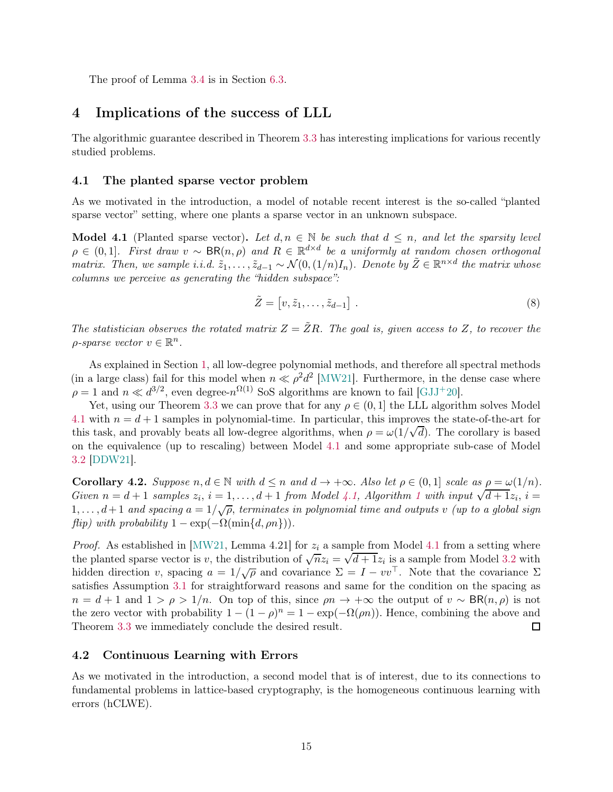The proof of Lemma [3.4](#page-13-0) is in Section [6.3.](#page-24-0)

## <span id="page-14-0"></span>4 Implications of the success of LLL

The algorithmic guarantee described in Theorem [3.3](#page-12-2) has interesting implications for various recently studied problems.

### <span id="page-14-1"></span>4.1 The planted sparse vector problem

As we motivated in the introduction, a model of notable recent interest is the so-called "planted sparse vector" setting, where one plants a sparse vector in an unknown subspace.

<span id="page-14-3"></span>Model 4.1 (Planted sparse vector). Let  $d, n \in \mathbb{N}$  be such that  $d \leq n$ , and let the sparsity level  $\rho \in (0,1]$ . First draw  $v \sim BR(n,\rho)$  and  $R \in \mathbb{R}^{d \times d}$  be a uniformly at random chosen orthogonal matrix. Then, we sample i.i.d.  $\tilde{z}_1, \ldots, \tilde{z}_{d-1} \sim \mathcal{N}(0, (1/n)I_n)$ . Denote by  $\tilde{Z} \in \mathbb{R}^{n \times d}$  the matrix whose columns we perceive as generating the "hidden subspace":

$$
\tilde{Z} = [v, \tilde{z}_1, \dots, \tilde{z}_{d-1}]. \tag{8}
$$

The statistician observes the rotated matrix  $Z = \tilde{Z}R$ . The goal is, given access to Z, to recover the  $\rho$ -sparse vector  $v \in \mathbb{R}^n$ .

As explained in Section [1,](#page-2-0) all low-degree polynomial methods, and therefore all spectral methods (in a large class) fail for this model when  $n \ll \rho^2 d^2$  [\[MW21\]](#page-44-1). Furthermore, in the dense case where  $\rho = 1$  and  $n \ll d^{3/2}$ , even degree- $n^{\Omega(1)}$  SoS algorithms are known to fail [\[GJJ](#page-42-6)<sup>+</sup>20].

Yet, using our Theorem [3.3](#page-12-2) we can prove that for any  $\rho \in (0,1]$  the LLL algorithm solves Model [4.1](#page-14-3) with  $n = d + 1$  samples in polynomial-time. In particular, this improves the state-of-the-art for this task, and provably beats all low-degree algorithms, when  $\rho = \omega(1/\sqrt{d})$ . The corollary is based on the equivalence (up to rescaling) between Model [4.1](#page-14-3) and some appropriate sub-case of Model [3.2](#page-11-2) [\[DDW21\]](#page-40-1).

**Corollary 4.2.** Suppose  $n, d \in \mathbb{N}$  with  $d \leq n$  and  $d \to +\infty$ . Also let  $\rho \in (0, 1]$  scale as  $\rho = \omega(1/n)$ . Given  $n = d + 1$  $n = d + 1$  samples  $z_i$ ,  $i = 1, ..., d + 1$  from Model [4.1,](#page-14-3) Algorithm 1 with input  $\sqrt{d+1}z_i$ ,  $i =$  $1,\ldots,d+1$  and spacing  $a=1/\sqrt{\rho}$ , terminates in polynomial time and outputs v (up to a global sign flip) with probability  $1 - \exp(-\Omega(\min\{d, \rho n\}))$ .

*Proof.* As established in [\[MW21,](#page-44-1) Lemma 4.21] for  $z_i$  a sample from Model [4.1](#page-14-3) from a setting where the planted sparse vector is v, the distribution of  $\sqrt{n}z_i = \sqrt{d+1}z_i$  is a sample from Model [3.2](#page-11-2) with hidden direction v, spacing  $a = 1/\sqrt{\rho}$  and covariance  $\Sigma = I - vv^{\top}$ . Note that the covariance  $\Sigma$ satisfies Assumption [3.1](#page-11-1) for straightforward reasons and same for the condition on the spacing as  $n = d + 1$  and  $1 > \rho > 1/n$ . On top of this, since  $\rho n \to +\infty$  the output of  $v \sim BR(n, \rho)$  is not the zero vector with probability  $1 - (1 - \rho)^n = 1 - \exp(-\Omega(\rho n))$ . Hence, combining the above and Theorem [3.3](#page-12-2) we immediately conclude the desired result.

### <span id="page-14-2"></span>4.2 Continuous Learning with Errors

As we motivated in the introduction, a second model that is of interest, due to its connections to fundamental problems in lattice-based cryptography, is the homogeneous continuous learning with errors (hCLWE).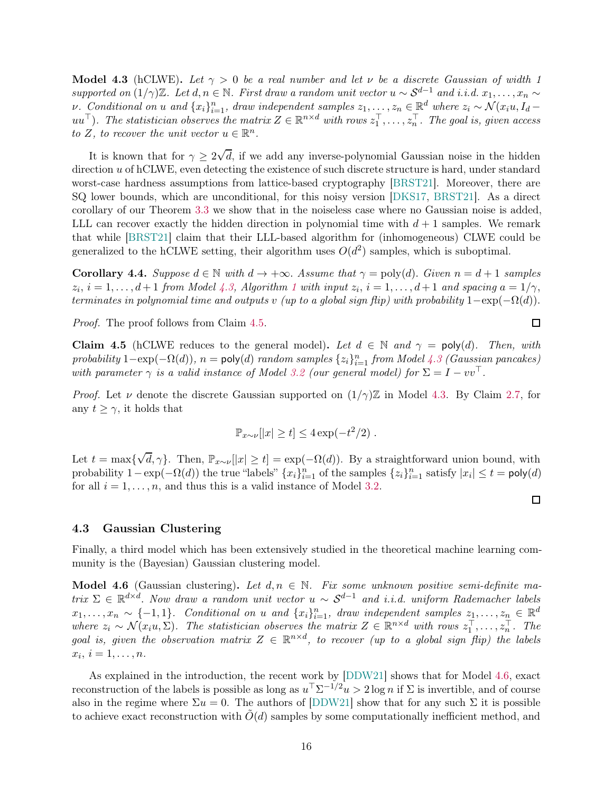<span id="page-15-1"></span>Model 4.3 (hCLWE). Let  $\gamma > 0$  be a real number and let v be a discrete Gaussian of width 1 supported on  $(1/\gamma)\mathbb{Z}$ . Let  $d, n \in \mathbb{N}$ . First draw a random unit vector  $u \sim S^{d-1}$  and i.i.d.  $x_1, \ldots, x_n \sim$ v. Conditional on u and  ${x_i}_{i=1}^n$ , draw independent samples  $z_1, \ldots, z_n \in \mathbb{R}^d$  where  $z_i \sim \mathcal{N}(x_i u, I_d - \tau)$  $uu^{\top}$ ). The statistician observes the matrix  $Z \in \mathbb{R}^{n \times d}$  with rows  $z_1^{\top}, \ldots, z_n^{\top}$ . The goal is, given access to Z, to recover the unit vector  $u \in \mathbb{R}^n$ .

It is known that for  $\gamma \geq 2\sqrt{d}$ , if we add any inverse-polynomial Gaussian noise in the hidden direction u of hCLWE, even detecting the existence of such discrete structure is hard, under standard worst-case hardness assumptions from lattice-based cryptography [\[BRST21\]](#page-40-2). Moreover, there are SQ lower bounds, which are unconditional, for this noisy version [\[DKS17,](#page-41-3) [BRST21\]](#page-40-2). As a direct corollary of our Theorem [3.3](#page-12-2) we show that in the noiseless case where no Gaussian noise is added, LLL can recover exactly the hidden direction in polynomial time with  $d+1$  samples. We remark that while [\[BRST21\]](#page-40-2) claim that their LLL-based algorithm for (inhomogeneous) CLWE could be generalized to the hCLWE setting, their algorithm uses  $O(d^2)$  samples, which is suboptimal.

Corollary 4.4. Suppose  $d \in \mathbb{N}$  with  $d \to +\infty$ . Assume that  $\gamma = \text{poly}(d)$ . Given  $n = d + 1$  samples  $z_i$ ,  $i = 1, \ldots, d+1$  $i = 1, \ldots, d+1$  $i = 1, \ldots, d+1$  from Model [4.3,](#page-15-1) Algorithm 1 with input  $z_i$ ,  $i = 1, \ldots, d+1$  and spacing  $a = 1/\gamma$ , terminates in polynomial time and outputs v (up to a global sign flip) with probability  $1-\exp(-\Omega(d))$ .

Proof. The proof follows from Claim [4.5.](#page-15-3)

<span id="page-15-3"></span>**Claim 4.5** (hCLWE reduces to the general model). Let  $d \in \mathbb{N}$  and  $\gamma = \text{poly}(d)$ . Then, with probability  $1-\exp(-\Omega(d))$ ,  $n = \text{poly}(d)$  random samples  $\{z_i\}_{i=1}^n$  from Model [4.3](#page-15-1) (Gaussian pancakes) with parameter  $\gamma$  is a valid instance of Model [3.2](#page-11-2) (our general model) for  $\Sigma = I - vv^{\top}$ .

*Proof.* Let  $\nu$  denote the discrete Gaussian supported on  $(1/\gamma)\mathbb{Z}$  in Model [4.3.](#page-15-1) By Claim [2.7,](#page-10-1) for any  $t \geq \gamma$ , it holds that

$$
\mathbb{P}_{x \sim \nu}[|x| \ge t] \le 4 \exp(-t^2/2).
$$

Let  $t = \max{\lbrace \sqrt{d}, \gamma \rbrace}$ . Then,  $\mathbb{P}_{x \sim \nu}[|x| \ge t] = \exp(-\Omega(d))$ . By a straightforward union bound, with probability  $1 - \exp(-\Omega(d))$  the true "labels"  $\{x_i\}_{i=1}^n$  of the samples  $\{z_i\}_{i=1}^n$  satisfy  $|x_i| \le t = \text{poly}(d)$ for all  $i = 1, \ldots, n$ , and thus this is a valid instance of Model [3.2.](#page-11-2)

### <span id="page-15-0"></span>4.3 Gaussian Clustering

Finally, a third model which has been extensively studied in the theoretical machine learning community is the (Bayesian) Gaussian clustering model.

<span id="page-15-2"></span>**Model 4.6** (Gaussian clustering). Let  $d, n \in \mathbb{N}$ . Fix some unknown positive semi-definite matrix  $\Sigma \in \mathbb{R}^{d \times d}$ . Now draw a random unit vector  $u \sim S^{d-1}$  and i.i.d. uniform Rademacher labels  $x_1, \ldots, x_n \sim \{-1, 1\}$ . Conditional on u and  $\{x_i\}_{i=1}^n$ , draw independent samples  $z_1, \ldots, z_n \in \mathbb{R}^d$ where  $z_i \sim \mathcal{N}(x_i u, \Sigma)$ . The statistician observes the matrix  $Z \in \mathbb{R}^{n \times d}$  with rows  $z_1^\top, \ldots, z_n^\top$ . The goal is, given the observation matrix  $Z \in \mathbb{R}^{n \times d}$ , to recover (up to a global sign flip) the labels  $x_i, i = 1, \ldots, n.$ 

As explained in the introduction, the recent work by [\[DDW21\]](#page-40-1) shows that for Model [4.6,](#page-15-2) exact reconstruction of the labels is possible as long as  $u^{\top} \Sigma^{-1/2} u > 2 \log n$  if  $\Sigma$  is invertible, and of course also in the regime where  $\Sigma u = 0$ . The authors of [\[DDW21\]](#page-40-1) show that for any such  $\Sigma$  it is possible to achieve exact reconstruction with  $O(d)$  samples by some computationally inefficient method, and

## $\Box$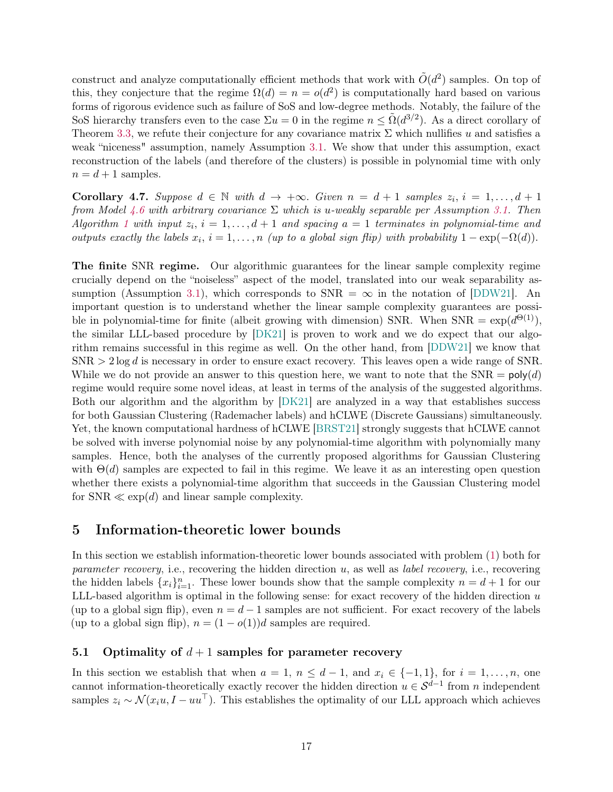construct and analyze computationally efficient methods that work with  $\tilde{O}(d^2)$  samples. On top of this, they conjecture that the regime  $\Omega(d) = n = o(d^2)$  is computationally hard based on various forms of rigorous evidence such as failure of SoS and low-degree methods. Notably, the failure of the SoS hierarchy transfers even to the case  $\Sigma u = 0$  in the regime  $n \leq \tilde{\Omega}(d^{3/2})$ . As a direct corollary of Theorem [3.3,](#page-12-2) we refute their conjecture for any covariance matrix  $\Sigma$  which nullifies u and satisfies a weak "niceness" assumption, namely Assumption [3.1.](#page-11-1) We show that under this assumption, exact reconstruction of the labels (and therefore of the clusters) is possible in polynomial time with only  $n = d + 1$  samples.

**Corollary 4.7.** Suppose  $d \in \mathbb{N}$  with  $d \to +\infty$ . Given  $n = d + 1$  samples  $z_i$ ,  $i = 1, ..., d + 1$ from Model [4.6](#page-15-2) with arbitrary covariance  $\Sigma$  which is u-weakly separable per Assumption [3.1.](#page-11-1) Then Algorithm [1](#page-12-1) with input  $z_i$ ,  $i = 1, \ldots, d + 1$  and spacing  $a = 1$  terminates in polynomial-time and outputs exactly the labels  $x_i$ ,  $i = 1, ..., n$  (up to a global sign flip) with probability  $1 - \exp(-\Omega(d))$ .

The finite SNR regime. Our algorithmic guarantees for the linear sample complexity regime crucially depend on the "noiseless" aspect of the model, translated into our weak separability as-sumption (Assumption [3.1\)](#page-11-1), which corresponds to  $SNR = \infty$  in the notation of [\[DDW21\]](#page-40-1). An important question is to understand whether the linear sample complexity guarantees are possible in polynomial-time for finite (albeit growing with dimension) SNR. When  $SNR = exp(d^{\Theta(1)})$ , the similar LLL-based procedure by [\[DK21\]](#page-41-10) is proven to work and we do expect that our algorithm remains successful in this regime as well. On the other hand, from [\[DDW21\]](#page-40-1) we know that  $SNR > 2 \log d$  is necessary in order to ensure exact recovery. This leaves open a wide range of SNR. While we do not provide an answer to this question here, we want to note that the  $SNR = poly(d)$ regime would require some novel ideas, at least in terms of the analysis of the suggested algorithms. Both our algorithm and the algorithm by [\[DK21\]](#page-41-10) are analyzed in a way that establishes success for both Gaussian Clustering (Rademacher labels) and hCLWE (Discrete Gaussians) simultaneously. Yet, the known computational hardness of hCLWE [\[BRST21\]](#page-40-2) strongly suggests that hCLWE cannot be solved with inverse polynomial noise by any polynomial-time algorithm with polynomially many samples. Hence, both the analyses of the currently proposed algorithms for Gaussian Clustering with  $\Theta(d)$  samples are expected to fail in this regime. We leave it as an interesting open question whether there exists a polynomial-time algorithm that succeeds in the Gaussian Clustering model for  $SNR \ll exp(d)$  and linear sample complexity.

## <span id="page-16-0"></span>5 Information-theoretic lower bounds

In this section we establish information-theoretic lower bounds associated with problem [\(1\)](#page-2-1) both for *parameter recovery*, i.e., recovering the hidden direction u, as well as *label recovery*, i.e., recovering the hidden labels  $\{x_i\}_{i=1}^n$ . These lower bounds show that the sample complexity  $n = d + 1$  for our LLL-based algorithm is optimal in the following sense: for exact recovery of the hidden direction  $u$ (up to a global sign flip), even  $n = d - 1$  samples are not sufficient. For exact recovery of the labels (up to a global sign flip),  $n = (1 - o(1))d$  samples are required.

## <span id="page-16-1"></span>5.1 Optimality of  $d+1$  samples for parameter recovery

In this section we establish that when  $a = 1, n \leq d - 1$ , and  $x_i \in \{-1, 1\}$ , for  $i = 1, \ldots, n$ , one cannot information-theoretically exactly recover the hidden direction  $u \in S^{d-1}$  from n independent samples  $z_i \sim \mathcal{N}(x_i u, I - u u^\top)$ . This establishes the optimality of our LLL approach which achieves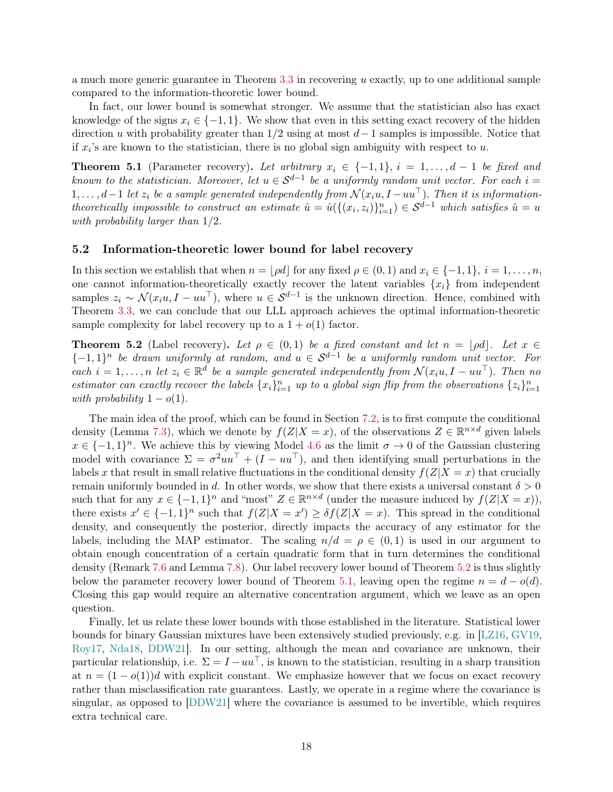a much more generic guarantee in Theorem  $3.3$  in recovering u exactly, up to one additional sample compared to the information-theoretic lower bound.

In fact, our lower bound is somewhat stronger. We assume that the statistician also has exact knowledge of the signs  $x_i \in \{-1, 1\}$ . We show that even in this setting exact recovery of the hidden direction u with probability greater than  $1/2$  using at most  $d-1$  samples is impossible. Notice that if  $x_i$ 's are known to the statistician, there is no global sign ambiguity with respect to  $u$ .

<span id="page-17-1"></span>**Theorem 5.1** (Parameter recovery). Let arbitrary  $x_i \in \{-1,1\}$ ,  $i = 1, \ldots, d-1$  be fixed and known to the statistician. Moreover, let  $u \in S^{d-1}$  be a uniformly random unit vector. For each  $i =$  $1, \ldots, d-1$  let  $z_i$  be a sample generated independently from  $\mathcal{N}(x_iu, I - uu^\top)$ . Then it is informationtheoretically impossible to construct an estimate  $\hat{u} = \hat{u}(\{(x_i, z_i)\}_{i=1}^n) \in S^{d-1}$  which satisfies  $\hat{u} = u$ with probability larger than 1/2.

## <span id="page-17-0"></span>5.2 Information-theoretic lower bound for label recovery

In this section we establish that when  $n = |\rho d|$  for any fixed  $\rho \in (0, 1)$  and  $x_i \in \{-1, 1\}$ ,  $i = 1, \ldots, n$ , one cannot information-theoretically exactly recover the latent variables  $\{x_i\}$  from independent samples  $z_i \sim \mathcal{N}(x_i u, I - u u^\top)$ , where  $u \in \mathcal{S}^{d-1}$  is the unknown direction. Hence, combined with Theorem [3.3,](#page-12-2) we can conclude that our LLL approach achieves the optimal information-theoretic sample complexity for label recovery up to a  $1 + o(1)$  factor.

<span id="page-17-2"></span>**Theorem 5.2** (Label recovery). Let  $\rho \in (0,1)$  be a fixed constant and let  $n = |\rho d|$ . Let  $x \in$  ${-1,1}^n$  be drawn uniformly at random, and  $u \in S^{d-1}$  be a uniformly random unit vector. For each  $i = 1, \ldots, n$  let  $z_i \in \mathbb{R}^d$  be a sample generated independently from  $\mathcal{N}(x_iu, I - uu^\top)$ . Then no estimator can exactly recover the labels  $\{x_i\}_{i=1}^n$  up to a global sign flip from the observations  $\{z_i\}_{i=1}^n$ with probability  $1-o(1)$ .

The main idea of the proof, which can be found in Section [7.2,](#page-29-0) is to first compute the conditional density (Lemma [7.3\)](#page-29-1), which we denote by  $f(Z|X=x)$ , of the observations  $Z \in \mathbb{R}^{n \times d}$  given labels  $x \in \{-1,1\}^n$ . We achieve this by viewing Model [4.6](#page-15-2) as the limit  $\sigma \to 0$  of the Gaussian clustering model with covariance  $\Sigma = \sigma^2 u u^\top + (I - u u^\top)$ , and then identifying small perturbations in the labels x that result in small relative fluctuations in the conditional density  $f(Z|X=x)$  that crucially remain uniformly bounded in d. In other words, we show that there exists a universal constant  $\delta > 0$ such that for any  $x \in \{-1,1\}^n$  and "most"  $Z \in \mathbb{R}^{n \times d}$  (under the measure induced by  $f(Z|X=x)$ ), there exists  $x' \in \{-1,1\}^n$  such that  $f(Z|X=x') \geq \delta f(Z|X=x)$ . This spread in the conditional density, and consequently the posterior, directly impacts the accuracy of any estimator for the labels, including the MAP estimator. The scaling  $n/d = \rho \in (0,1)$  is used in our argument to obtain enough concentration of a certain quadratic form that in turn determines the conditional density (Remark [7.6](#page-30-0) and Lemma [7.8\)](#page-31-0). Our label recovery lower bound of Theorem [5.2](#page-17-2) is thus slightly below the parameter recovery lower bound of Theorem [5.1,](#page-17-1) leaving open the regime  $n = d - o(d)$ . Closing this gap would require an alternative concentration argument, which we leave as an open question.

Finally, let us relate these lower bounds with those established in the literature. Statistical lower bounds for binary Gaussian mixtures have been extensively studied previously, e.g. in [\[LZ16,](#page-44-11) [GV19,](#page-42-12) [Roy17,](#page-45-10) [Nda18,](#page-44-12) [DDW21\]](#page-40-1). In our setting, although the mean and covariance are unknown, their particular relationship, i.e.  $\Sigma = I - uu^{\top}$ , is known to the statistician, resulting in a sharp transition at  $n = (1 - o(1))d$  with explicit constant. We emphasize however that we focus on exact recovery rather than misclassification rate guarantees. Lastly, we operate in a regime where the covariance is singular, as opposed to [\[DDW21\]](#page-40-1) where the covariance is assumed to be invertible, which requires extra technical care.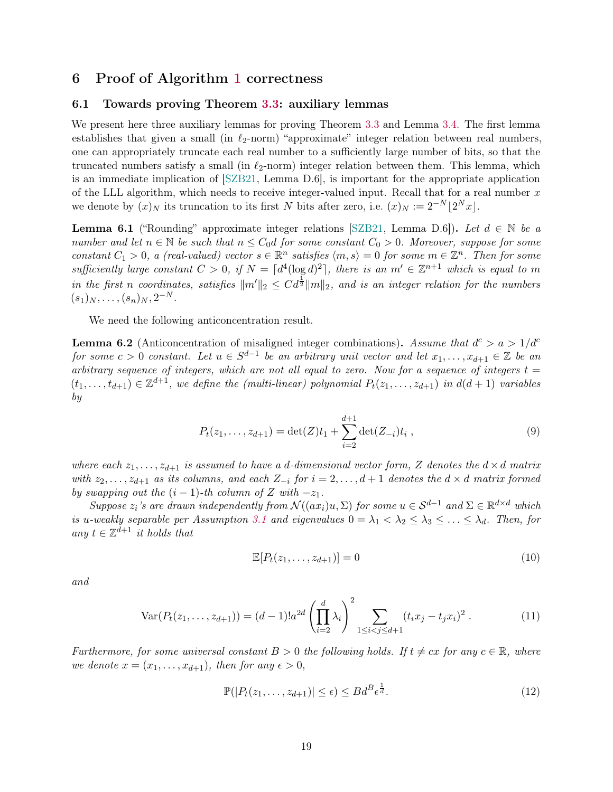## <span id="page-18-1"></span><span id="page-18-0"></span>6 Proof of Algorithm [1](#page-12-1) correctness

## 6.1 Towards proving Theorem [3.3:](#page-12-2) auxiliary lemmas

We present here three auxiliary lemmas for proving Theorem [3.3](#page-12-2) and Lemma [3.4.](#page-13-0) The first lemma establishes that given a small (in  $\ell_2$ -norm) "approximate" integer relation between real numbers, one can appropriately truncate each real number to a sufficiently large number of bits, so that the truncated numbers satisfy a small (in  $\ell_2$ -norm) integer relation between them. This lemma, which is an immediate implication of [\[SZB21,](#page-45-3) Lemma D.6], is important for the appropriate application of the LLL algorithm, which needs to receive integer-valued input. Recall that for a real number  $x$ we denote by  $(x)_N$  its truncation to its first N bits after zero, i.e.  $(x)_N := 2^{-N} \lfloor 2^N x \rfloor$ .

<span id="page-18-6"></span>**Lemma 6.1** ("Rounding" approximate integer relations [\[SZB21,](#page-45-3) Lemma D.6]). Let  $d \in \mathbb{N}$  be a number and let  $n \in \mathbb{N}$  be such that  $n \leq C_0 d$  for some constant  $C_0 > 0$ . Moreover, suppose for some constant  $C_1 > 0$ , a (real-valued) vector  $s \in \mathbb{R}^n$  satisfies  $\langle m, s \rangle = 0$  for some  $m \in \mathbb{Z}^n$ . Then for some sufficiently large constant  $C > 0$ , if  $N = \lceil d^4(\log d)^2 \rceil$ , there is an  $m' \in \mathbb{Z}^{n+1}$  which is equal to m in the first n coordinates, satisfies  $||m'||_2 \leq C d^{\frac{1}{2}} ||m||_2$ , and is an integer relation for the numbers  $(s_1)_N, \ldots, (s_n)_N, 2^{-N}.$ 

We need the following anticoncentration result.

<span id="page-18-5"></span>**Lemma 6.2** (Anticoncentration of misaligned integer combinations). Assume that  $d^c > a > 1/d^c$ for some  $c > 0$  constant. Let  $u \in S^{d-1}$  be an arbitrary unit vector and let  $x_1, \ldots, x_{d+1} \in \mathbb{Z}$  be an arbitrary sequence of integers, which are not all equal to zero. Now for a sequence of integers  $t =$  $(t_1,\ldots,t_{d+1})\in\mathbb{Z}^{d+1}$ , we define the (multi-linear) polynomial  $P_t(z_1,\ldots,z_{d+1})$  in  $d(d+1)$  variables by

$$
P_t(z_1,\ldots,z_{d+1}) = \det(Z)t_1 + \sum_{i=2}^{d+1} \det(Z_{-i})t_i , \qquad (9)
$$

where each  $z_1, \ldots, z_{d+1}$  is assumed to have a d-dimensional vector form, Z denotes the  $d \times d$  matrix with  $z_2, \ldots, z_{d+1}$  as its columns, and each  $Z_{-i}$  for  $i = 2, \ldots, d+1$  denotes the  $d \times d$  matrix formed by swapping out the  $(i - 1)$ -th column of Z with  $-z_1$ .

Suppose  $z_i$ 's are drawn independently from  $\mathcal{N}((ax_i)u, \Sigma)$  for some  $u \in \mathcal{S}^{d-1}$  and  $\Sigma \in \mathbb{R}^{d \times d}$  which is u-weakly separable per Assumption [3.1](#page-11-1) and eigenvalues  $0 = \lambda_1 < \lambda_2 \leq \lambda_3 \leq \ldots \leq \lambda_d$ . Then, for any  $t \in \mathbb{Z}^{d+1}$  it holds that

<span id="page-18-7"></span><span id="page-18-4"></span><span id="page-18-3"></span>
$$
\mathbb{E}[P_t(z_1,\ldots,z_{d+1})] = 0\tag{10}
$$

and

$$
\text{Var}(P_t(z_1,\ldots,z_{d+1})) = (d-1)!a^{2d} \left(\prod_{i=2}^d \lambda_i\right)^2 \sum_{1 \le i < j \le d+1} (t_i x_j - t_j x_i)^2. \tag{11}
$$

Furthermore, for some universal constant  $B > 0$  the following holds. If  $t \neq cx$  for any  $c \in \mathbb{R}$ , where we denote  $x = (x_1, \ldots, x_{d+1})$ , then for any  $\epsilon > 0$ ,

<span id="page-18-2"></span>
$$
\mathbb{P}(|P_t(z_1,\ldots,z_{d+1})| \le \epsilon) \le B d^B \epsilon^{\frac{1}{d}}.
$$
\n(12)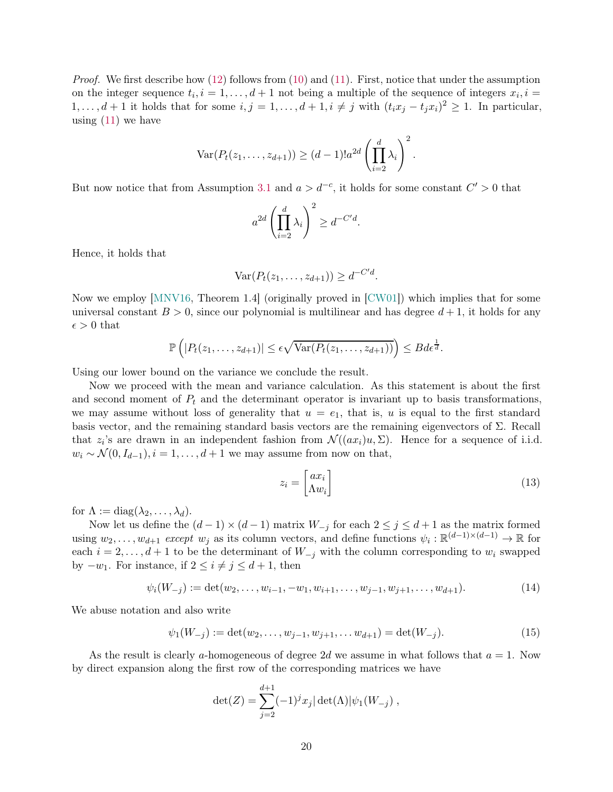*Proof.* We first describe how  $(12)$  follows from  $(10)$  and  $(11)$ . First, notice that under the assumption on the integer sequence  $t_i, i = 1, \ldots, d+1$  not being a multiple of the sequence of integers  $x_i, i =$  $1, \ldots, d+1$  it holds that for some  $i, j = 1, \ldots, d+1, i \neq j$  with  $(t_i x_j - t_j x_i)^2 \geq 1$ . In particular, using  $(11)$  we have

$$
\operatorname{Var}(P_t(z_1,\ldots,z_{d+1})) \ge (d-1)!a^{2d} \left(\prod_{i=2}^d \lambda_i\right)^2.
$$

But now notice that from Assumption [3.1](#page-11-1) and  $a > d^{-c}$ , it holds for some constant  $C' > 0$  that

$$
a^{2d} \left( \prod_{i=2}^d \lambda_i \right)^2 \ge d^{-C'd}.
$$

Hence, it holds that

$$
\text{Var}(P_t(z_1,\ldots,z_{d+1}))\geq d^{-C'd}.
$$

Now we employ [\[MNV16,](#page-44-13) Theorem 1.4] (originally proved in [\[CW01\]](#page-40-12)) which implies that for some universal constant  $B > 0$ , since our polynomial is multilinear and has degree  $d+1$ , it holds for any  $\epsilon > 0$  that

$$
\mathbb{P}\left(|P_t(z_1,\ldots,z_{d+1})| \leq \epsilon \sqrt{\text{Var}(P_t(z_1,\ldots,z_{d+1}))}\right) \leq B d\epsilon^{\frac{1}{d}}.
$$

Using our lower bound on the variance we conclude the result.

Now we proceed with the mean and variance calculation. As this statement is about the first and second moment of  $P_t$  and the determinant operator is invariant up to basis transformations, we may assume without loss of generality that  $u = e_1$ , that is, u is equal to the first standard basis vector, and the remaining standard basis vectors are the remaining eigenvectors of Σ. Recall that  $z_i$ 's are drawn in an independent fashion from  $\mathcal{N}((ax_i)u, \Sigma)$ . Hence for a sequence of i.i.d.  $w_i \sim \mathcal{N}(0, I_{d-1}), i = 1, \ldots, d+1$  we may assume from now on that,

$$
z_i = \begin{bmatrix} ax_i \\ \Lambda w_i \end{bmatrix} \tag{13}
$$

for  $\Lambda := \text{diag}(\lambda_2, \ldots, \lambda_d)$ .

Now let us define the  $(d-1) \times (d-1)$  matrix  $W_{-j}$  for each  $2 \leq j \leq d+1$  as the matrix formed using  $w_2, \ldots, w_{d+1}$  except  $w_j$  as its column vectors, and define functions  $\psi_i : \mathbb{R}^{(d-1)\times(d-1)} \to \mathbb{R}$  for each  $i = 2, \ldots, d + 1$  to be the determinant of  $W_{-j}$  with the column corresponding to  $w_i$  swapped by  $-w_1$ . For instance, if  $2 \leq i \neq j \leq d+1$ , then

$$
\psi_i(W_{-j}) := \det(w_2, \dots, w_{i-1}, -w_1, w_{i+1}, \dots, w_{j-1}, w_{j+1}, \dots, w_{d+1}). \tag{14}
$$

We abuse notation and also write

$$
\psi_1(W_{-j}) := \det(w_2, \dots, w_{j-1}, w_{j+1}, \dots w_{d+1}) = \det(W_{-j}).\tag{15}
$$

As the result is clearly a-homogeneous of degree 2d we assume in what follows that  $a = 1$ . Now by direct expansion along the first row of the corresponding matrices we have

$$
\det(Z) = \sum_{j=2}^{d+1} (-1)^j x_j |\det(\Lambda)| \psi_1(W_{-j}),
$$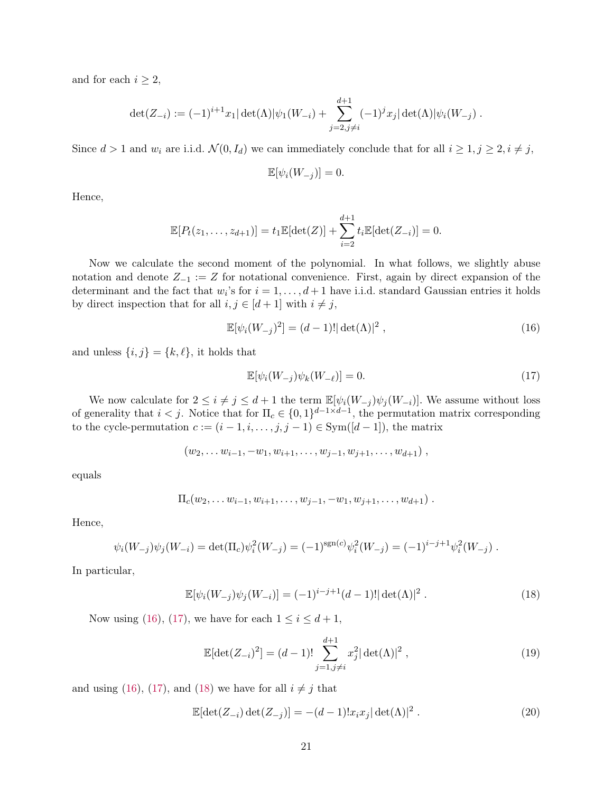and for each  $i \geq 2$ ,

$$
\det(Z_{-i}) := (-1)^{i+1} x_1 |\det(\Lambda)| \psi_1(W_{-i}) + \sum_{j=2, j\neq i}^{d+1} (-1)^j x_j |\det(\Lambda)| \psi_i(W_{-j}).
$$

Since  $d > 1$  and  $w_i$  are i.i.d.  $\mathcal{N}(0, I_d)$  we can immediately conclude that for all  $i \geq 1, j \geq 2, i \neq j$ ,

$$
\mathbb{E}[\psi_i(W_{-j})] = 0.
$$

Hence,

$$
\mathbb{E}[P_t(z_1,\ldots,z_{d+1})] = t_1 \mathbb{E}[\det(Z)] + \sum_{i=2}^{d+1} t_i \mathbb{E}[\det(Z_{-i})] = 0.
$$

Now we calculate the second moment of the polynomial. In what follows, we slightly abuse notation and denote  $Z_{-1} := Z$  for notational convenience. First, again by direct expansion of the determinant and the fact that  $w_i$ 's for  $i = 1, \ldots, d+1$  have i.i.d. standard Gaussian entries it holds by direct inspection that for all  $i, j \in [d+1]$  with  $i \neq j$ ,

$$
\mathbb{E}[\psi_i(W_{-j})^2] = (d-1)! |\det(\Lambda)|^2 , \qquad (16)
$$

and unless  $\{i, j\} = \{k, \ell\}$ , it holds that

<span id="page-20-1"></span><span id="page-20-0"></span>
$$
\mathbb{E}[\psi_i(W_{-j})\psi_k(W_{-\ell})] = 0. \tag{17}
$$

We now calculate for  $2 \leq i \neq j \leq d+1$  the term  $\mathbb{E}[\psi_i(W_{-j})\psi_j(W_{-i})]$ . We assume without loss of generality that  $i < j$ . Notice that for  $\Pi_c \in \{0,1\}^{d-1 \times d-1}$ , the permutation matrix corresponding to the cycle-permutation  $c := (i - 1, i, \ldots, j, j - 1) \in Sym([d - 1])$ , the matrix

$$
(w_2,\ldots w_{i-1},-w_1,w_{i+1},\ldots,w_{j-1},w_{j+1},\ldots,w_{d+1}),
$$

equals

$$
\Pi_c(w_2,\ldots w_{i-1},w_{i+1},\ldots,w_{j-1},-w_1,w_{j+1},\ldots,w_{d+1})
$$
.

Hence,

$$
\psi_i(W_{-j})\psi_j(W_{-i}) = \det(\Pi_c)\psi_i^2(W_{-j}) = (-1)^{\text{sgn}(c)}\psi_i^2(W_{-j}) = (-1)^{i-j+1}\psi_i^2(W_{-j}).
$$

In particular,

$$
\mathbb{E}[\psi_i(W_{-j})\psi_j(W_{-i})] = (-1)^{i-j+1}(d-1)!|\det(\Lambda)|^2.
$$
 (18)

Now using [\(16\)](#page-20-0), [\(17\)](#page-20-1), we have for each  $1 \leq i \leq d+1$ ,

<span id="page-20-2"></span>
$$
\mathbb{E}[\det(Z_{-i})^2] = (d-1)! \sum_{j=1, j \neq i}^{d+1} x_j^2 |\det(\Lambda)|^2 , \qquad (19)
$$

and using [\(16\)](#page-20-0), [\(17\)](#page-20-1), and [\(18\)](#page-20-2) we have for all  $i \neq j$  that

$$
\mathbb{E}[\det(Z_{-i}) \det(Z_{-j})] = -(d-1)!x_i x_j |\det(\Lambda)|^2.
$$
 (20)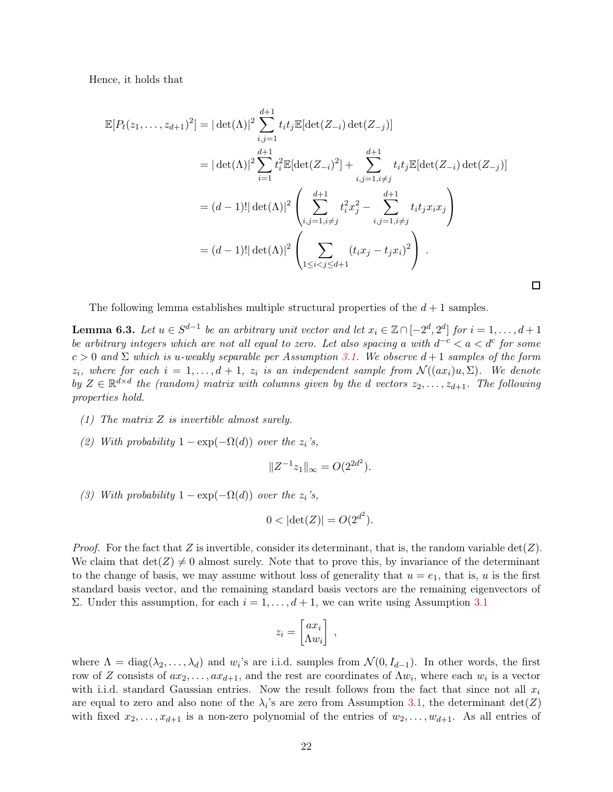Hence, it holds that

$$
\mathbb{E}[P_t(z_1,\ldots,z_{d+1})^2] = |\det(\Lambda)|^2 \sum_{i,j=1}^{d+1} t_i t_j \mathbb{E}[\det(Z_{-i}) \det(Z_{-j})]
$$
  
\n
$$
= |\det(\Lambda)|^2 \sum_{i=1}^{d+1} t_i^2 \mathbb{E}[\det(Z_{-i})^2] + \sum_{i,j=1, i\neq j}^{d+1} t_i t_j \mathbb{E}[\det(Z_{-i}) \det(Z_{-j})]
$$
  
\n
$$
= (d-1)! |\det(\Lambda)|^2 \left( \sum_{i,j=1, i\neq j}^{d+1} t_i^2 x_j^2 - \sum_{i,j=1, i\neq j}^{d+1} t_i t_j x_i x_j \right)
$$
  
\n
$$
= (d-1)! |\det(\Lambda)|^2 \left( \sum_{1 \le i < j \le d+1} (t_i x_j - t_j x_i)^2 \right).
$$

The following lemma establishes multiple structural properties of the  $d+1$  samples.

<span id="page-21-0"></span>**Lemma 6.3.** Let  $u \in S^{d-1}$  be an arbitrary unit vector and let  $x_i \in \mathbb{Z} \cap [-2^d, 2^d]$  for  $i = 1, ..., d+1$ be arbitrary integers which are not all equal to zero. Let also spacing a with  $d^{-c} < a < d^{c}$  for some  $c > 0$  and  $\Sigma$  which is u-weakly separable per Assumption [3.1.](#page-11-1) We observe  $d+1$  samples of the form  $z_i$ , where for each  $i = 1, ..., d + 1$ ,  $z_i$  is an independent sample from  $\mathcal{N}((ax_i)u, \Sigma)$ . We denote by  $Z \in \mathbb{R}^{d \times d}$  the (random) matrix with columns given by the d vectors  $z_2, \ldots, z_{d+1}$ . The following properties hold.

- (1) The matrix Z is invertible almost surely.
- (2) With probability  $1 \exp(-\Omega(d))$  over the  $z_i$ 's,

$$
||Z^{-1}z_1||_{\infty} = O(2^{2d^2}).
$$

(3) With probability  $1 - \exp(-\Omega(d))$  over the  $z_i$ 's,

$$
0 < |\det(Z)| = O(2^{d^2}).
$$

*Proof.* For the fact that Z is invertible, consider its determinant, that is, the random variable  $det(Z)$ . We claim that  $\det(Z) \neq 0$  almost surely. Note that to prove this, by invariance of the determinant to the change of basis, we may assume without loss of generality that  $u = e_1$ , that is, u is the first standard basis vector, and the remaining standard basis vectors are the remaining eigenvectors of Σ. Under this assumption, for each  $i = 1, \ldots, d + 1$ , we can write using Assumption [3.1](#page-11-1)

$$
z_i = \begin{bmatrix} ax_i \\ \Lambda w_i \end{bmatrix} ,
$$

where  $\Lambda = \text{diag}(\lambda_2, \dots, \lambda_d)$  and  $w_i$ 's are i.i.d. samples from  $\mathcal{N}(0, I_{d-1})$ . In other words, the first row of Z consists of  $ax_2, \ldots, ax_{d+1}$ , and the rest are coordinates of  $\Lambda w_i$ , where each  $w_i$  is a vector with i.i.d. standard Gaussian entries. Now the result follows from the fact that since not all  $x_i$ are equal to zero and also none of the  $\lambda_i$ 's are zero from Assumption [3.1,](#page-11-1) the determinant  $det(Z)$ with fixed  $x_2, \ldots, x_{d+1}$  is a non-zero polynomial of the entries of  $w_2, \ldots, w_{d+1}$ . As all entries of

 $\Box$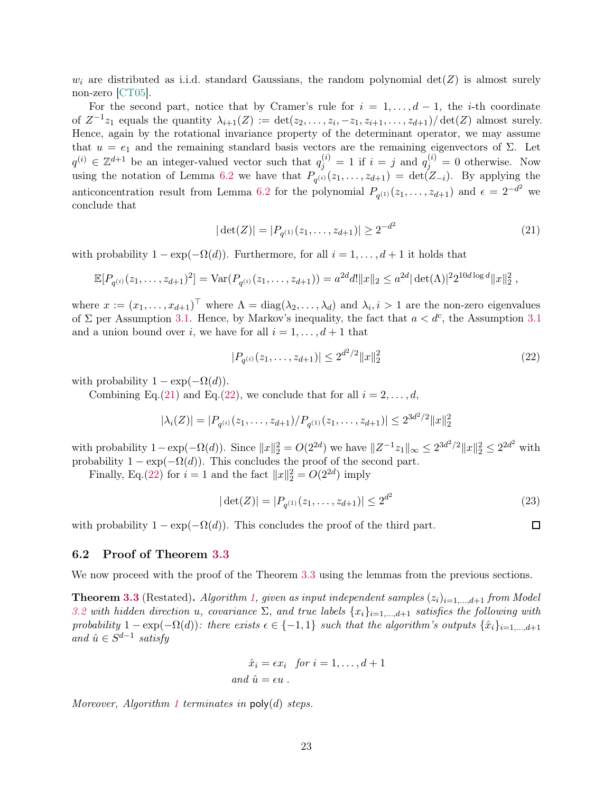$w_i$  are distributed as i.i.d. standard Gaussians, the random polynomial  $det(Z)$  is almost surely non-zero [\[CT05\]](#page-40-13).

For the second part, notice that by Cramer's rule for  $i = 1, \ldots, d - 1$ , the *i*-th coordinate of  $Z^{-1}z_1$  equals the quantity  $\lambda_{i+1}(Z) := \det(z_2, \ldots, z_i, -z_1, z_{i+1}, \ldots, z_{d+1})/\det(Z)$  almost surely. Hence, again by the rotational invariance property of the determinant operator, we may assume that  $u = e_1$  and the remaining standard basis vectors are the remaining eigenvectors of Σ. Let  $q^{(i)} \in \mathbb{Z}^{d+1}$  be an integer-valued vector such that  $q_j^{(i)} = 1$  if  $i = j$  and  $q_j^{(i)} = 0$  otherwise. Now using the notation of Lemma [6.2](#page-18-5) we have that  $P_{q^{(i)}}(z_1,\ldots,z_{d+1}) = \det(Z_{-i})$ . By applying the anticoncentration result from Lemma [6.2](#page-18-5) for the polynomial  $P_{q^{(1)}}(z_1,\ldots,z_{d+1})$  and  $\epsilon = 2^{-d^2}$  we conclude that

$$
|\det(Z)| = |P_{q^{(1)}}(z_1, \dots, z_{d+1})| \ge 2^{-d^2}
$$
\n(21)

with probability  $1 - \exp(-\Omega(d))$ . Furthermore, for all  $i = 1, \ldots, d+1$  it holds that

$$
\mathbb{E}[P_{q^{(i)}}(z_1,\ldots,z_{d+1})^2] = \text{Var}(P_{q^{(i)}}(z_1,\ldots,z_{d+1})) = a^{2d}d!||x||_2 \leq a^{2d}|\det(\Lambda)|^2 2^{10d\log d}||x||_2^2,
$$

where  $x := (x_1, \ldots, x_{d+1})^\top$  where  $\Lambda = \text{diag}(\lambda_2, \ldots, \lambda_d)$  and  $\lambda_i, i > 1$  are the non-zero eigenvalues of  $\Sigma$  per Assumption [3.1.](#page-11-1) Hence, by Markov's inequality, the fact that  $a < d^c$ , the Assumption [3.1](#page-11-1) and a union bound over i, we have for all  $i = 1, \ldots, d + 1$  that

$$
|P_{q^{(i)}}(z_1,\ldots,z_{d+1})| \le 2^{d^2/2} \|x\|_2^2 \tag{22}
$$

with probability  $1 - \exp(-\Omega(d)).$ 

Combining Eq.[\(21\)](#page-22-1) and Eq.[\(22\)](#page-22-2), we conclude that for all  $i = 2, \ldots, d$ ,

$$
|\lambda_i(Z)| = |P_{q^{(i)}}(z_1,\ldots,z_{d+1})/P_{q^{(1)}}(z_1,\ldots,z_{d+1})| \leq 2^{3d^2/2} ||x||_2^2
$$

with probability  $1 - \exp(-\Omega(d))$ . Since  $||x||_2^2 = O(2^{2d})$  we have  $||Z^{-1}z_1||_{\infty} \le 2^{3d^2/2} ||x||_2^2 \le 2^{2d^2}$  with probability  $1 - \exp(-\Omega(d))$ . This concludes the proof of the second part.

Finally, Eq.[\(22\)](#page-22-2) for  $i = 1$  and the fact  $||x||_2^2 = O(2^{2d})$  imply

$$
|\det(Z)| = |P_{q^{(1)}}(z_1, \dots, z_{d+1})| \le 2^{d^2}
$$
\n(23)

with probability  $1 - \exp(-\Omega(d))$ . This concludes the proof of the third part.

## <span id="page-22-2"></span><span id="page-22-1"></span>口

#### <span id="page-22-0"></span>6.2 Proof of Theorem [3.3](#page-12-2)

We now proceed with the proof of the Theorem [3.3](#page-12-2) using the lemmas from the previous sections.

**Theorem [3.3](#page-12-2)** (Restated). Algorithm [1,](#page-12-1) given as input independent samples  $(z_i)_{i=1,\dots,d+1}$  from Model [3.2](#page-11-2) with hidden direction u, covariance  $\Sigma$ , and true labels  $\{x_i\}_{i=1,\dots,d+1}$  satisfies the following with probability  $1 - \exp(-\Omega(d))$ : there exists  $\epsilon \in \{-1,1\}$  such that the algorithm's outputs  $\{\hat{x}_i\}_{i=1,\dots,d+1}$ and  $\hat{u} \in S^{d-1}$  satisfy

$$
\hat{x}_i = \epsilon x_i \text{ for } i = 1, \dots, d+1
$$
  
and  $\hat{u} = \epsilon u$ .

Moreover, Algorithm [1](#page-12-1) terminates in  $poly(d)$  steps.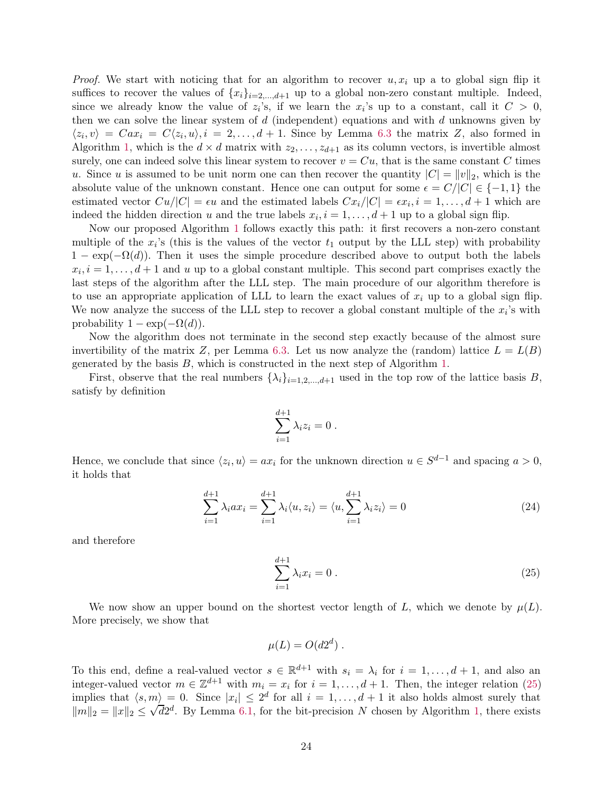*Proof.* We start with noticing that for an algorithm to recover  $u, x_i$  up a to global sign flip it suffices to recover the values of  ${x_i}_{i=2,\ldots,d+1}$  up to a global non-zero constant multiple. Indeed, since we already know the value of  $z_i$ 's, if we learn the  $x_i$ 's up to a constant, call it  $C > 0$ , then we can solve the linear system of  $d$  (independent) equations and with  $d$  unknowns given by  $\langle z_i, v \rangle = Cax_i = C\langle z_i, u \rangle, i = 2, \dots, d+1$ . Since by Lemma [6.3](#page-21-0) the matrix Z, also formed in Algorithm [1,](#page-12-1) which is the  $d \times d$  matrix with  $z_2, \ldots, z_{d+1}$  as its column vectors, is invertible almost surely, one can indeed solve this linear system to recover  $v = Cu$ , that is the same constant C times u. Since u is assumed to be unit norm one can then recover the quantity  $|C| = ||v||_2$ , which is the absolute value of the unknown constant. Hence one can output for some  $\epsilon = C/|C| \in \{-1, 1\}$  the estimated vector  $Cu/|C| = \epsilon u$  and the estimated labels  $Cx_i/|C| = \epsilon x_i, i = 1, \ldots, d+1$  which are indeed the hidden direction u and the true labels  $x_i$ ,  $i = 1, \ldots, d + 1$  up to a global sign flip.

Now our proposed Algorithm [1](#page-12-1) follows exactly this path: it first recovers a non-zero constant multiple of the  $x_i$ 's (this is the values of the vector  $t_1$  output by the LLL step) with probability  $1 - \exp(-\Omega(d))$ . Then it uses the simple procedure described above to output both the labels  $x_i, i = 1, \ldots, d+1$  and u up to a global constant multiple. This second part comprises exactly the last steps of the algorithm after the LLL step. The main procedure of our algorithm therefore is to use an appropriate application of LLL to learn the exact values of  $x_i$  up to a global sign flip. We now analyze the success of the LLL step to recover a global constant multiple of the  $x_i$ 's with probability  $1 - \exp(-\Omega(d)).$ 

Now the algorithm does not terminate in the second step exactly because of the almost sure invertibility of the matrix Z, per Lemma [6.3.](#page-21-0) Let us now analyze the (random) lattice  $L = L(B)$ generated by the basis  $B$ , which is constructed in the next step of Algorithm [1.](#page-12-1)

First, observe that the real numbers  $\{\lambda_i\}_{i=1,2,\dots,d+1}$  used in the top row of the lattice basis B, satisfy by definition

$$
\sum_{i=1}^{d+1} \lambda_i z_i = 0.
$$

Hence, we conclude that since  $\langle z_i, u \rangle = ax_i$  for the unknown direction  $u \in S^{d-1}$  and spacing  $a > 0$ , it holds that

$$
\sum_{i=1}^{d+1} \lambda_i a x_i = \sum_{i=1}^{d+1} \lambda_i \langle u, z_i \rangle = \langle u, \sum_{i=1}^{d+1} \lambda_i z_i \rangle = 0 \tag{24}
$$

and therefore

<span id="page-23-0"></span>
$$
\sum_{i=1}^{d+1} \lambda_i x_i = 0 \,. \tag{25}
$$

We now show an upper bound on the shortest vector length of L, which we denote by  $\mu(L)$ . More precisely, we show that

$$
\mu(L) = O(d2^d) \; .
$$

To this end, define a real-valued vector  $s \in \mathbb{R}^{d+1}$  with  $s_i = \lambda_i$  for  $i = 1, \ldots, d+1$ , and also an integer-valued vector  $m \in \mathbb{Z}^{d+1}$  with  $m_i = x_i$  for  $i = 1, ..., d+1$ . Then, the integer relation [\(25\)](#page-23-0) implies that  $\langle s, m \rangle = 0$ . Since  $|x_i| \leq 2^d$  for all  $i = 1, \ldots, d+1$  it also holds almost surely that  $||m||_2 = ||x||_2 \le \sqrt{d2^d}$ . By Lemma [6.1,](#page-18-6) for the bit-precision N chosen by Algorithm [1,](#page-12-1) there exists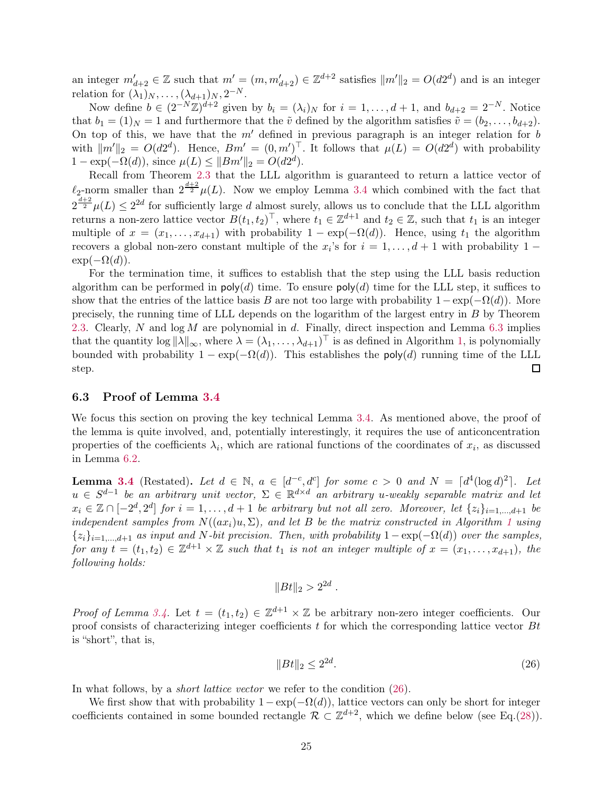an integer  $m'_{d+2} \in \mathbb{Z}$  such that  $m' = (m, m'_{d+2}) \in \mathbb{Z}^{d+2}$  satisfies  $||m'||_2 = O(d2^d)$  and is an integer relation for  $(\lambda_1)_N, \ldots, (\lambda_{d+1})_N, 2^{-N}$ .

Now define  $b \in (2^{-N}\mathbb{Z})^{d+2}$  given by  $b_i = (\lambda_i)_N$  for  $i = 1, ..., d+1$ , and  $b_{d+2} = 2^{-N}$ . Notice that  $b_1 = (1)_N = 1$  and furthermore that the  $\tilde{v}$  defined by the algorithm satisfies  $\tilde{v} = (b_2, \ldots, b_{d+2})$ . On top of this, we have that the  $m'$  defined in previous paragraph is an integer relation for b with  $||m'||_2 = O(d2^d)$ . Hence,  $Bm' = (0, m')^T$ . It follows that  $\mu(L) = O(d2^d)$  with probability  $1 - \exp(-\Omega(d))$ , since  $\mu(L) \leq ||Bm'||_2 = O(d2^d)$ .

Recall from Theorem [2.3](#page-10-2) that the LLL algorithm is guaranteed to return a lattice vector of  $\ell_2$ -norm smaller than  $2^{\frac{d+2}{2}}\mu(L)$ . Now we employ Lemma [3.4](#page-13-0) which combined with the fact that  $2^{\frac{d+2}{2}}\mu(L) \leq 2^{2d}$  for sufficiently large d almost surely, allows us to conclude that the LLL algorithm returns a non-zero lattice vector  $B(t_1, t_2)^\top$ , where  $t_1 \in \mathbb{Z}^{d+1}$  and  $t_2 \in \mathbb{Z}$ , such that  $t_1$  is an integer multiple of  $x = (x_1, \ldots, x_{d+1})$  with probability  $1 - \exp(-\Omega(d))$ . Hence, using  $t_1$  the algorithm recovers a global non-zero constant multiple of the  $x_i$ 's for  $i = 1, \ldots, d + 1$  with probability 1 –  $\exp(-\Omega(d)).$ 

For the termination time, it suffices to establish that the step using the LLL basis reduction algorithm can be performed in  $\mathsf{poly}(d)$  time. To ensure  $\mathsf{poly}(d)$  time for the LLL step, it suffices to show that the entries of the lattice basis B are not too large with probability  $1-\exp(-\Omega(d))$ . More precisely, the running time of LLL depends on the logarithm of the largest entry in B by Theorem [2.3.](#page-10-2) Clearly, N and  $log M$  are polynomial in d. Finally, direct inspection and Lemma [6.3](#page-21-0) implies that the quantity  $\log ||\lambda||_{\infty}$ , where  $\lambda = (\lambda_1, \ldots, \lambda_{d+1})^{\top}$  $\lambda = (\lambda_1, \ldots, \lambda_{d+1})^{\top}$  $\lambda = (\lambda_1, \ldots, \lambda_{d+1})^{\top}$  is as defined in Algorithm 1, is polynomially bounded with probability  $1 - \exp(-\Omega(d))$ . This establishes the poly(d) running time of the LLL step. П

#### <span id="page-24-0"></span>6.3 Proof of Lemma [3.4](#page-13-0)

We focus this section on proving the key technical Lemma [3.4.](#page-13-0) As mentioned above, the proof of the lemma is quite involved, and, potentially interestingly, it requires the use of anticoncentration properties of the coefficients  $\lambda_i$ , which are rational functions of the coordinates of  $x_i$ , as discussed in Lemma [6.2.](#page-18-5)

**Lemma [3.4](#page-13-0)** (Restated). Let  $d \in \mathbb{N}$ ,  $a \in [d^{-c}, d^{c}]$  for some  $c > 0$  and  $N = [d^{4}(\log d)^{2}]$ . Let  $u \in S^{d-1}$  be an arbitrary unit vector,  $\Sigma \in \mathbb{R}^{d \times d}$  an arbitrary u-weakly separable matrix and let  $x_i \in \mathbb{Z} \cap [-2^d, 2^d]$  for  $i = 1, \ldots, d+1$  be arbitrary but not all zero. Moreover, let  $\{z_i\}_{i=1,\ldots,d+1}$  be independent samples from  $N((ax_i)u, \Sigma)$ , and let B be the matrix constructed in Algorithm [1](#page-12-1) using  ${z_i}_{i=1,\ldots,d+1}$  as input and N-bit precision. Then, with probability  $1 - \exp(-\Omega(d))$  over the samples, for any  $t = (t_1, t_2) \in \mathbb{Z}^{d+1} \times \mathbb{Z}$  such that  $t_1$  is not an integer multiple of  $x = (x_1, \ldots, x_{d+1})$ , the following holds:

$$
||Bt||_2 > 2^{2d}.
$$

*Proof of Lemma [3.4.](#page-13-0)* Let  $t = (t_1, t_2) \in \mathbb{Z}^{d+1} \times \mathbb{Z}$  be arbitrary non-zero integer coefficients. Our proof consists of characterizing integer coefficients  $t$  for which the corresponding lattice vector  $Bt$ is "short", that is,

<span id="page-24-1"></span>
$$
||Bt||_2 \le 2^{2d}.\tag{26}
$$

In what follows, by a *short lattice vector* we refer to the condition  $(26)$ .

We first show that with probability  $1-\exp(-\Omega(d))$ , lattice vectors can only be short for integer coefficients contained in some bounded rectangle  $\mathcal{R} \subset \mathbb{Z}^{d+2}$ , which we define below (see Eq.[\(28\)](#page-25-0)).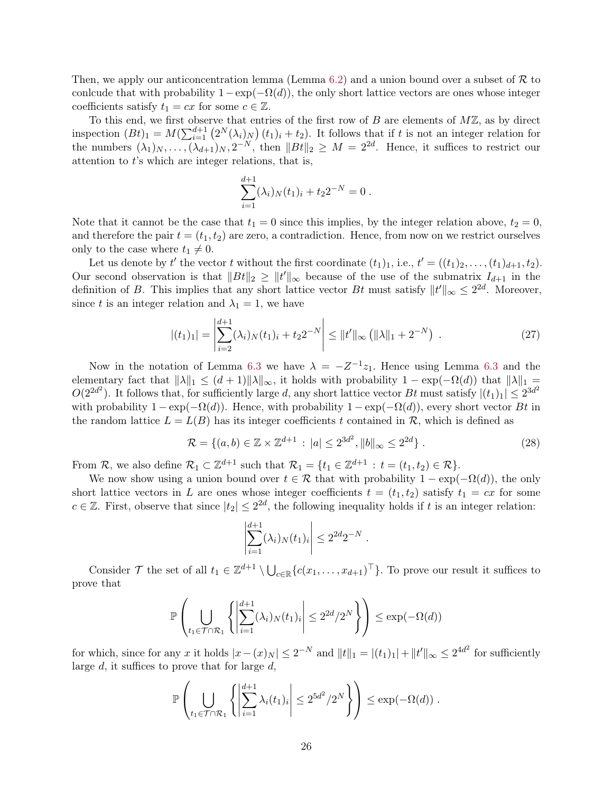Then, we apply our anticoncentration lemma (Lemma [6.2\)](#page-18-5) and a union bound over a subset of  $R$  to conlcude that with probability  $1-\exp(-\Omega(d))$ , the only short lattice vectors are ones whose integer coefficients satisfy  $t_1 = cx$  for some  $c \in \mathbb{Z}$ .

To this end, we first observe that entries of the first row of  $B$  are elements of  $M\mathbb{Z}$ , as by direct inspection  $(Bt)_1 = M(\sum_{i=1}^{d+1} (2^N(\lambda_i)_N)(t_1)_i + t_2)$ . It follows that if t is not an integer relation for the numbers  $(\lambda_1)_N, \ldots, (\lambda_{d+1})_N, 2^{-N}$ , then  $||Bt||_2 \geq M = 2^{2d}$ . Hence, it suffices to restrict our attention to t's which are integer relations, that is,

$$
\sum_{i=1}^{d+1} (\lambda_i)_N (t_1)_i + t_2 2^{-N} = 0.
$$

Note that it cannot be the case that  $t_1 = 0$  since this implies, by the integer relation above,  $t_2 = 0$ , and therefore the pair  $t = (t_1, t_2)$  are zero, a contradiction. Hence, from now on we restrict ourselves only to the case where  $t_1 \neq 0$ .

Let us denote by t' the vector t without the first coordinate  $(t_1)_1$ , i.e.,  $t' = ((t_1)_2, \ldots, (t_1)_{d+1}, t_2)$ . Our second observation is that  $||Bt||_2 \ge ||t'||_{\infty}$  because of the use of the submatrix  $I_{d+1}$  in the definition of B. This implies that any short lattice vector Bt must satisfy  $||t'||_{\infty} \leq 2^{2d}$ . Moreover, since t is an integer relation and  $\lambda_1 = 1$ , we have

$$
|(t_1)_1| = \left| \sum_{i=2}^{d+1} (\lambda_i)_N (t_1)_i + t_2 2^{-N} \right| \leq ||t'||_{\infty} (||\lambda||_1 + 2^{-N}). \tag{27}
$$

Now in the notation of Lemma [6.3](#page-21-0) we have  $\lambda = -Z^{-1}z_1$ . Hence using Lemma 6.3 and the elementary fact that  $\|\lambda\|_1 \leq (d+1)\|\lambda\|_{\infty}$ , it holds with probability  $1 - \exp(-\Omega(d))$  that  $\|\lambda\|_1 =$  $O(2^{2d^2})$ . It follows that, for sufficiently large d, any short lattice vector Bt must satisfy  $|(t_1)_1| \leq 2^{3d^2}$ with probability  $1 - \exp(-\Omega(d))$ . Hence, with probability  $1 - \exp(-\Omega(d))$ , every short vector Bt in the random lattice  $L = L(B)$  has its integer coefficients t contained in R, which is defined as

$$
\mathcal{R} = \{(a, b) \in \mathbb{Z} \times \mathbb{Z}^{d+1} : |a| \le 2^{3d^2}, \|b\|_{\infty} \le 2^{2d}\}.
$$
 (28)

From R, we also define  $\mathcal{R}_1 \subset \mathbb{Z}^{d+1}$  such that  $\mathcal{R}_1 = \{t_1 \in \mathbb{Z}^{d+1} : t = (t_1, t_2) \in \mathcal{R}\}.$ 

We now show using a union bound over  $t \in \mathcal{R}$  that with probability  $1 - \exp(-\Omega(d))$ , the only short lattice vectors in L are ones whose integer coefficients  $t = (t_1, t_2)$  satisfy  $t_1 = cx$  for some  $c \in \mathbb{Z}$ . First, observe that since  $|t_2| \leq 2^{2d}$ , the following inequality holds if t is an integer relation:

<span id="page-25-0"></span>
$$
\left| \sum_{i=1}^{d+1} (\lambda_i)_N (t_1)_i \right| \leq 2^{2d} 2^{-N} .
$$

Consider  $\mathcal T$  the set of all  $t_1 \in \mathbb{Z}^{d+1} \setminus \bigcup_{c \in \mathbb{R}} \{c(x_1,\ldots,x_{d+1})^\top\}$ . To prove our result it suffices to prove that

$$
\mathbb{P}\left(\bigcup_{t_1\in\mathcal{T}\cap\mathcal{R}_1}\left\{\left|\sum_{i=1}^{d+1}(\lambda_i)_N(t_1)_i\right|\leq 2^{2d}/2^N\right\}\right)\leq \exp(-\Omega(d))
$$

for which, since for any x it holds  $|x - (x)_N| \le 2^{-N}$  and  $||t||_1 = |(t_1)_1| + ||t'||_{\infty} \le 2^{4d^2}$  for sufficiently large  $d$ , it suffices to prove that for large  $d$ ,

$$
\mathbb{P}\left(\bigcup_{t_1\in\mathcal{T}\cap\mathcal{R}_1}\left\{\left|\sum_{i=1}^{d+1}\lambda_i(t_1)_i\right|\leq 2^{5d^2}/2^N\right\}\right)\leq \exp(-\Omega(d))\;.
$$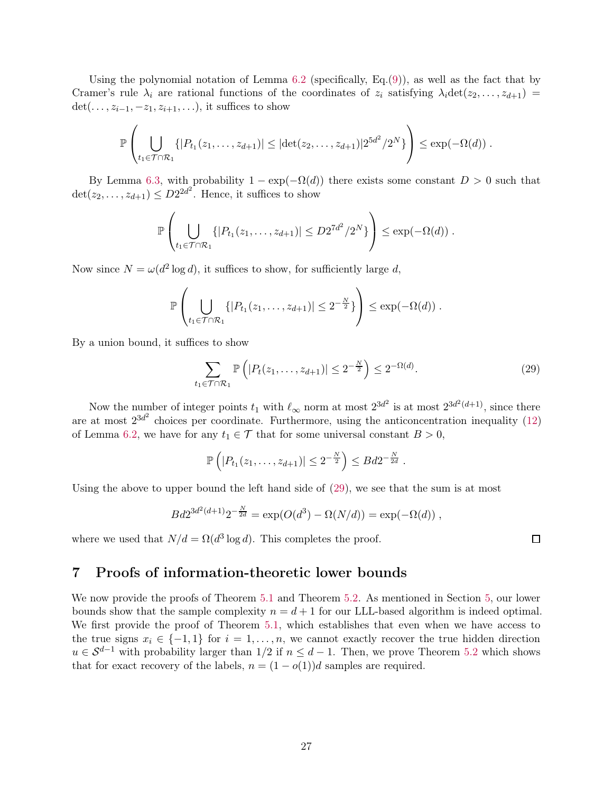Using the polynomial notation of Lemma  $6.2$  (specifically, Eq.[\(9\)](#page-18-7)), as well as the fact that by Cramer's rule  $\lambda_i$  are rational functions of the coordinates of  $z_i$  satisfying  $\lambda_i \det(z_2, \ldots, z_{d+1}) =$ det(...,  $z_{i-1}, -z_1, z_{i+1}, \ldots$ ), it suffices to show

$$
\mathbb{P}\left(\bigcup_{t_1\in\mathcal{T}\cap\mathcal{R}_1}\{|P_{t_1}(z_1,\ldots,z_{d+1})|\leq |\text{det}(z_2,\ldots,z_{d+1})|2^{5d^2}/2^N\}\right)\leq \exp(-\Omega(d))\;.
$$

By Lemma [6.3,](#page-21-0) with probability  $1 - \exp(-\Omega(d))$  there exists some constant  $D > 0$  such that  $\det(z_2, \ldots, z_{d+1}) \leq D2^{2d^2}$ . Hence, it suffices to show

$$
\mathbb{P}\left(\bigcup_{t_1\in\mathcal{T}\cap\mathcal{R}_1}\{|P_{t_1}(z_1,\ldots,z_{d+1})|\leq D2^{7d^2}/2^N\}\right)\leq \exp(-\Omega(d))\;.
$$

Now since  $N = \omega(d^2 \log d)$ , it suffices to show, for sufficiently large d,

$$
\mathbb{P}\left(\bigcup_{t_1\in\mathcal{T}\cap\mathcal{R}_1}\{|P_{t_1}(z_1,\ldots,z_{d+1})|\leq 2^{-\frac{N}{2}}\}\right)\leq \exp(-\Omega(d))\;.
$$

By a union bound, it suffices to show

$$
\sum_{t_1 \in \mathcal{T} \cap \mathcal{R}_1} \mathbb{P}\left(|P_t(z_1,\ldots,z_{d+1})| \le 2^{-\frac{N}{2}}\right) \le 2^{-\Omega(d)}.\tag{29}
$$

Now the number of integer points  $t_1$  with  $\ell_{\infty}$  norm at most  $2^{3d^2}$  is at most  $2^{3d^2(d+1)}$ , since there are at most  $2^{3d^2}$  choices per coordinate. Furthermore, using the anticoncentration inequality [\(12\)](#page-18-2) of Lemma [6.2,](#page-18-5) we have for any  $t_1 \in \mathcal{T}$  that for some universal constant  $B > 0$ ,

$$
\mathbb{P}\left(|P_{t_1}(z_1,\ldots,z_{d+1})| \leq 2^{-\frac{N}{2}}\right) \leq Bd2^{-\frac{N}{2d}}.
$$

Using the above to upper bound the left hand side of [\(29\)](#page-26-1), we see that the sum is at most

$$
Bd2^{3d^2(d+1)}2^{-\frac{N}{2d}} = \exp(O(d^3) - \Omega(N/d)) = \exp(-\Omega(d)),
$$

where we used that  $N/d = \Omega(d^3 \log d)$ . This completes the proof.

## <span id="page-26-0"></span>7 Proofs of information-theoretic lower bounds

We now provide the proofs of Theorem [5.1](#page-17-1) and Theorem [5.2.](#page-17-2) As mentioned in Section [5,](#page-16-0) our lower bounds show that the sample complexity  $n = d + 1$  for our LLL-based algorithm is indeed optimal. We first provide the proof of Theorem [5.1,](#page-17-1) which establishes that even when we have access to the true signs  $x_i \in \{-1,1\}$  for  $i = 1, \ldots, n$ , we cannot exactly recover the true hidden direction  $u \in S^{d-1}$  with probability larger than 1/2 if  $n \leq d-1$ . Then, we prove Theorem [5.2](#page-17-2) which shows that for exact recovery of the labels,  $n = (1 - o(1))d$  samples are required.

<span id="page-26-1"></span> $\Box$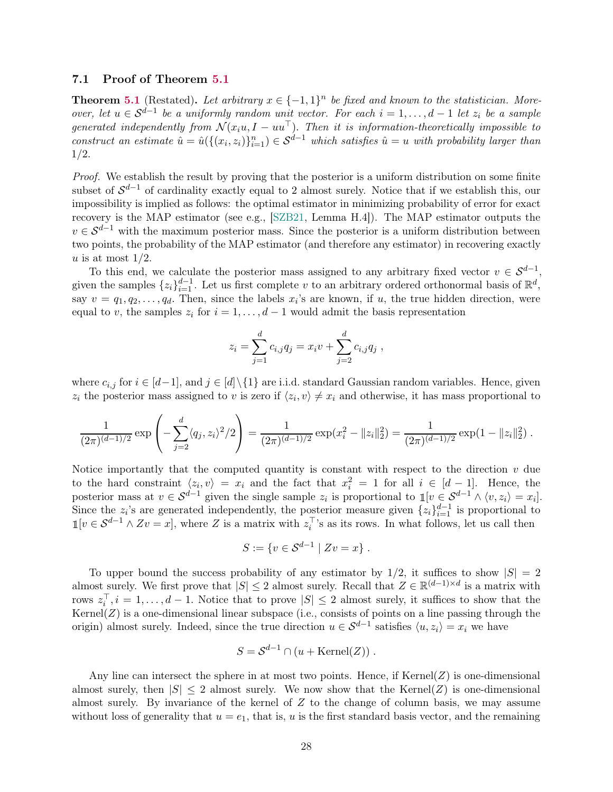### <span id="page-27-0"></span>7.1 Proof of Theorem [5.1](#page-17-1)

**Theorem [5.1](#page-17-1)** (Restated). Let arbitrary  $x \in \{-1,1\}^n$  be fixed and known to the statistician. Moreover, let  $u \in S^{d-1}$  be a uniformly random unit vector. For each  $i = 1, \ldots, d-1$  let  $z_i$  be a sample generated independently from  $\mathcal{N}(x_iu, I - uu^\top)$ . Then it is information-theoretically impossible to construct an estimate  $\hat{u} = \hat{u}(\{(x_i, z_i)\}_{i=1}^n) \in \mathcal{S}^{d-1}$  which satisfies  $\hat{u} = u$  with probability larger than 1/2.

Proof. We establish the result by proving that the posterior is a uniform distribution on some finite subset of  $\mathcal{S}^{d-1}$  of cardinality exactly equal to 2 almost surely. Notice that if we establish this, our impossibility is implied as follows: the optimal estimator in minimizing probability of error for exact recovery is the MAP estimator (see e.g., [\[SZB21,](#page-45-3) Lemma H.4]). The MAP estimator outputs the  $v \in S^{d-1}$  with the maximum posterior mass. Since the posterior is a uniform distribution between two points, the probability of the MAP estimator (and therefore any estimator) in recovering exactly u is at most  $1/2$ .

To this end, we calculate the posterior mass assigned to any arbitrary fixed vector  $v \in S^{d-1}$ , given the samples  $\{z_i\}_{i=1}^{d-1}$ . Let us first complete v to an arbitrary ordered orthonormal basis of  $\mathbb{R}^d$ , say  $v = q_1, q_2, \ldots, q_d$ . Then, since the labels  $x_i$ 's are known, if u, the true hidden direction, were equal to v, the samples  $z_i$  for  $i = 1, \ldots, d - 1$  would admit the basis representation

$$
z_i = \sum_{j=1}^d c_{i,j} q_j = x_i v + \sum_{j=2}^d c_{i,j} q_j,
$$

where  $c_{i,j}$  for  $i \in [d-1]$ , and  $j \in [d] \setminus \{1\}$  are i.i.d. standard Gaussian random variables. Hence, given  $z_i$  the posterior mass assigned to v is zero if  $\langle z_i, v \rangle \neq x_i$  and otherwise, it has mass proportional to

$$
\frac{1}{(2\pi)^{(d-1)/2}} \exp\left(-\sum_{j=2}^d \langle q_j, z_i\rangle^2/2\right) = \frac{1}{(2\pi)^{(d-1)/2}} \exp(x_i^2 - ||z_i||_2^2) = \frac{1}{(2\pi)^{(d-1)/2}} \exp(1 - ||z_i||_2^2).
$$

Notice importantly that the computed quantity is constant with respect to the direction  $v$  due to the hard constraint  $\langle z_i, v \rangle = x_i$  and the fact that  $x_i^2 = 1$  for all  $i \in [d-1]$ . Hence, the posterior mass at  $v \in S^{d-1}$  given the single sample  $z_i$  is proportional to  $\mathbb{1}[v \in S^{d-1} \wedge \langle v, z_i \rangle = x_i].$ Since the  $z_i$ 's are generated independently, the posterior measure given  $\{z_i\}_{i=1}^{d-1}$  is proportional to  $\mathbb{1}[v \in \mathcal{S}^{d-1} \wedge Zv = x]$ , where Z is a matrix with  $z_i^{\top}$ 's as its rows. In what follows, let us call then

$$
S := \{ v \in S^{d-1} \mid Zv = x \} .
$$

To upper bound the success probability of any estimator by  $1/2$ , it suffices to show  $|S| = 2$ almost surely. We first prove that  $|S| \leq 2$  almost surely. Recall that  $Z \in \mathbb{R}^{(d-1)\times d}$  is a matrix with rows  $z_i^{\top}, i = 1, \ldots, d-1$ . Notice that to prove  $|S| \leq 2$  almost surely, it suffices to show that the Kernel(Z) is a one-dimensional linear subspace (i.e., consists of points on a line passing through the origin) almost surely. Indeed, since the true direction  $u \in S^{d-1}$  satisfies  $\langle u, z_i \rangle = x_i$  we have

$$
S = \mathcal{S}^{d-1} \cap (u + \text{Kernel}(Z)).
$$

Any line can intersect the sphere in at most two points. Hence, if  $\text{Kernel}(Z)$  is one-dimensional almost surely, then  $|S| \leq 2$  almost surely. We now show that the Kernel(Z) is one-dimensional almost surely. By invariance of the kernel of  $Z$  to the change of column basis, we may assume without loss of generality that  $u = e_1$ , that is, u is the first standard basis vector, and the remaining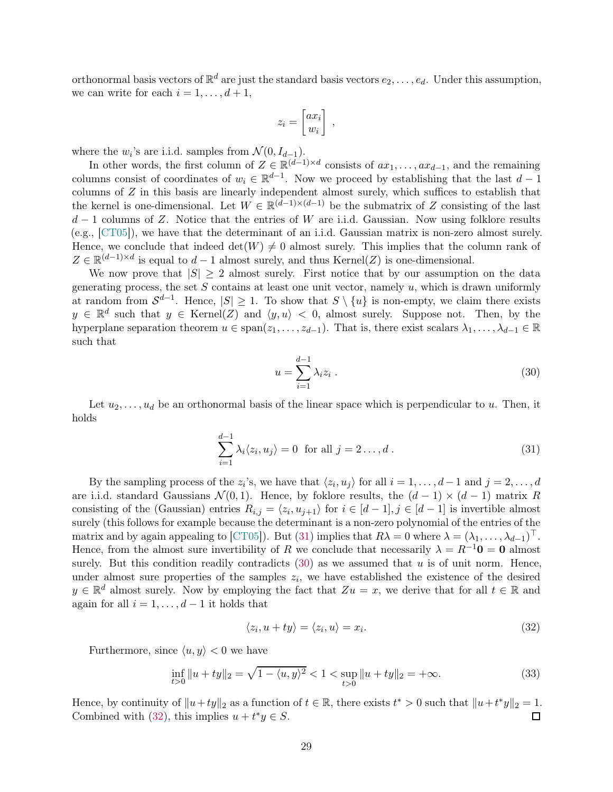orthonormal basis vectors of  $\mathbb{R}^d$  are just the standard basis vectors  $e_2, \ldots, e_d$ . Under this assumption, we can write for each  $i = 1, \ldots, d + 1$ ,

$$
z_i = \begin{bmatrix} ax_i \\ w_i \end{bmatrix}
$$

,

where the  $w_i$ 's are i.i.d. samples from  $\mathcal{N}(0, I_{d-1})$ .

In other words, the first column of  $Z \in \mathbb{R}^{(d-1)\times d}$  consists of  $ax_1, \ldots, ax_{d-1}$ , and the remaining columns consist of coordinates of  $w_i \in \mathbb{R}^{d-1}$ . Now we proceed by establishing that the last  $d-1$ columns of Z in this basis are linearly independent almost surely, which suffices to establish that the kernel is one-dimensional. Let  $W \in \mathbb{R}^{(d-1)\times(d-1)}$  be the submatrix of Z consisting of the last  $d-1$  columns of Z. Notice that the entries of W are i.i.d. Gaussian. Now using folklore results (e.g., [\[CT05\]](#page-40-13)), we have that the determinant of an i.i.d. Gaussian matrix is non-zero almost surely. Hence, we conclude that indeed  $\det(W) \neq 0$  almost surely. This implies that the column rank of  $Z \in \mathbb{R}^{(d-1)\times d}$  is equal to  $d-1$  almost surely, and thus Kernel(Z) is one-dimensional.

We now prove that  $|S| \geq 2$  almost surely. First notice that by our assumption on the data generating process, the set  $S$  contains at least one unit vector, namely  $u$ , which is drawn uniformly at random from  $S^{d-1}$ . Hence,  $|S| \geq 1$ . To show that  $S \setminus \{u\}$  is non-empty, we claim there exists  $y \in \mathbb{R}^d$  such that  $y \in \text{Kernel}(Z)$  and  $\langle y, u \rangle < 0$ , almost surely. Suppose not. Then, by the hyperplane separation theorem  $u \in \text{span}(z_1, \ldots, z_{d-1})$ . That is, there exist scalars  $\lambda_1, \ldots, \lambda_{d-1} \in \mathbb{R}$ such that

<span id="page-28-1"></span><span id="page-28-0"></span>
$$
u = \sum_{i=1}^{d-1} \lambda_i z_i . \tag{30}
$$

Let  $u_2, \ldots, u_d$  be an orthonormal basis of the linear space which is perpendicular to u. Then, it holds

$$
\sum_{i=1}^{d-1} \lambda_i \langle z_i, u_j \rangle = 0 \text{ for all } j = 2 \dots, d.
$$
 (31)

By the sampling process of the  $z_i$ 's, we have that  $\langle z_i, u_j \rangle$  for all  $i = 1, \ldots, d - 1$  and  $j = 2, \ldots, d$ are i.i.d. standard Gaussians  $\mathcal{N}(0,1)$ . Hence, by foklore results, the  $(d-1) \times (d-1)$  matrix R consisting of the (Gaussian) entries  $R_{i,j} = \langle z_i, u_{j+1} \rangle$  for  $i \in [d-1], j \in [d-1]$  is invertible almost surely (this follows for example because the determinant is a non-zero polynomial of the entries of the matrix and by again appealing to [\[CT05\]](#page-40-13)). But [\(31\)](#page-28-0) implies that  $R\lambda = 0$  where  $\lambda = (\lambda_1, \ldots, \lambda_{d-1})^\top$ . Hence, from the almost sure invertibility of R we conclude that necessarily  $\lambda = R^{-1}0 = 0$  almost surely. But this condition readily contradicts  $(30)$  as we assumed that u is of unit norm. Hence, under almost sure properties of the samples  $z_i$ , we have established the existence of the desired  $y \in \mathbb{R}^d$  almost surely. Now by employing the fact that  $Zu = x$ , we derive that for all  $t \in \mathbb{R}$  and again for all  $i = 1, \ldots, d - 1$  it holds that

<span id="page-28-2"></span>
$$
\langle z_i, u + ty \rangle = \langle z_i, u \rangle = x_i. \tag{32}
$$

Furthermore, since  $\langle u, y \rangle < 0$  we have

$$
\inf_{t>0} \|u+ty\|_2 = \sqrt{1 - \langle u, y \rangle^2} < 1 < \sup_{t>0} \|u+ty\|_2 = +\infty. \tag{33}
$$

Hence, by continuity of  $||u+ty||_2$  as a function of  $t \in \mathbb{R}$ , there exists  $t^* > 0$  such that  $||u+t^*y||_2 = 1$ . Combined with [\(32\)](#page-28-2), this implies  $u + t^*y \in S$ .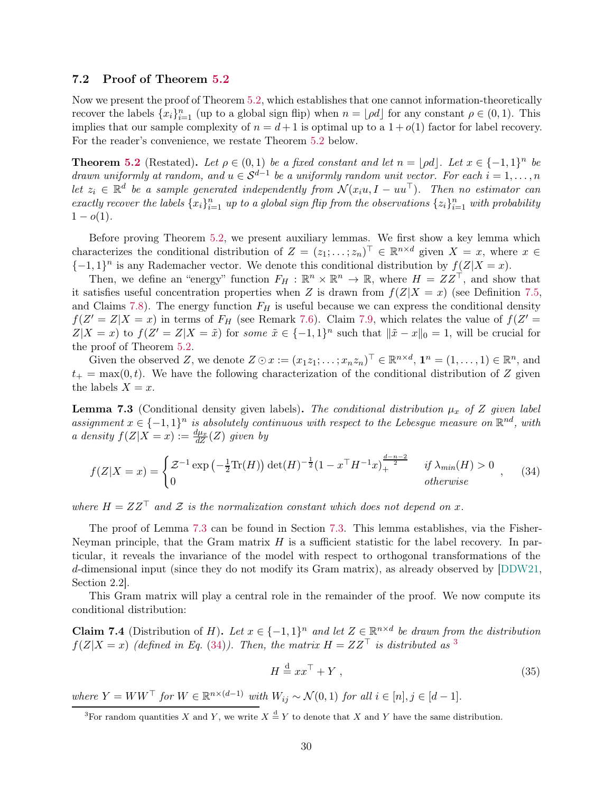### <span id="page-29-0"></span>7.2 Proof of Theorem [5.2](#page-17-2)

Now we present the proof of Theorem [5.2,](#page-17-2) which establishes that one cannot information-theoretically recover the labels  $\{x_i\}_{i=1}^n$  (up to a global sign flip) when  $n = \lfloor \rho d \rfloor$  for any constant  $\rho \in (0, 1)$ . This implies that our sample complexity of  $n = d + 1$  is optimal up to a  $1 + o(1)$  factor for label recovery. For the reader's convenience, we restate Theorem [5.2](#page-17-2) below.

**Theorem [5.2](#page-17-2)** (Restated). Let  $\rho \in (0,1)$  be a fixed constant and let  $n = \lfloor \rho d \rfloor$ . Let  $x \in \{-1,1\}^n$  be drawn uniformly at random, and  $u \in S^{d-1}$  be a uniformly random unit vector. For each  $i = 1, \ldots, n$ let  $z_i \in \mathbb{R}^d$  be a sample generated independently from  $\mathcal{N}(x_iu, I - uu^\top)$ . Then no estimator can exactly recover the labels  $\{x_i\}_{i=1}^n$  up to a global sign flip from the observations  $\{z_i\}_{i=1}^n$  with probability  $1 - o(1)$ .

Before proving Theorem [5.2,](#page-17-2) we present auxiliary lemmas. We first show a key lemma which characterizes the conditional distribution of  $Z = (z_1; \ldots; z_n)^\top \in \mathbb{R}^{n \times d}$  given  $X = x$ , where  $x \in$  $\{-1,1\}$ <sup>n</sup> is any Rademacher vector. We denote this conditional distribution by  $f(\mathcal{Z}|X=x)$ .

Then, we define an "energy" function  $F_H : \mathbb{R}^n \times \mathbb{R}^n \to \mathbb{R}$ , where  $H = ZZ^{\top}$ , and show that it satisfies useful concentration properties when Z is drawn from  $f(Z|X=x)$  (see Definition [7.5,](#page-30-1) and Claims [7.8\)](#page-31-0). The energy function  $F_H$  is useful because we can express the conditional density  $f(Z'=Z|X=x)$  in terms of  $F_H$  (see Remark [7.6\)](#page-30-0). Claim [7.9,](#page-31-1) which relates the value of  $f(Z'=Z|X=x)$  $Z|X=x$ ) to  $f(Z'=Z|X=\tilde{x})$  for some  $\tilde{x} \in \{-1,1\}^n$  such that  $\|\tilde{x}-x\|_0=1$ , will be crucial for the proof of Theorem [5.2.](#page-17-2)

Given the observed Z, we denote  $Z \odot x := (x_1 z_1; \ldots; x_n z_n)^\top \in \mathbb{R}^{n \times d}$ ,  $\mathbf{1}^n = (1, \ldots, 1) \in \mathbb{R}^n$ , and  $t_{+} = \max(0, t)$ . We have the following characterization of the conditional distribution of Z given the labels  $X = x$ .

<span id="page-29-1"></span>**Lemma 7.3** (Conditional density given labels). The conditional distribution  $\mu_x$  of Z given label assignment  $x \in \{-1,1\}^n$  is absolutely continuous with respect to the Lebesgue measure on  $\mathbb{R}^{nd}$ , with a density  $f(Z|X=x) := \frac{d\mu_x}{dZ}(Z)$  given by

$$
f(Z|X=x) = \begin{cases} \mathcal{Z}^{-1} \exp\left(-\frac{1}{2}\text{Tr}(H)\right) \det(H)^{-\frac{1}{2}} (1 - x^{\top}H^{-1}x)_{+}^{\frac{d-n-2}{2}} & if \ \lambda_{min}(H) > 0 \\ 0 & otherwise \end{cases}
$$
 (34)

where  $H = ZZ^{\top}$  and Z is the normalization constant which does not depend on x.

The proof of Lemma [7.3](#page-29-1) can be found in Section [7.3.](#page-34-0) This lemma establishes, via the Fisher-Neyman principle, that the Gram matrix  $H$  is a sufficient statistic for the label recovery. In particular, it reveals the invariance of the model with respect to orthogonal transformations of the d-dimensional input (since they do not modify its Gram matrix), as already observed by [\[DDW21,](#page-40-1) Section 2.2].

This Gram matrix will play a central role in the remainder of the proof. We now compute its conditional distribution:

**Claim 7.4** (Distribution of *H*). Let  $x \in \{-1,1\}^n$  and let  $Z \in \mathbb{R}^{n \times d}$  be drawn from the distribution  $f(Z|X=x)$  (defined in Eq. [\(34\)](#page-29-2)). Then, the matrix  $H = ZZ^{\top}$  is distributed as <sup>[3](#page-29-3)</sup>

<span id="page-29-4"></span><span id="page-29-2"></span>
$$
H \stackrel{\text{d}}{=} xx^\top + Y \,, \tag{35}
$$

where  $Y = WW^{\top}$  for  $W \in \mathbb{R}^{n \times (d-1)}$  with  $W_{ij} \sim \mathcal{N}(0, 1)$  for all  $i \in [n], j \in [d-1]$ .

<span id="page-29-3"></span><sup>&</sup>lt;sup>3</sup>For random quantities X and Y, we write  $X \stackrel{d}{=} Y$  to denote that X and Y have the same distribution.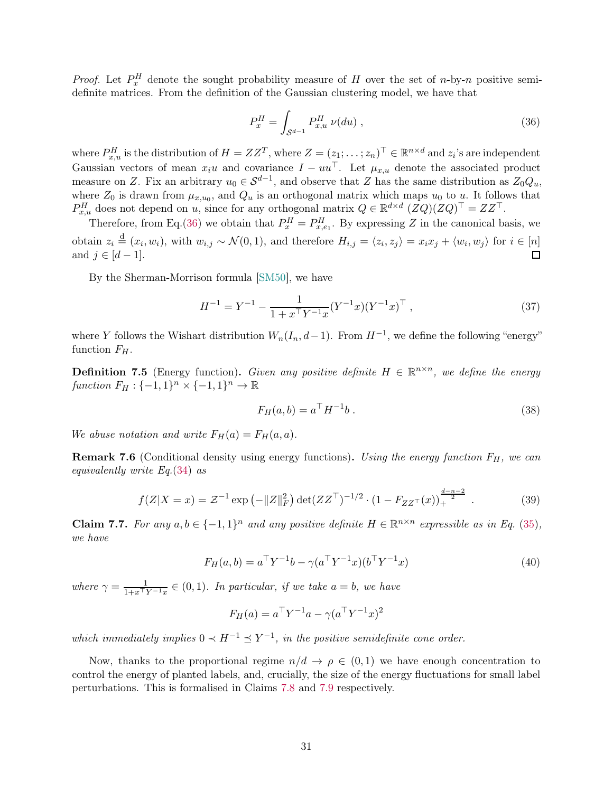*Proof.* Let  $P_x^H$  denote the sought probability measure of H over the set of n-by-n positive semidefinite matrices. From the definition of the Gaussian clustering model, we have that

<span id="page-30-2"></span>
$$
P_x^H = \int_{\mathcal{S}^{d-1}} P_{x,u}^H \ \nu(du) \ , \tag{36}
$$

where  $P_{x,u}^H$  is the distribution of  $H = ZZ^T$ , where  $Z = (z_1, \ldots, z_n)^\top \in \mathbb{R}^{n \times d}$  and  $z_i$ 's are independent Gaussian vectors of mean  $x_iu$  and covariance  $I - uu^\top$ . Let  $\mu_{x,u}$  denote the associated product measure on Z. Fix an arbitrary  $u_0 \in S^{d-1}$ , and observe that Z has the same distribution as  $Z_0 Q_u$ , where  $Z_0$  is drawn from  $\mu_{x,u_0}$ , and  $Q_u$  is an orthogonal matrix which maps  $u_0$  to u. It follows that  $P_{x,u}^H$  does not depend on u, since for any orthogonal matrix  $Q \in \mathbb{R}^{d \times d}$   $(ZQ)(ZQ)^{\top} = ZZ^{\top}$ .

Therefore, from Eq.[\(36\)](#page-30-2) we obtain that  $P_x^H = P_{x,e_1}^H$ . By expressing Z in the canonical basis, we obtain  $z_i \stackrel{d}{=} (x_i, w_i)$ , with  $w_{i,j} \sim \mathcal{N}(0, 1)$ , and therefore  $H_{i,j} = \langle z_i, z_j \rangle = x_i x_j + \langle w_i, w_j \rangle$  for  $i \in [n]$ and  $j \in [d-1]$ .

By the Sherman-Morrison formula [\[SM50\]](#page-45-12), we have

$$
H^{-1} = Y^{-1} - \frac{1}{1 + x^{\top} Y^{-1} x} (Y^{-1} x) (Y^{-1} x)^{\top} , \qquad (37)
$$

where Y follows the Wishart distribution  $W_n(I_n, d-1)$ . From  $H^{-1}$ , we define the following "energy" function  $F_H$ .

<span id="page-30-1"></span>**Definition 7.5** (Energy function). Given any positive definite  $H \in \mathbb{R}^{n \times n}$ , we define the energy function  $F_H: \{-1,1\}^n \times \{-1,1\}^n \to \mathbb{R}$ 

<span id="page-30-3"></span>
$$
F_H(a, b) = a^{\top} H^{-1} b . \t\t(38)
$$

We abuse notation and write  $F_H(a) = F_H(a, a)$ .

<span id="page-30-0"></span>**Remark 7.6** (Conditional density using energy functions). Using the energy function  $F_H$ , we can equivalently write Eq.[\(34\)](#page-29-2) as

$$
f(Z|X=x) = \mathcal{Z}^{-1} \exp\left(-\|Z\|_F^2\right) \det(ZZ^\top)^{-1/2} \cdot \left(1 - F_{ZZ^\top}(x)\right)_+^{\frac{d-n-2}{2}} . \tag{39}
$$

Claim 7.7. For any  $a, b \in \{-1, 1\}^n$  and any positive definite  $H \in \mathbb{R}^{n \times n}$  expressible as in Eq. [\(35\)](#page-29-4), we have

$$
F_H(a, b) = a^{\top} Y^{-1} b - \gamma (a^{\top} Y^{-1} x) (b^{\top} Y^{-1} x)
$$
\n(40)

where  $\gamma = \frac{1}{1+x^{\top}Y^{-1}x} \in (0,1)$ . In particular, if we take  $a = b$ , we have

$$
F_H(a) = a^{\top} Y^{-1} a - \gamma (a^{\top} Y^{-1} x)^2
$$

which immediately implies  $0 \lt H^{-1} \le Y^{-1}$ , in the positive semidefinite cone order.

Now, thanks to the proportional regime  $n/d \to \rho \in (0,1)$  we have enough concentration to control the energy of planted labels, and, crucially, the size of the energy fluctuations for small label perturbations. This is formalised in Claims [7.8](#page-31-0) and [7.9](#page-31-1) respectively.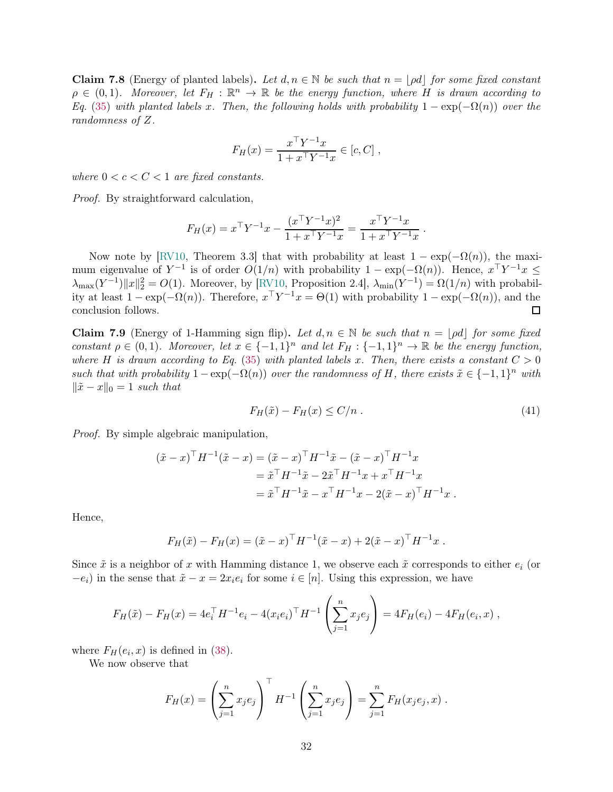<span id="page-31-0"></span>**Claim 7.8** (Energy of planted labels). Let  $d, n \in \mathbb{N}$  be such that  $n = |pd|$  for some fixed constant  $\rho \in (0,1)$ . Moreover, let  $F_H : \mathbb{R}^n \to \mathbb{R}$  be the energy function, where H is drawn according to Eq. [\(35\)](#page-29-4) with planted labels x. Then, the following holds with probability  $1 - \exp(-\Omega(n))$  over the randomness of Z.

$$
F_H(x) = \frac{x^{\top} Y^{-1} x}{1 + x^{\top} Y^{-1} x} \in [c, C],
$$

where  $0 < c < C < 1$  are fixed constants.

Proof. By straightforward calculation,

$$
F_H(x) = x^{\top} Y^{-1} x - \frac{(x^{\top} Y^{-1} x)^2}{1 + x^{\top} Y^{-1} x} = \frac{x^{\top} Y^{-1} x}{1 + x^{\top} Y^{-1} x}.
$$

Now note by [\[RV10,](#page-45-13) Theorem 3.3] that with probability at least  $1 - \exp(-\Omega(n))$ , the maximum eigenvalue of  $Y^{-1}$  is of order  $O(1/n)$  with probability  $1 - \exp(-\Omega(n))$ . Hence,  $x^T Y^{-1} x \le$  $\lambda_{\max}(Y^{-1})||x||_2^2 = O(1)$ . Moreover, by [\[RV10,](#page-45-13) Proposition 2.4],  $\lambda_{\min}(Y^{-1}) = \Omega(1/n)$  with probability at least  $1 - \exp(-\Omega(n))$ . Therefore,  $x^{\top}Y^{-1}x = \Theta(1)$  with probability  $1 - \exp(-\Omega(n))$ , and the conclusion follows.

<span id="page-31-1"></span>Claim 7.9 (Energy of 1-Hamming sign flip). Let  $d, n \in \mathbb{N}$  be such that  $n = \lfloor pd \rfloor$  for some fixed constant  $\rho \in (0,1)$ . Moreover, let  $x \in \{-1,1\}^n$  and let  $F_H: \{-1,1\}^n \to \mathbb{R}$  be the energy function, where H is drawn according to Eq. [\(35\)](#page-29-4) with planted labels x. Then, there exists a constant  $C > 0$ such that with probability  $1 - \exp(-\Omega(n))$  over the randomness of H, there exists  $\tilde{x} \in \{-1,1\}^n$  with  $\|\tilde{x} - x\|_0 = 1$  such that

$$
F_H(\tilde{x}) - F_H(x) \le C/n \tag{41}
$$

Proof. By simple algebraic manipulation,

$$
(\tilde{x} - x)^{\top} H^{-1} (\tilde{x} - x) = (\tilde{x} - x)^{\top} H^{-1} \tilde{x} - (\tilde{x} - x)^{\top} H^{-1} x
$$
  

$$
= \tilde{x}^{\top} H^{-1} \tilde{x} - 2 \tilde{x}^{\top} H^{-1} x + x^{\top} H^{-1} x
$$
  

$$
= \tilde{x}^{\top} H^{-1} \tilde{x} - x^{\top} H^{-1} x - 2(\tilde{x} - x)^{\top} H^{-1} x.
$$

Hence,

$$
F_H(\tilde{x}) - F_H(x) = (\tilde{x} - x)^{\top} H^{-1} (\tilde{x} - x) + 2(\tilde{x} - x)^{\top} H^{-1} x.
$$

Since  $\tilde{x}$  is a neighbor of x with Hamming distance 1, we observe each  $\tilde{x}$  corresponds to either  $e_i$  (or  $-e_i$ ) in the sense that  $\tilde{x} - x = 2x_i e_i$  for some  $i \in [n]$ . Using this expression, we have

$$
F_H(\tilde{x}) - F_H(x) = 4e_i^{\top} H^{-1} e_i - 4(x_i e_i)^{\top} H^{-1} \left( \sum_{j=1}^n x_j e_j \right) = 4F_H(e_i) - 4F_H(e_i, x) ,
$$

where  $F_H(e_i, x)$  is defined in [\(38\)](#page-30-3).

We now observe that

$$
F_H(x) = \left(\sum_{j=1}^n x_j e_j\right)^{\top} H^{-1} \left(\sum_{j=1}^n x_j e_j\right) = \sum_{j=1}^n F_H(x_j e_j, x).
$$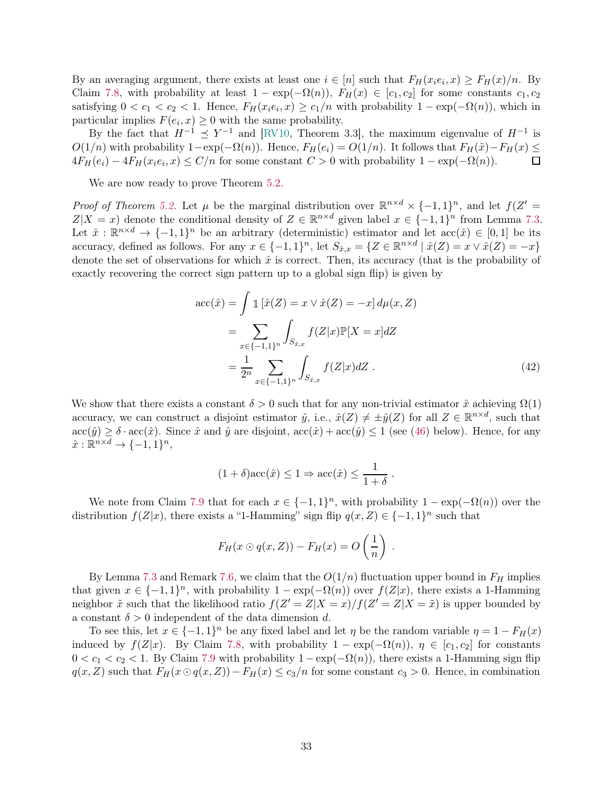By an averaging argument, there exists at least one  $i \in [n]$  such that  $F_H(x_i e_i, x) \ge F_H(x)/n$ . By Claim [7.8,](#page-31-0) with probability at least  $1 - \exp(-\Omega(n))$ ,  $F_H(x) \in [c_1, c_2]$  for some constants  $c_1, c_2$ satisfying  $0 < c_1 < c_2 < 1$ . Hence,  $F_H(x_i e_i, x) \ge c_1/n$  with probability  $1 - \exp(-\Omega(n))$ , which in particular implies  $F(e_i, x) \geq 0$  with the same probability.

By the fact that  $H^{-1} \preceq Y^{-1}$  and [\[RV10,](#page-45-13) Theorem 3.3], the maximum eigenvalue of  $H^{-1}$  is  $O(1/n)$  with probability  $1-\exp(-\Omega(n))$ . Hence,  $F_H(e_i) = O(1/n)$ . It follows that  $F_H(\tilde{x}) - F_H(x) \le 4F_H(e_i) - 4F_H(x_i e_i, x) \le C/n$  for some constant  $C > 0$  with probability  $1 - \exp(-\Omega(n))$ .  $4F_H(e_i) - 4F_H(x_i e_i, x) \le C/n$  for some constant  $C > 0$  with probability  $1 - \exp(-\Omega(n))$ .

We are now ready to prove Theorem  $5.2$ .

Proof of Theorem [5.2.](#page-17-2) Let  $\mu$  be the marginal distribution over  $\mathbb{R}^{n \times d} \times \{-1,1\}^n$ , and let  $f(Z' =$  $Z|X=x$  denote the conditional density of  $Z \in \mathbb{R}^{n \times d}$  given label  $x \in \{-1,1\}^n$  from Lemma [7.3.](#page-29-1) Let  $\hat{x}: \mathbb{R}^{n \times d} \to \{-1,1\}^n$  be an arbitrary (deterministic) estimator and let  $\mathrm{acc}(\hat{x}) \in [0,1]$  be its accuracy, defined as follows. For any  $x \in \{-1,1\}^n$ , let  $S_{\hat{x},x} = \{Z \in \mathbb{R}^{n \times d} \mid \hat{x}(Z) = x \vee \hat{x}(Z) = -x\}$ denote the set of observations for which  $\hat{x}$  is correct. Then, its accuracy (that is the probability of exactly recovering the correct sign pattern up to a global sign flip) is given by

$$
\text{acc}(\hat{x}) = \int \mathbb{1} \left[ \hat{x}(Z) = x \vee \hat{x}(Z) = -x \right] d\mu(x, Z)
$$

$$
= \sum_{x \in \{-1, 1\}^n} \int_{S_{\hat{x}, x}} f(Z|x) \mathbb{P}[X = x] dZ
$$

$$
= \frac{1}{2^n} \sum_{x \in \{-1, 1\}^n} \int_{S_{\hat{x}, x}} f(Z|x) dZ . \tag{42}
$$

.

We show that there exists a constant  $\delta > 0$  such that for any non-trivial estimator  $\hat{x}$  achieving  $\Omega(1)$ accuracy, we can construct a disjoint estimator  $\hat{y}$ , i.e.,  $\hat{x}(Z) \neq \pm \hat{y}(Z)$  for all  $Z \in \mathbb{R}^{n \times d}$ , such that  $\mathrm{acc}(\hat{y}) \geq \delta \cdot \mathrm{acc}(\hat{x})$ . Since  $\hat{x}$  and  $\hat{y}$  are disjoint,  $\mathrm{acc}(\hat{x}) + \mathrm{acc}(\hat{y}) \leq 1$  (see [\(46\)](#page-33-0) below). Hence, for any  $\hat{x}: \mathbb{R}^{n \times d} \to \{-1,1\}^n,$ 

$$
(1+\delta)\mathrm{acc}(\hat{x}) \le 1 \Rightarrow \mathrm{acc}(\hat{x}) \le \frac{1}{1+\delta}
$$

We note from Claim [7.9](#page-31-1) that for each  $x \in \{-1,1\}^n$ , with probability  $1 - \exp(-\Omega(n))$  over the distribution  $f(Z|x)$ , there exists a "1-Hamming" sign flip  $q(x, Z) \in \{-1, 1\}^n$  such that

$$
F_H(x \odot q(x,Z)) - F_H(x) = O\left(\frac{1}{n}\right) .
$$

By Lemma [7.3](#page-29-1) and Remark [7.6,](#page-30-0) we claim that the  $O(1/n)$  fluctuation upper bound in  $F_H$  implies that given  $x \in \{-1,1\}^n$ , with probability  $1 - \exp(-\Omega(n))$  over  $f(Z|x)$ , there exists a 1-Hamming neighbor  $\tilde{x}$  such that the likelihood ratio  $f(Z' = Z | X = x) / f(Z' = Z | X = \tilde{x})$  is upper bounded by a constant  $\delta > 0$  independent of the data dimension d.

To see this, let  $x \in \{-1,1\}^n$  be any fixed label and let  $\eta$  be the random variable  $\eta = 1 - F_H(x)$ induced by  $f(Z|x)$ . By Claim [7.8,](#page-31-0) with probability  $1 - \exp(-\Omega(n))$ ,  $\eta \in [c_1, c_2]$  for constants  $0 < c_1 < c_2 < 1$ . By Claim [7.9](#page-31-1) with probability  $1 - \exp(-\Omega(n))$ , there exists a 1-Hamming sign flip  $q(x, Z)$  such that  $F_H(x \odot q(x, Z)) - F_H(x) \leq c_3/n$  for some constant  $c_3 > 0$ . Hence, in combination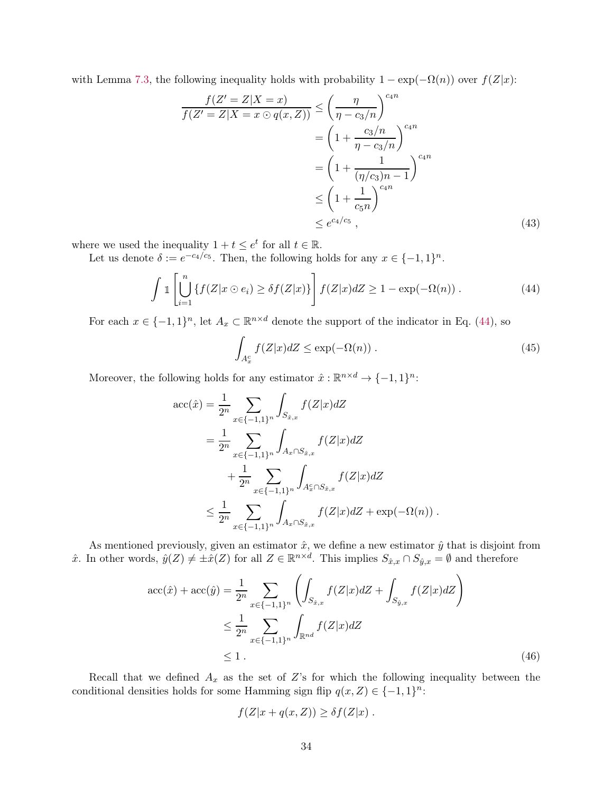with Lemma [7.3,](#page-29-1) the following inequality holds with probability  $1 - \exp(-\Omega(n))$  over  $f(Z|x)$ :

$$
\frac{f(Z'=Z|X=x)}{f(Z'=Z|X=x\odot q(x,Z))} \leq \left(\frac{\eta}{\eta-c_3/n}\right)^{c_4n}
$$

$$
= \left(1 + \frac{c_3/n}{\eta-c_3/n}\right)^{c_4n}
$$

$$
= \left(1 + \frac{1}{(\eta/c_3)n - 1}\right)^{c_4n}
$$

$$
\leq \left(1 + \frac{1}{c_5n}\right)^{c_4n}
$$

$$
\leq e^{c_4/c_5}, \tag{43}
$$

where we used the inequality  $1 + t \leq e^t$  for all  $t \in \mathbb{R}$ .

Let us denote  $\delta := e^{-c_4/c_5}$ . Then, the following holds for any  $x \in \{-1, 1\}^n$ .

$$
\int 1\left[\bigcup_{i=1}^{n} \{f(Z|x \odot e_i) \ge \delta f(Z|x)\}\right] f(Z|x) dZ \ge 1 - \exp(-\Omega(n)). \tag{44}
$$

For each  $x \in \{-1,1\}^n$ , let  $A_x \subset \mathbb{R}^{n \times d}$  denote the support of the indicator in Eq. [\(44\)](#page-33-1), so

<span id="page-33-1"></span>
$$
\int_{A_x^c} f(Z|x) dZ \le \exp(-\Omega(n)) . \tag{45}
$$

Moreover, the following holds for any estimator  $\hat{x} : \mathbb{R}^{n \times d} \to \{-1, 1\}^n$ :

$$
\begin{split} \text{acc}(\hat{x}) &= \frac{1}{2^n} \sum_{x \in \{-1, 1\}^n} \int_{S_{\hat{x}, x}} f(Z|x) dZ \\ &= \frac{1}{2^n} \sum_{x \in \{-1, 1\}^n} \int_{A_x \cap S_{\hat{x}, x}} f(Z|x) dZ \\ &+ \frac{1}{2^n} \sum_{x \in \{-1, 1\}^n} \int_{A_x^c \cap S_{\hat{x}, x}} f(Z|x) dZ \\ &\le \frac{1}{2^n} \sum_{x \in \{-1, 1\}^n} \int_{A_x \cap S_{\hat{x}, x}} f(Z|x) dZ + \exp(-\Omega(n)) \,. \end{split}
$$

As mentioned previously, given an estimator  $\hat{x}$ , we define a new estimator  $\hat{y}$  that is disjoint from  $\hat{x}$ . In other words,  $\hat{y}(Z) \neq \pm \hat{x}(Z)$  for all  $Z \in \mathbb{R}^{n \times d}$ . This implies  $S_{\hat{x},x} \cap S_{\hat{y},x} = \emptyset$  and therefore

$$
\begin{split} \text{acc}(\hat{x}) + \text{acc}(\hat{y}) &= \frac{1}{2^n} \sum_{x \in \{-1, 1\}^n} \left( \int_{S_{\hat{x}, x}} f(Z|x) dZ + \int_{S_{\hat{y}, x}} f(Z|x) dZ \right) \\ &\le \frac{1}{2^n} \sum_{x \in \{-1, 1\}^n} \int_{\mathbb{R}^{nd}} f(Z|x) dZ \\ &\le 1 \,. \end{split} \tag{46}
$$

Recall that we defined  $A_x$  as the set of Z's for which the following inequality between the conditional densities holds for some Hamming sign flip  $q(x, Z) \in \{-1, 1\}^n$ :

<span id="page-33-0"></span>
$$
f(Z|x + q(x, Z)) \geq \delta f(Z|x) .
$$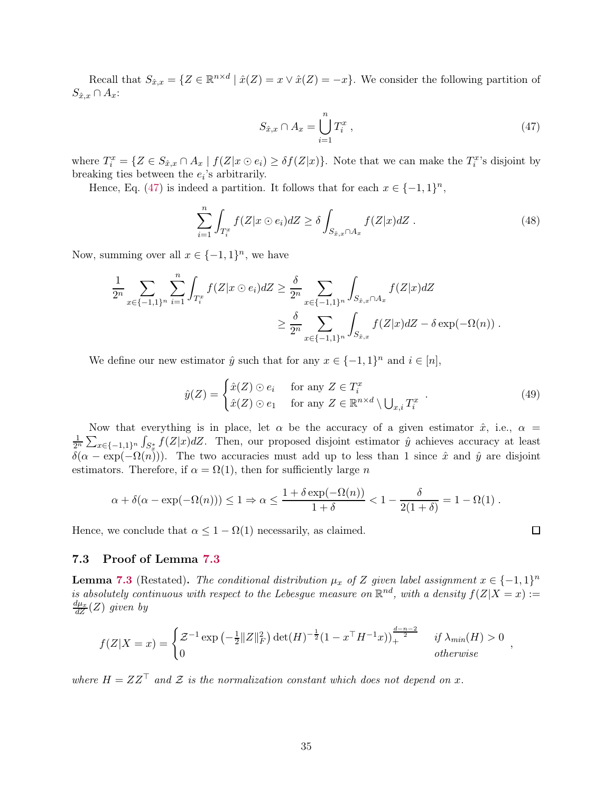Recall that  $S_{\hat{x},x} = \{Z \in \mathbb{R}^{n \times d} \mid \hat{x}(Z) = x \vee \hat{x}(Z) = -x\}.$  We consider the following partition of  $S_{\hat{x},x} \cap A_x$ :

<span id="page-34-1"></span>
$$
S_{\hat{x},x} \cap A_x = \bigcup_{i=1}^n T_i^x \,, \tag{47}
$$

where  $T_i^x = \{ Z \in S_{\hat{x},x} \cap A_x \mid f(Z|x \odot e_i) \ge \delta f(Z|x) \}.$  Note that we can make the  $T_i^x$ 's disjoint by breaking ties between the  $e_i$ 's arbitrarily.

Hence, Eq. [\(47\)](#page-34-1) is indeed a partition. It follows that for each  $x \in \{-1,1\}^n$ ,

$$
\sum_{i=1}^{n} \int_{T_i^x} f(Z|x \odot e_i) dZ \ge \delta \int_{S_{\hat{x},x} \cap A_x} f(Z|x) dZ \tag{48}
$$

Now, summing over all  $x \in \{-1,1\}^n$ , we have

$$
\frac{1}{2^n} \sum_{x \in \{-1,1\}^n} \sum_{i=1}^n \int_{T_i^x} f(Z|x \odot e_i) dZ \ge \frac{\delta}{2^n} \sum_{x \in \{-1,1\}^n} \int_{S_{\hat{x},x} \cap A_x} f(Z|x) dZ
$$
  

$$
\ge \frac{\delta}{2^n} \sum_{x \in \{-1,1\}^n} \int_{S_{\hat{x},x}} f(Z|x) dZ - \delta \exp(-\Omega(n)) .
$$

We define our new estimator  $\hat{y}$  such that for any  $x \in \{-1,1\}^n$  and  $i \in [n]$ ,

$$
\hat{y}(Z) = \begin{cases} \hat{x}(Z) \odot e_i & \text{for any } Z \in T_i^x \\ \hat{x}(Z) \odot e_1 & \text{for any } Z \in \mathbb{R}^{n \times d} \setminus \bigcup_{x,i} T_i^x \end{cases} \tag{49}
$$

Now that everything is in place, let  $\alpha$  be the accuracy of a given estimator  $\hat{x}$ , i.e.,  $\alpha$  =  $\frac{1}{2^n}\sum_{x\in\{-1,1\}^n}\int_{S_x^*}f(Z|x)dZ$ . Then, our proposed disjoint estimator  $\hat{y}$  achieves accuracy at least  $\delta(\alpha - \exp(-\Omega(n)))$ . The two accuracies must add up to less than 1 since  $\hat{x}$  and  $\hat{y}$  are disjoint estimators. Therefore, if  $\alpha = \Omega(1)$ , then for sufficiently large n

$$
\alpha + \delta(\alpha - \exp(-\Omega(n))) \leq 1 \Rightarrow \alpha \leq \frac{1 + \delta \exp(-\Omega(n))}{1 + \delta} < 1 - \frac{\delta}{2(1 + \delta)} = 1 - \Omega(1) .
$$

Hence, we conclude that  $\alpha \leq 1 - \Omega(1)$  necessarily, as claimed.

#### <span id="page-34-0"></span>7.3 Proof of Lemma [7.3](#page-29-1)

**Lemma [7.3](#page-29-1)** (Restated). The conditional distribution  $\mu_x$  of Z given label assignment  $x \in \{-1,1\}^n$ is absolutely continuous with respect to the Lebesgue measure on  $\mathbb{R}^{nd}$ , with a density  $f(Z|X=x) :=$  $\frac{d\mu_{x}}{dZ}(Z)$  given by

$$
f(Z|X = x) = \begin{cases} \mathcal{Z}^{-1} \exp\left(-\frac{1}{2}||Z||_F^2\right) \det(H)^{-\frac{1}{2}} (1 - x^\top H^{-1}x))_+^{\frac{d-n-2}{2}} & \text{if } \lambda_{min}(H) > 0\\ 0 & \text{otherwise} \end{cases}
$$

where  $H = ZZ^{\top}$  and Z is the normalization constant which does not depend on x.

,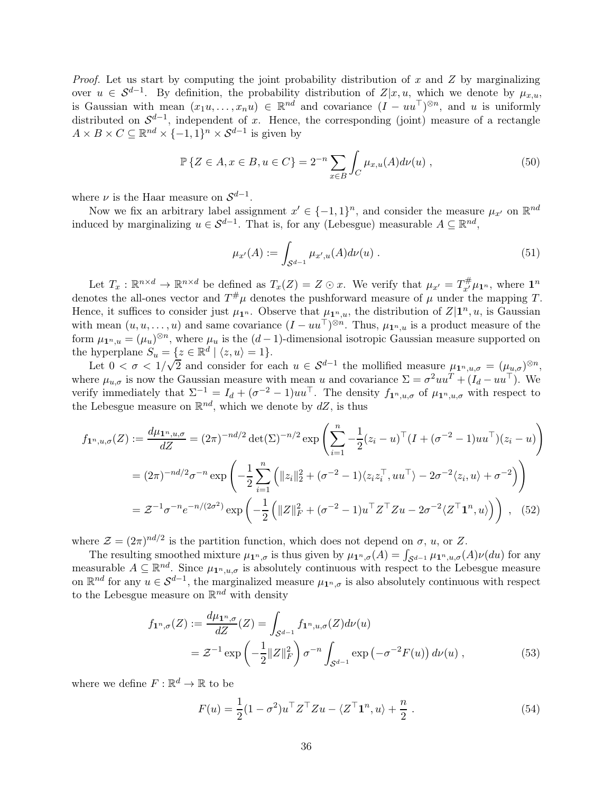*Proof.* Let us start by computing the joint probability distribution of x and Z by marginalizing over  $u \in S^{d-1}$ . By definition, the probability distribution of  $Z|x, u$ , which we denote by  $\mu_{x,u}$ , is Gaussian with mean  $(x_1u, \ldots, x_nu) \in \mathbb{R}^{nd}$  and covariance  $(I - uu^\top)^{\otimes n}$ , and u is uniformly distributed on  $\mathcal{S}^{d-1}$ , independent of x. Hence, the corresponding (joint) measure of a rectangle  $A \times B \times C \subseteq \mathbb{R}^{nd} \times \{-1,1\}^n \times \mathcal{S}^{d-1}$  is given by

$$
\mathbb{P}\left\{Z \in A, x \in B, u \in C\right\} = 2^{-n} \sum_{x \in B} \int_C \mu_{x,u}(A) d\nu(u) , \qquad (50)
$$

where  $\nu$  is the Haar measure on  $\mathcal{S}^{d-1}$ .

Now we fix an arbitrary label assignment  $x' \in \{-1,1\}^n$ , and consider the measure  $\mu_{x'}$  on  $\mathbb{R}^{nd}$ induced by marginalizing  $u \in \mathcal{S}^{d-1}$ . That is, for any (Lebesgue) measurable  $A \subseteq \mathbb{R}^{nd}$ ,

<span id="page-35-0"></span>
$$
\mu_{x'}(A) := \int_{\mathcal{S}^{d-1}} \mu_{x',u}(A) d\nu(u) \tag{51}
$$

Let  $T_x : \mathbb{R}^{n \times d} \to \mathbb{R}^{n \times d}$  be defined as  $T_x(Z) = Z \odot x$ . We verify that  $\mu_{x'} = T_{x'}^{\#} \mu_{\mathbf{1}^n}$ , where  $\mathbf{1}^n$ denotes the all-ones vector and  $T^{\#}\mu$  denotes the pushforward measure of  $\mu$  under the mapping T. Hence, it suffices to consider just  $\mu_{\mathbf{1}^n}$ . Observe that  $\mu_{\mathbf{1}^n,u}$ , the distribution of  $Z|\mathbf{1}^n,u$ , is Gaussian with mean  $(u, u, \ldots, u)$  and same covariance  $(I - uu^{\top})^{\otimes n}$ . Thus,  $\mu_{\mathbf{1}^n, u}$  is a product measure of the form  $\mu_{\mathbf{1}^n,u} = (\mu_u)^{\otimes n}$ , where  $\mu_u$  is the  $(d-1)$ -dimensional isotropic Gaussian measure supported on the hyperplane  $S_u = \{z \in \mathbb{R}^d \mid \langle z, u \rangle = 1\}.$ 

Let  $0 < \sigma < 1/\sqrt{2}$  and consider for each  $u \in S^{d-1}$  the mollified measure  $\mu_{1^n,u,\sigma} = (\mu_{u,\sigma})^{\otimes n}$ , where  $\mu_{u,\sigma}$  is now the Gaussian measure with mean u and covariance  $\Sigma = \sigma^2 u u^T + (I_d - u u^T)$ . We verify immediately that  $\Sigma^{-1} = I_d + (\sigma^{-2} - 1)uu^\top$ . The density  $f_{\mathbf{1}^n, u, \sigma}$  of  $\mu_{\mathbf{1}^n, u, \sigma}$  with respect to the Lebesgue measure on  $\mathbb{R}^{nd}$ , which we denote by  $dZ$ , is thus

$$
f_{\mathbf{1}^n, u, \sigma}(Z) := \frac{d\mu_{\mathbf{1}^n, u, \sigma}}{dZ} = (2\pi)^{-nd/2} \det(\Sigma)^{-n/2} \exp\left(\sum_{i=1}^n -\frac{1}{2} (z_i - u)^\top (I + (\sigma^{-2} - 1)uu^\top)(z_i - u)\right)
$$
  
=  $(2\pi)^{-nd/2} \sigma^{-n} \exp\left(-\frac{1}{2} \sum_{i=1}^n \left(\|z_i\|_2^2 + (\sigma^{-2} - 1)\langle z_i z_i^\top, uu^\top \rangle - 2\sigma^{-2} \langle z_i, u \rangle + \sigma^{-2}\right)\right)$   
=  $\mathcal{Z}^{-1} \sigma^{-n} e^{-n/(2\sigma^2)} \exp\left(-\frac{1}{2} \left(\|Z\|_F^2 + (\sigma^{-2} - 1)u^\top Z^\top Z u - 2\sigma^{-2} \langle Z^\top \mathbf{1}^n, u \rangle\right)\right)$ , (52)

where  $\mathcal{Z} = (2\pi)^{nd/2}$  is the partition function, which does not depend on  $\sigma$ , u, or Z.

The resulting smoothed mixture  $\mu_1_{n,\sigma}$  is thus given by  $\mu_1_{n,\sigma}(A) = \int_{\mathcal{S}^{d-1}} \mu_1_{n,u,\sigma}(A) \nu(du)$  for any measurable  $A \subseteq \mathbb{R}^{nd}$ . Since  $\mu_{\mathbf{1}^n,u,\sigma}$  is absolutely continuous with respect to the Lebesgue measure on  $\mathbb{R}^{nd}$  for any  $u \in S^{d-1}$ , the marginalized measure  $\mu_{1^n,\sigma}$  is also absolutely continuous with respect to the Lebesgue measure on  $\mathbb{R}^{nd}$  with density

$$
f_{\mathbf{1}^n,\sigma}(Z) := \frac{d\mu_{\mathbf{1}^n,\sigma}}{dZ}(Z) = \int_{\mathcal{S}^{d-1}} f_{\mathbf{1}^n,u,\sigma}(Z) d\nu(u)
$$
  
=  $\mathcal{Z}^{-1} \exp\left(-\frac{1}{2} ||Z||_F^2\right) \sigma^{-n} \int_{\mathcal{S}^{d-1}} \exp\left(-\sigma^{-2} F(u)\right) d\nu(u) , \qquad (53)$ 

where we define  $F: \mathbb{R}^d \to \mathbb{R}$  to be

$$
F(u) = \frac{1}{2}(1 - \sigma^2)u^\top Z^\top Z u - \langle Z^\top \mathbf{1}^n, u \rangle + \frac{n}{2}.
$$
 (54)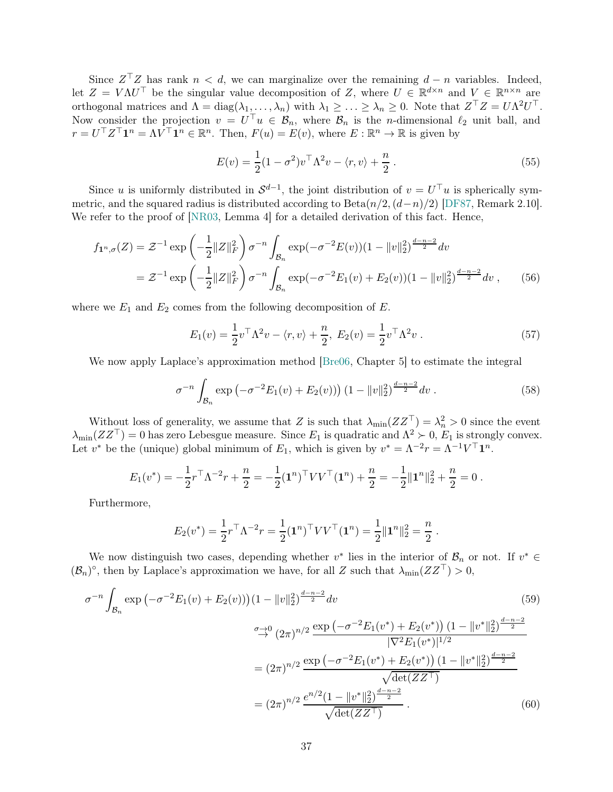Since  $Z^{\top}Z$  has rank  $n < d$ , we can marginalize over the remaining  $d - n$  variables. Indeed, let  $Z = V \Lambda U^{\top}$  be the singular value decomposition of Z, where  $U \in \mathbb{R}^{d \times n}$  and  $V \in \mathbb{R}^{n \times n}$  are orthogonal matrices and  $\Lambda = \text{diag}(\lambda_1, \ldots, \lambda_n)$  with  $\lambda_1 \geq \ldots \geq \lambda_n \geq 0$ . Note that  $Z^{\top}Z = U\Lambda^2 U^{\top}$ . Now consider the projection  $v = U^{\top}u \in \mathcal{B}_n$ , where  $\mathcal{B}_n$  is the *n*-dimensional  $\ell_2$  unit ball, and  $r = U^{\top} Z^{\top} \mathbf{1}^n = \Lambda V^{\top} \mathbf{1}^n \in \mathbb{R}^n$ . Then,  $F(u) = E(v)$ , where  $E : \mathbb{R}^n \to \mathbb{R}$  is given by

<span id="page-36-1"></span>
$$
E(v) = \frac{1}{2}(1 - \sigma^2)v^\top \Lambda^2 v - \langle r, v \rangle + \frac{n}{2}.
$$
\n(55)

Since u is uniformly distributed in  $\mathcal{S}^{d-1}$ , the joint distribution of  $v = U^{\top}u$  is spherically symmetric, and the squared radius is distributed according to  $Beta(n/2,(d-n)/2)$  [\[DF87,](#page-40-14) Remark 2.10]. We refer to the proof of [\[NR03,](#page-44-14) Lemma 4] for a detailed derivation of this fact. Hence,

$$
f_{\mathbf{1}^n,\sigma}(Z) = \mathcal{Z}^{-1} \exp\left(-\frac{1}{2}||Z||_F^2\right) \sigma^{-n} \int_{\mathcal{B}_n} \exp(-\sigma^{-2}E(v))(1-||v||_2^2)^{\frac{d-n-2}{2}} dv
$$
  
=  $\mathcal{Z}^{-1} \exp\left(-\frac{1}{2}||Z||_F^2\right) \sigma^{-n} \int_{\mathcal{B}_n} \exp(-\sigma^{-2}E_1(v) + E_2(v))(1-||v||_2^2)^{\frac{d-n-2}{2}} dv,$  (56)

where we  $E_1$  and  $E_2$  comes from the following decomposition of  $E$ .

<span id="page-36-0"></span>
$$
E_1(v) = \frac{1}{2}v^{\top}\Lambda^2 v - \langle r, v \rangle + \frac{n}{2}, \ E_2(v) = \frac{1}{2}v^{\top}\Lambda^2 v \ . \tag{57}
$$

We now apply Laplace's approximation method [\[Bre06,](#page-40-15) Chapter 5] to estimate the integral

$$
\sigma^{-n} \int_{\mathcal{B}_n} \exp\left(-\sigma^{-2} E_1(v) + E_2(v)\right) \left(1 - \|v\|_2^2\right)^{\frac{d-n-2}{2}} dv \,. \tag{58}
$$

Without loss of generality, we assume that Z is such that  $\lambda_{\min}(ZZ^{\top}) = \lambda_n^2 > 0$  since the event  $\lambda_{\min}(ZZ^{\top}) = 0$  has zero Lebesgue measure. Since  $E_1$  is quadratic and  $\Lambda^2 \succ 0$ ,  $E_1$  is strongly convex. Let  $v^*$  be the (unique) global minimum of  $E_1$ , which is given by  $v^* = \Lambda^{-2}r = \Lambda^{-1}V^\top \mathbf{1}^n$ .

$$
E_1(v^*) = -\frac{1}{2}r^\top \Lambda^{-2}r + \frac{n}{2} = -\frac{1}{2}(\mathbf{1}^n)^\top V V^\top (\mathbf{1}^n) + \frac{n}{2} = -\frac{1}{2} \|\mathbf{1}^n\|_2^2 + \frac{n}{2} = 0.
$$

Furthermore,

$$
E_2(v^*) = \frac{1}{2}r^\top \Lambda^{-2}r = \frac{1}{2}(\mathbf{1}^n)^\top V V^\top (\mathbf{1}^n) = \frac{1}{2} ||\mathbf{1}^n||_2^2 = \frac{n}{2}.
$$

We now distinguish two cases, depending whether  $v^*$  lies in the interior of  $\mathcal{B}_n$  or not. If  $v^* \in$  $(\mathcal{B}_n)^\circ$ , then by Laplace's approximation we have, for all Z such that  $\lambda_{\min}(ZZ^\top) > 0$ ,

$$
\sigma^{-n} \int_{\mathcal{B}_n} \exp\left(-\sigma^{-2} E_1(v) + E_2(v)\right) \left(1 - \|v\|_2^2\right)^{\frac{d-n-2}{2}} dv \tag{59}
$$
\n
$$
\sigma \to 0 \quad (2\pi)^{n/2} \frac{\exp\left(-\sigma^{-2} E_1(v^*) + E_2(v^*)\right) \left(1 - \|v^*\|_2^2\right)^{\frac{d-n-2}{2}}}{|\nabla^2 E_1(v^*)|^{1/2}}
$$
\n
$$
= (2\pi)^{n/2} \frac{\exp\left(-\sigma^{-2} E_1(v^*) + E_2(v^*)\right) \left(1 - \|v^*\|_2^2\right)^{\frac{d-n-2}{2}}}{\sqrt{\det(ZZ^\top)}}
$$
\n
$$
= (2\pi)^{n/2} \frac{e^{n/2} \left(1 - \|v^*\|_2^2\right)^{\frac{d-n-2}{2}}}{\sqrt{\det(ZZ^\top)}} \tag{60}
$$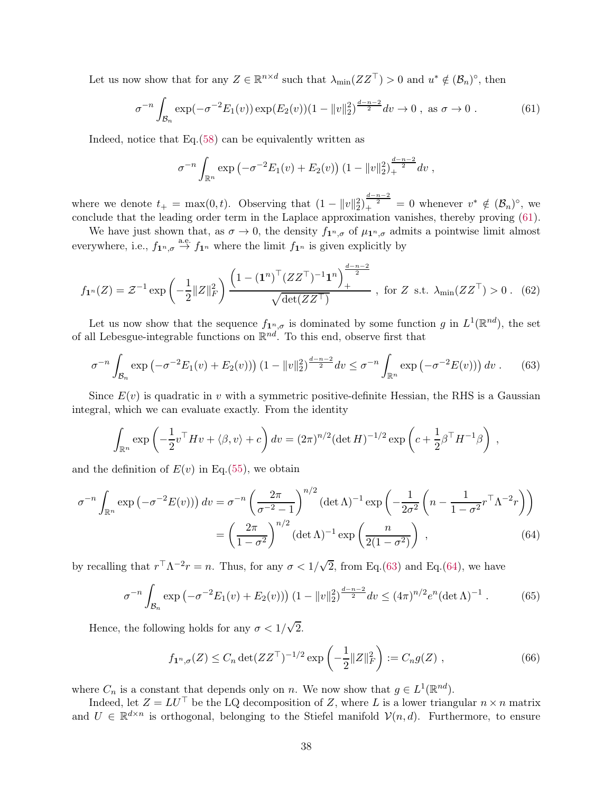Let us now show that for any  $Z \in \mathbb{R}^{n \times d}$  such that  $\lambda_{\min}(ZZ^{\top}) > 0$  and  $u^* \notin (\mathcal{B}_n)^\circ$ , then

$$
\sigma^{-n} \int_{\mathcal{B}_n} \exp(-\sigma^{-2} E_1(v)) \exp(E_2(v)) (1 - \|v\|_2^2)^{\frac{d-n-2}{2}} dv \to 0 \text{, as } \sigma \to 0. \tag{61}
$$

Indeed, notice that Eq.[\(58\)](#page-36-0) can be equivalently written as

<span id="page-37-1"></span><span id="page-37-0"></span>
$$
\sigma^{-n} \int_{\mathbb{R}^n} \exp \left(-\sigma^{-2} E_1(v) + E_2(v)\right) \left(1 - \|v\|_2^2\right)_+^{\frac{d-n-2}{2}} dv,
$$

where we denote  $t_+ = \max(0, t)$ . Observing that  $(1 - ||v||_2^2)^{\frac{d-n-2}{2}} = 0$  whenever  $v^* \notin (\mathcal{B}_n)^\circ$ , we conclude that the leading order term in the Laplace approximation vanishes, thereby proving [\(61\)](#page-37-0).

We have just shown that, as  $\sigma \to 0$ , the density  $f_{1^n,\sigma}$  of  $\mu_{1^n,\sigma}$  admits a pointwise limit almost everywhere, i.e.,  $f_{\mathbf{1}^n, \sigma} \stackrel{\text{a.e.}}{\rightarrow} f_{\mathbf{1}^n}$  where the limit  $f_{\mathbf{1}^n}$  is given explicitly by

$$
f_{\mathbf{1}^n}(Z) = \mathcal{Z}^{-1} \exp\left(-\frac{1}{2}||Z||_F^2\right) \frac{\left(1 - (\mathbf{1}^n)^\top (ZZ^\top)^{-1} \mathbf{1}^n\right)_+^{\frac{d-n-2}{2}}}{\sqrt{\det(ZZ^\top)}} , \text{ for } Z \text{ s.t. } \lambda_{\min}(ZZ^\top) > 0 \,. \tag{62}
$$

Let us now show that the sequence  $f_{\mathbf{1}^n,\sigma}$  is dominated by some function g in  $L^1(\mathbb{R}^{nd})$ , the set of all Lebesgue-integrable functions on  $\mathbb{R}^{nd}$ . To this end, observe first that

$$
\sigma^{-n} \int_{\mathcal{B}_n} \exp \left( -\sigma^{-2} E_1(v) + E_2(v) \right) \left( 1 - \|v\|_2^2 \right)^{\frac{d-n-2}{2}} dv \le \sigma^{-n} \int_{\mathbb{R}^n} \exp \left( -\sigma^{-2} E(v) \right) dv . \tag{63}
$$

Since  $E(v)$  is quadratic in v with a symmetric positive-definite Hessian, the RHS is a Gaussian integral, which we can evaluate exactly. From the identity

$$
\int_{\mathbb{R}^n} \exp\left(-\frac{1}{2}v^\top H v + \langle \beta, v \rangle + c\right) dv = (2\pi)^{n/2} (\det H)^{-1/2} \exp\left(c + \frac{1}{2}\beta^\top H^{-1}\beta\right) ,
$$

and the definition of  $E(v)$  in Eq.[\(55\)](#page-36-1), we obtain

$$
\sigma^{-n} \int_{\mathbb{R}^n} \exp\left(-\sigma^{-2} E(v)\right) dv = \sigma^{-n} \left(\frac{2\pi}{\sigma^{-2} - 1}\right)^{n/2} (\det \Lambda)^{-1} \exp\left(-\frac{1}{2\sigma^2} \left(n - \frac{1}{1 - \sigma^2} r^{\top} \Lambda^{-2} r\right)\right)
$$

$$
= \left(\frac{2\pi}{1 - \sigma^2}\right)^{n/2} (\det \Lambda)^{-1} \exp\left(\frac{n}{2(1 - \sigma^2)}\right) ,\tag{64}
$$

by recalling that  $r^{\top} \Lambda^{-2} r = n$ . Thus, for any  $\sigma < 1/\sqrt{2}$ , from Eq.[\(63\)](#page-37-1) and Eq.[\(64\)](#page-37-2), we have

$$
\sigma^{-n} \int_{\mathcal{B}_n} \exp \left( -\sigma^{-2} E_1(v) + E_2(v) \right) \left( 1 - \|v\|_2^2 \right)^{\frac{d-n-2}{2}} dv \le (4\pi)^{n/2} e^n (\det \Lambda)^{-1} . \tag{65}
$$

Hence, the following holds for any  $\sigma < 1/\sqrt{2}$ .

<span id="page-37-2"></span>
$$
f_{\mathbf{1}^n,\sigma}(Z) \le C_n \det(ZZ^\top)^{-1/2} \exp\left(-\frac{1}{2} \|Z\|_F^2\right) := C_n g(Z) , \qquad (66)
$$

where  $C_n$  is a constant that depends only on n. We now show that  $g \in L^1(\mathbb{R}^{nd})$ .

Indeed, let  $Z = LU^{\top}$  be the LQ decomposition of Z, where L is a lower triangular  $n \times n$  matrix and  $U \in \mathbb{R}^{d \times n}$  is orthogonal, belonging to the Stiefel manifold  $\mathcal{V}(n, d)$ . Furthermore, to ensure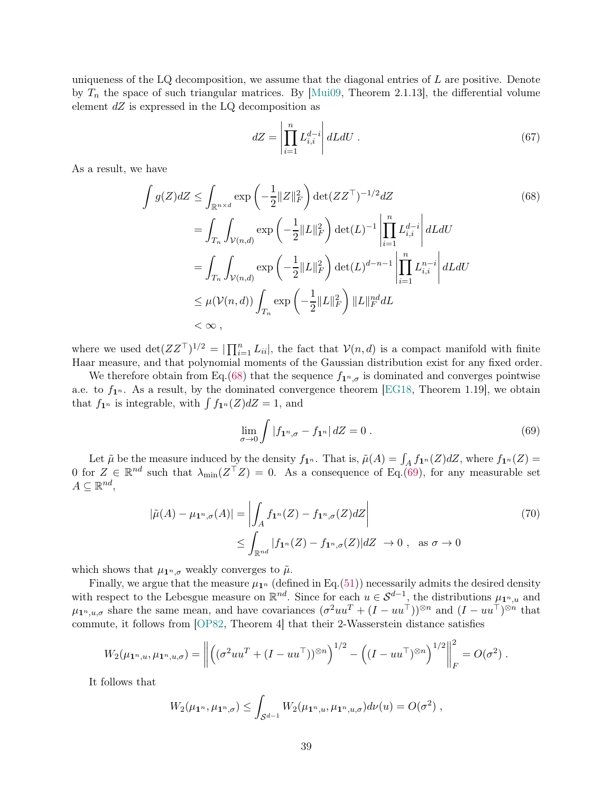uniqueness of the LQ decomposition, we assume that the diagonal entries of  $L$  are positive. Denote by  $T_n$  the space of such triangular matrices. By [\[Mui09,](#page-44-15) Theorem 2.1.13], the differential volume element  $dZ$  is expressed in the LQ decomposition as

<span id="page-38-0"></span>
$$
dZ = \left| \prod_{i=1}^{n} L_{i,i}^{d-i} \right| dL dU \tag{67}
$$

As a result, we have

$$
\int g(Z)dZ \leq \int_{\mathbb{R}^{n \times d}} \exp\left(-\frac{1}{2}||Z||_F^2\right) \det(ZZ^\top)^{-1/2} dZ \tag{68}
$$
\n
$$
= \int_{T_n} \int_{\mathcal{V}(n,d)} \exp\left(-\frac{1}{2}||L||_F^2\right) \det(L)^{-1} \left|\prod_{i=1}^n L_{i,i}^{d-i}\right| dL dU
$$
\n
$$
= \int_{T_n} \int_{\mathcal{V}(n,d)} \exp\left(-\frac{1}{2}||L||_F^2\right) \det(L)^{d-n-1} \left|\prod_{i=1}^n L_{i,i}^{n-i}\right| dL dU
$$
\n
$$
\leq \mu(\mathcal{V}(n,d)) \int_{T_n} \exp\left(-\frac{1}{2}||L||_F^2\right) ||L||_F^{nd} dL
$$
\n
$$
< \infty ,
$$

where we used  $\det(ZZ^{\top})^{1/2} = |\prod_{i=1}^n L_{ii}|$ , the fact that  $\mathcal{V}(n,d)$  is a compact manifold with finite Haar measure, and that polynomial moments of the Gaussian distribution exist for any fixed order.

We therefore obtain from Eq.[\(68\)](#page-38-0) that the sequence  $f_{1^n,\sigma}$  is dominated and converges pointwise a.e. to  $f_{1^n}$ . As a result, by the dominated convergence theorem [\[EG18,](#page-41-13) Theorem 1.19], we obtain that  $f_{\mathbf{1}^n}$  is integrable, with  $\int f_{\mathbf{1}^n}(Z)dZ = 1$ , and

<span id="page-38-1"></span>
$$
\lim_{\sigma \to 0} \int |f_1^{n}, \sigma - f_1^{n}| \, dZ = 0 \, . \tag{69}
$$

Let  $\tilde{\mu}$  be the measure induced by the density  $f_{\mathbf{1}^n}$ . That is,  $\tilde{\mu}(A) = \int_A f_{\mathbf{1}^n}(Z) dZ$ , where  $f_{\mathbf{1}^n}(Z) =$ 0 for  $Z \in \mathbb{R}^{nd}$  such that  $\lambda_{\min}(Z^{\top}Z) = 0$ . As a consequence of Eq.[\(69\)](#page-38-1), for any measurable set  $A \subseteq \mathbb{R}^{nd}$ ,

$$
|\tilde{\mu}(A) - \mu_{\mathbf{1}^n, \sigma}(A)| = \left| \int_A f_{\mathbf{1}^n}(Z) - f_{\mathbf{1}^n, \sigma}(Z) dZ \right|
$$
  
 
$$
\leq \int_{\mathbb{R}^{nd}} |f_{\mathbf{1}^n}(Z) - f_{\mathbf{1}^n, \sigma}(Z)| dZ \to 0 , \text{ as } \sigma \to 0
$$
 (70)

which shows that  $\mu_{\mathbf{1}^n,\sigma}$  weakly converges to  $\tilde{\mu}$ .

Finally, we argue that the measure  $\mu_{1^n}$  (defined in Eq.[\(51\)](#page-35-0)) necessarily admits the desired density with respect to the Lebesgue measure on  $\mathbb{R}^{nd}$ . Since for each  $u \in \mathcal{S}^{d-1}$ , the distributions  $\mu_{1,n,u}$  and  $\mu_{\mathbf{1}^n, u, \sigma}$  share the same mean, and have covariances  $(\sigma^2 u u^T + (I - u u^T))^{\otimes n}$  and  $(I - u u^T)^{\otimes n}$  that commute, it follows from [\[OP82,](#page-44-16) Theorem 4] that their 2-Wasserstein distance satisfies

$$
W_2(\mu_{\mathbf{1}^n, u}, \mu_{\mathbf{1}^n, u, \sigma}) = \left\| \left( (\sigma^2 u u^T + (I - u u^\top))^{\otimes n} \right)^{1/2} - \left( (I - u u^\top)^{\otimes n} \right)^{1/2} \right\|_F^2 = O(\sigma^2) .
$$

It follows that

$$
W_2(\mu_{\mathbf{1}^n}, \mu_{\mathbf{1}^n, \sigma}) \leq \int_{\mathcal{S}^{d-1}} W_2(\mu_{\mathbf{1}^n, u}, \mu_{\mathbf{1}^n, u, \sigma}) d\nu(u) = O(\sigma^2) ,
$$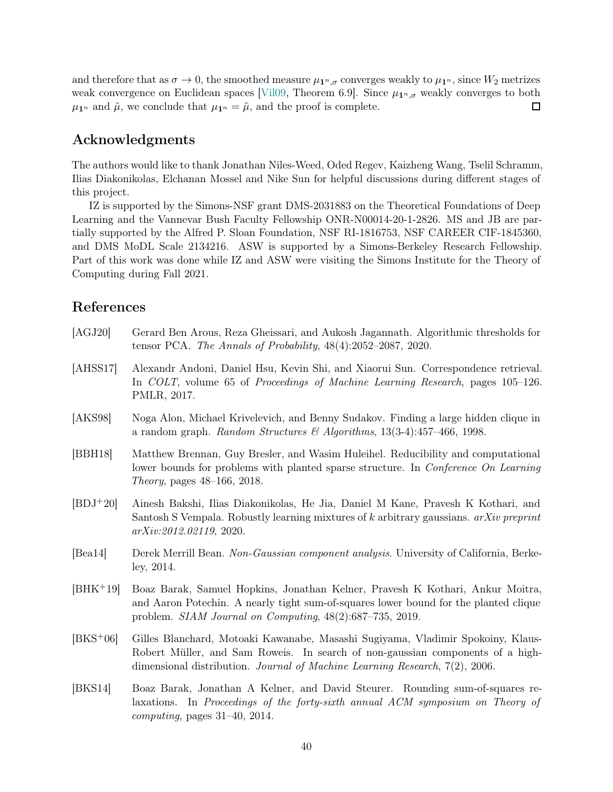and therefore that as  $\sigma \to 0$ , the smoothed measure  $\mu_{1^n,\sigma}$  converges weakly to  $\mu_{1^n}$ , since  $W_2$  metrizes weak convergence on Euclidean spaces [\[Vil09,](#page-45-14) Theorem 6.9]. Since  $\mu_{1^n,\sigma}$  weakly converges to both  $\Box$  $\mu_{\mathbf{1}^n}$  and  $\tilde{\mu}$ , we conclude that  $\mu_{\mathbf{1}^n} = \tilde{\mu}$ , and the proof is complete.

## Acknowledgments

The authors would like to thank Jonathan Niles-Weed, Oded Regev, Kaizheng Wang, Tselil Schramm, Ilias Diakonikolas, Elchanan Mossel and Nike Sun for helpful discussions during different stages of this project.

IZ is supported by the Simons-NSF grant DMS-2031883 on the Theoretical Foundations of Deep Learning and the Vannevar Bush Faculty Fellowship ONR-N00014-20-1-2826. MS and JB are partially supported by the Alfred P. Sloan Foundation, NSF RI-1816753, NSF CAREER CIF-1845360, and DMS MoDL Scale 2134216. ASW is supported by a Simons-Berkeley Research Fellowship. Part of this work was done while IZ and ASW were visiting the Simons Institute for the Theory of Computing during Fall 2021.

## References

<span id="page-39-8"></span><span id="page-39-7"></span><span id="page-39-6"></span><span id="page-39-5"></span><span id="page-39-4"></span><span id="page-39-3"></span><span id="page-39-2"></span><span id="page-39-1"></span><span id="page-39-0"></span>

| [AGJ20]               | Gerard Ben Arous, Reza Gheissari, and Aukosh Jagannath. Algorithmic thresholds for<br>tensor PCA. The Annals of Probability, 48(4):2052-2087, 2020.                                                                                                 |
|-----------------------|-----------------------------------------------------------------------------------------------------------------------------------------------------------------------------------------------------------------------------------------------------|
| [A <sub>H</sub> SS17] | Alexandr Andoni, Daniel Hsu, Kevin Shi, and Xiaorui Sun. Correspondence retrieval.<br>In COLT, volume 65 of Proceedings of Machine Learning Research, pages 105–126.<br>PMLR, 2017.                                                                 |
| [AKS98]               | Noga Alon, Michael Krivelevich, and Benny Sudakov. Finding a large hidden clique in<br>a random graph. Random Structures & Algorithms, $13(3-4):457-466$ , 1998.                                                                                    |
| [BBH18]               | Matthew Brennan, Guy Bresler, and Wasim Huleihel. Reducibility and computational<br>lower bounds for problems with planted sparse structure. In Conference On Learning<br><i>Theory</i> , pages 48–166, 2018.                                       |
| $[BDJ+20]$            | Ainesh Bakshi, Ilias Diakonikolas, He Jia, Daniel M Kane, Pravesh K Kothari, and<br>Santosh S Vempala. Robustly learning mixtures of k arbitrary gaussians. $arXiv$ preprint<br>arXiv:2012.02119, 2020.                                             |
| [Bea14]               | Derek Merrill Bean. Non-Gaussian component analysis. University of California, Berke-<br>ley, 2014.                                                                                                                                                 |
| $[BHK+19]$            | Boaz Barak, Samuel Hopkins, Jonathan Kelner, Pravesh K Kothari, Ankur Moitra,<br>and Aaron Potechin. A nearly tight sum-of-squares lower bound for the planted clique<br>problem. $SIAM\ Journal\ on\ Computing, 48(2):687-735, 2019.$              |
| $[BKS+06]$            | Gilles Blanchard, Motoaki Kawanabe, Masashi Sugiyama, Vladimir Spokoiny, Klaus-<br>Robert Müller, and Sam Roweis. In search of non-gaussian components of a high-<br>dimensional distribution. Journal of Machine Learning Research, $7(2)$ , 2006. |
| [BKS14]               | Boaz Barak, Jonathan A Kelner, and David Steurer. Rounding sum-of-squares re-<br>laxations. In Proceedings of the forty-sixth annual ACM symposium on Theory of<br><i>computing</i> , pages $31-40$ , $2014$ .                                      |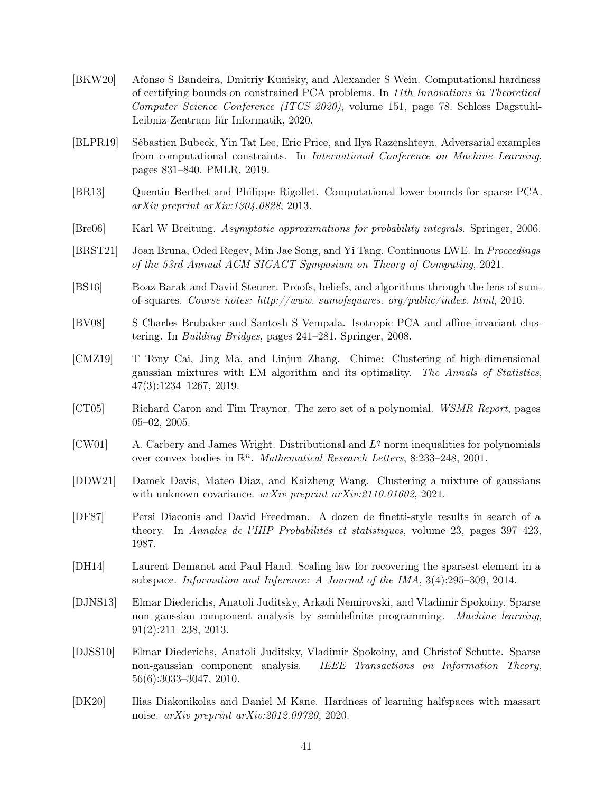- <span id="page-40-8"></span>[BKW20] Afonso S Bandeira, Dmitriy Kunisky, and Alexander S Wein. Computational hardness of certifying bounds on constrained PCA problems. In 11th Innovations in Theoretical Computer Science Conference (ITCS 2020), volume 151, page 78. Schloss Dagstuhl-Leibniz-Zentrum für Informatik, 2020.
- <span id="page-40-5"></span>[BLPR19] Sébastien Bubeck, Yin Tat Lee, Eric Price, and Ilya Razenshteyn. Adversarial examples from computational constraints. In International Conference on Machine Learning, pages 831–840. PMLR, 2019.
- <span id="page-40-0"></span>[BR13] Quentin Berthet and Philippe Rigollet. Computational lower bounds for sparse PCA. arXiv preprint arXiv:1304.0828, 2013.
- <span id="page-40-15"></span>[Bre06] Karl W Breitung. Asymptotic approximations for probability integrals. Springer, 2006.
- <span id="page-40-2"></span>[BRST21] Joan Bruna, Oded Regev, Min Jae Song, and Yi Tang. Continuous LWE. In Proceedings of the 53rd Annual ACM SIGACT Symposium on Theory of Computing, 2021.
- <span id="page-40-11"></span>[BS16] Boaz Barak and David Steurer. Proofs, beliefs, and algorithms through the lens of sumof-squares. Course notes: http://www. sumofsquares. org/public/index. html, 2016.
- <span id="page-40-9"></span>[BV08] S Charles Brubaker and Santosh S Vempala. Isotropic PCA and affine-invariant clustering. In Building Bridges, pages 241–281. Springer, 2008.
- <span id="page-40-10"></span>[CMZ19] T Tony Cai, Jing Ma, and Linjun Zhang. Chime: Clustering of high-dimensional gaussian mixtures with EM algorithm and its optimality. The Annals of Statistics, 47(3):1234–1267, 2019.
- <span id="page-40-13"></span>[CT05] Richard Caron and Tim Traynor. The zero set of a polynomial. WSMR Report, pages 05–02, 2005.
- <span id="page-40-12"></span>[CW01] A. Carbery and James Wright. Distributional and  $L<sup>q</sup>$  norm inequalities for polynomials over convex bodies in  $\mathbb{R}^n$ . *Mathematical Research Letters*, 8:233-248, 2001.
- <span id="page-40-1"></span>[DDW21] Damek Davis, Mateo Diaz, and Kaizheng Wang. Clustering a mixture of gaussians with unknown covariance. arXiv preprint arXiv:2110.01602, 2021.
- <span id="page-40-14"></span>[DF87] Persi Diaconis and David Freedman. A dozen de finetti-style results in search of a theory. In Annales de l'IHP Probabilités et statistiques, volume 23, pages 397–423, 1987.
- <span id="page-40-7"></span>[DH14] Laurent Demanet and Paul Hand. Scaling law for recovering the sparsest element in a subspace. Information and Inference: A Journal of the IMA, 3(4):295–309, 2014.
- <span id="page-40-4"></span>[DJNS13] Elmar Diederichs, Anatoli Juditsky, Arkadi Nemirovski, and Vladimir Spokoiny. Sparse non gaussian component analysis by semidefinite programming. Machine learning, 91(2):211–238, 2013.
- <span id="page-40-3"></span>[DJSS10] Elmar Diederichs, Anatoli Juditsky, Vladimir Spokoiny, and Christof Schutte. Sparse non-gaussian component analysis. IEEE Transactions on Information Theory, 56(6):3033–3047, 2010.
- <span id="page-40-6"></span>[DK20] Ilias Diakonikolas and Daniel M Kane. Hardness of learning halfspaces with massart noise. arXiv preprint arXiv:2012.09720, 2020.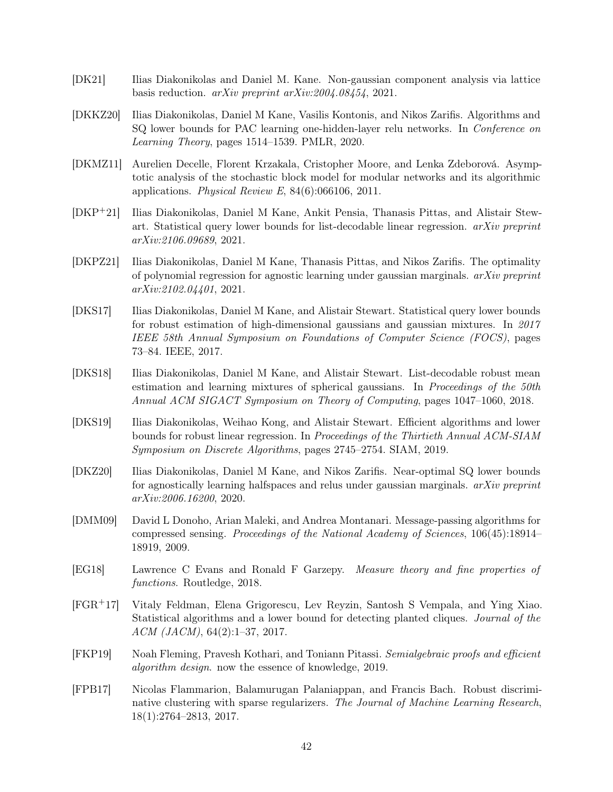- <span id="page-41-10"></span>[DK21] Ilias Diakonikolas and Daniel M. Kane. Non-gaussian component analysis via lattice basis reduction. arXiv preprint arXiv:2004.08454, 2021.
- <span id="page-41-9"></span>[DKKZ20] Ilias Diakonikolas, Daniel M Kane, Vasilis Kontonis, and Nikos Zarifis. Algorithms and SQ lower bounds for PAC learning one-hidden-layer relu networks. In Conference on Learning Theory, pages 1514–1539. PMLR, 2020.
- <span id="page-41-0"></span>[DKMZ11] Aurelien Decelle, Florent Krzakala, Cristopher Moore, and Lenka Zdeborová. Asymptotic analysis of the stochastic block model for modular networks and its algorithmic applications. Physical Review E,  $84(6)$ :066106, 2011.
- <span id="page-41-6"></span>[DKP+21] Ilias Diakonikolas, Daniel M Kane, Ankit Pensia, Thanasis Pittas, and Alistair Stewart. Statistical query lower bounds for list-decodable linear regression.  $arXiv$  preprint arXiv:2106.09689, 2021.
- <span id="page-41-8"></span>[DKPZ21] Ilias Diakonikolas, Daniel M Kane, Thanasis Pittas, and Nikos Zarifis. The optimality of polynomial regression for agnostic learning under gaussian marginals.  $arXiv$  preprint arXiv:2102.04401, 2021.
- <span id="page-41-3"></span>[DKS17] Ilias Diakonikolas, Daniel M Kane, and Alistair Stewart. Statistical query lower bounds for robust estimation of high-dimensional gaussians and gaussian mixtures. In 2017 IEEE 58th Annual Symposium on Foundations of Computer Science (FOCS), pages 73–84. IEEE, 2017.
- <span id="page-41-4"></span>[DKS18] Ilias Diakonikolas, Daniel M Kane, and Alistair Stewart. List-decodable robust mean estimation and learning mixtures of spherical gaussians. In Proceedings of the 50th Annual ACM SIGACT Symposium on Theory of Computing, pages 1047–1060, 2018.
- <span id="page-41-5"></span>[DKS19] Ilias Diakonikolas, Weihao Kong, and Alistair Stewart. Efficient algorithms and lower bounds for robust linear regression. In Proceedings of the Thirtieth Annual ACM-SIAM Symposium on Discrete Algorithms, pages 2745–2754. SIAM, 2019.
- <span id="page-41-7"></span>[DKZ20] Ilias Diakonikolas, Daniel M Kane, and Nikos Zarifis. Near-optimal SQ lower bounds for agnostically learning halfspaces and relus under gaussian marginals.  $arXiv$  preprint arXiv:2006.16200, 2020.
- <span id="page-41-2"></span>[DMM09] David L Donoho, Arian Maleki, and Andrea Montanari. Message-passing algorithms for compressed sensing. Proceedings of the National Academy of Sciences, 106(45):18914– 18919, 2009.
- <span id="page-41-13"></span>[EG18] Lawrence C Evans and Ronald F Garzepy. Measure theory and fine properties of functions. Routledge, 2018.
- <span id="page-41-1"></span>[FGR+17] Vitaly Feldman, Elena Grigorescu, Lev Reyzin, Santosh S Vempala, and Ying Xiao. Statistical algorithms and a lower bound for detecting planted cliques. Journal of the ACM (JACM), 64(2):1–37, 2017.
- <span id="page-41-12"></span>[FKP19] Noah Fleming, Pravesh Kothari, and Toniann Pitassi. Semialgebraic proofs and efficient algorithm design. now the essence of knowledge, 2019.
- <span id="page-41-11"></span>[FPB17] Nicolas Flammarion, Balamurugan Palaniappan, and Francis Bach. Robust discriminative clustering with sparse regularizers. The Journal of Machine Learning Research, 18(1):2764–2813, 2017.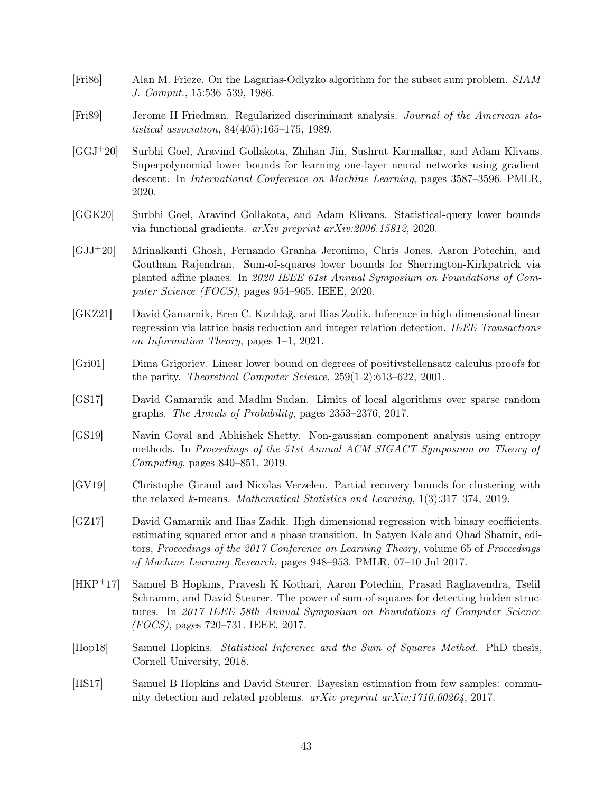- <span id="page-42-13"></span>[Fri86] Alan M. Frieze. On the Lagarias-Odlyzko algorithm for the subset sum problem. SIAM J. Comput., 15:536–539, 1986.
- <span id="page-42-11"></span>[Fri89] Jerome H Friedman. Regularized discriminant analysis. Journal of the American statistical association, 84(405):165–175, 1989.
- <span id="page-42-10"></span>[GGJ+20] Surbhi Goel, Aravind Gollakota, Zhihan Jin, Sushrut Karmalkar, and Adam Klivans. Superpolynomial lower bounds for learning one-layer neural networks using gradient descent. In International Conference on Machine Learning, pages 3587–3596. PMLR, 2020.
- <span id="page-42-9"></span>[GGK20] Surbhi Goel, Aravind Gollakota, and Adam Klivans. Statistical-query lower bounds via functional gradients. arXiv preprint arXiv:2006.15812, 2020.
- <span id="page-42-6"></span>[GJJ+20] Mrinalkanti Ghosh, Fernando Granha Jeronimo, Chris Jones, Aaron Potechin, and Goutham Rajendran. Sum-of-squares lower bounds for Sherrington-Kirkpatrick via planted affine planes. In 2020 IEEE 61st Annual Symposium on Foundations of Computer Science (FOCS), pages 954–965. IEEE, 2020.
- <span id="page-42-7"></span>[GKZ21] David Gamarnik, Eren C. Kızıldağ, and Ilias Zadik. Inference in high-dimensional linear regression via lattice basis reduction and integer relation detection. IEEE Transactions on Information Theory, pages 1–1, 2021.
- <span id="page-42-5"></span>[Gri01] Dima Grigoriev. Linear lower bound on degrees of positivstellensatz calculus proofs for the parity. Theoretical Computer Science, 259(1-2):613–622, 2001.
- <span id="page-42-3"></span>[GS17] David Gamarnik and Madhu Sudan. Limits of local algorithms over sparse random graphs. The Annals of Probability, pages 2353–2376, 2017.
- <span id="page-42-8"></span>[GS19] Navin Goyal and Abhishek Shetty. Non-gaussian component analysis using entropy methods. In Proceedings of the 51st Annual ACM SIGACT Symposium on Theory of Computing, pages 840–851, 2019.
- <span id="page-42-12"></span>[GV19] Christophe Giraud and Nicolas Verzelen. Partial recovery bounds for clustering with the relaxed k-means. Mathematical Statistics and Learning, 1(3):317–374, 2019.
- <span id="page-42-4"></span>[GZ17] David Gamarnik and Ilias Zadik. High dimensional regression with binary coefficients. estimating squared error and a phase transition. In Satyen Kale and Ohad Shamir, editors, Proceedings of the 2017 Conference on Learning Theory, volume 65 of Proceedings of Machine Learning Research, pages 948–953. PMLR, 07–10 Jul 2017.
- <span id="page-42-1"></span>[HKP+17] Samuel B Hopkins, Pravesh K Kothari, Aaron Potechin, Prasad Raghavendra, Tselil Schramm, and David Steurer. The power of sum-of-squares for detecting hidden structures. In 2017 IEEE 58th Annual Symposium on Foundations of Computer Science (FOCS), pages 720–731. IEEE, 2017.
- <span id="page-42-2"></span>[Hop18] Samuel Hopkins. Statistical Inference and the Sum of Squares Method. PhD thesis, Cornell University, 2018.
- <span id="page-42-0"></span>[HS17] Samuel B Hopkins and David Steurer. Bayesian estimation from few samples: community detection and related problems. arXiv preprint arXiv:1710.00264, 2017.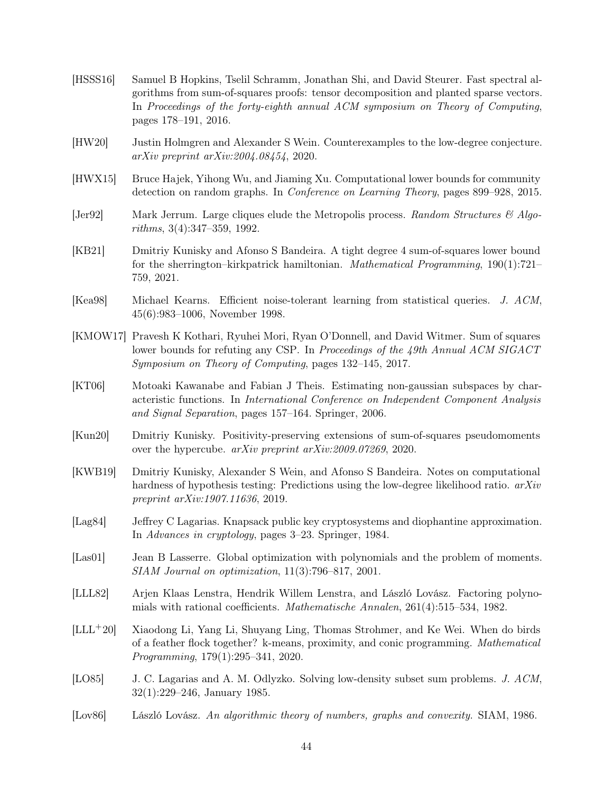- <span id="page-43-9"></span>[HSSS16] Samuel B Hopkins, Tselil Schramm, Jonathan Shi, and David Steurer. Fast spectral algorithms from sum-of-squares proofs: tensor decomposition and planted sparse vectors. In Proceedings of the forty-eighth annual ACM symposium on Theory of Computing, pages 178–191, 2016.
- <span id="page-43-13"></span>[HW20] Justin Holmgren and Alexander S Wein. Counterexamples to the low-degree conjecture. arXiv preprint arXiv:2004.08454, 2020.
- <span id="page-43-7"></span>[HWX15] Bruce Hajek, Yihong Wu, and Jiaming Xu. Computational lower bounds for community detection on random graphs. In Conference on Learning Theory, pages 899–928, 2015.
- <span id="page-43-0"></span>[Jer92] Mark Jerrum. Large cliques elude the Metropolis process. Random Structures  $\mathcal{C}$  Algorithms, 3(4):347–359, 1992.
- <span id="page-43-4"></span>[KB21] Dmitriy Kunisky and Afonso S Bandeira. A tight degree 4 sum-of-squares lower bound for the sherrington–kirkpatrick hamiltonian. Mathematical Programming, 190(1):721– 759, 2021.
- <span id="page-43-2"></span>[Kea98] Michael Kearns. Efficient noise-tolerant learning from statistical queries. J. ACM, 45(6):983–1006, November 1998.
- <span id="page-43-1"></span>[KMOW17] Pravesh K Kothari, Ryuhei Mori, Ryan O'Donnell, and David Witmer. Sum of squares lower bounds for refuting any CSP. In *Proceedings of the 49th Annual ACM SIGACT* Symposium on Theory of Computing, pages 132–145, 2017.
- <span id="page-43-8"></span>[KT06] Motoaki Kawanabe and Fabian J Theis. Estimating non-gaussian subspaces by characteristic functions. In International Conference on Independent Component Analysis and Signal Separation, pages 157–164. Springer, 2006.
- <span id="page-43-5"></span>[Kun20] Dmitriy Kunisky. Positivity-preserving extensions of sum-of-squares pseudomoments over the hypercube. arXiv preprint arXiv:2009.07269, 2020.
- <span id="page-43-12"></span>[KWB19] Dmitriy Kunisky, Alexander S Wein, and Afonso S Bandeira. Notes on computational hardness of hypothesis testing: Predictions using the low-degree likelihood ratio. arXiv preprint arXiv:1907.11636, 2019.
- <span id="page-43-15"></span>[Lag84] Jeffrey C Lagarias. Knapsack public key cryptosystems and diophantine approximation. In Advances in cryptology, pages 3–23. Springer, 1984.
- <span id="page-43-3"></span>[Las01] Jean B Lasserre. Global optimization with polynomials and the problem of moments. SIAM Journal on optimization, 11(3):796–817, 2001.
- <span id="page-43-6"></span>[LLL82] Arjen Klaas Lenstra, Hendrik Willem Lenstra, and László Lovász. Factoring polynomials with rational coefficients. Mathematische Annalen, 261(4):515–534, 1982.
- <span id="page-43-10"></span>[LLL+20] Xiaodong Li, Yang Li, Shuyang Ling, Thomas Strohmer, and Ke Wei. When do birds of a feather flock together? k-means, proximity, and conic programming. Mathematical Programming, 179(1):295–341, 2020.
- <span id="page-43-11"></span>[LO85] J. C. Lagarias and A. M. Odlyzko. Solving low-density subset sum problems. J. ACM, 32(1):229–246, January 1985.
- <span id="page-43-14"></span>[Lov86] László Lovász. An algorithmic theory of numbers, graphs and convexity. SIAM, 1986.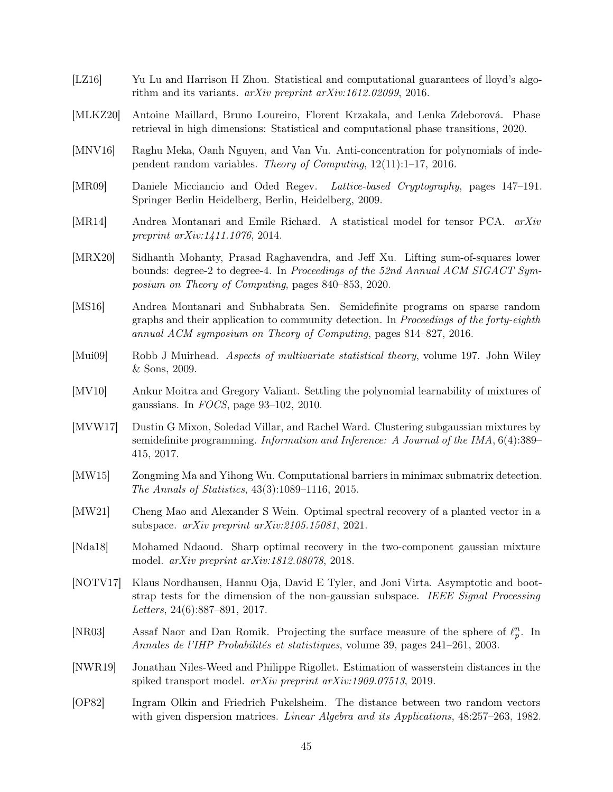- <span id="page-44-11"></span>[LZ16] Yu Lu and Harrison H Zhou. Statistical and computational guarantees of lloyd's algorithm and its variants. arXiv preprint arXiv:1612.02099, 2016.
- <span id="page-44-10"></span>[MLKZ20] Antoine Maillard, Bruno Loureiro, Florent Krzakala, and Lenka Zdeborová. Phase retrieval in high dimensions: Statistical and computational phase transitions, 2020.
- <span id="page-44-13"></span>[MNV16] Raghu Meka, Oanh Nguyen, and Van Vu. Anti-concentration for polynomials of independent random variables. Theory of Computing, 12(11):1–17, 2016.
- <span id="page-44-4"></span>[MR09] Daniele Micciancio and Oded Regev. Lattice-based Cryptography, pages 147–191. Springer Berlin Heidelberg, Berlin, Heidelberg, 2009.
- <span id="page-44-0"></span>[MR14] Andrea Montanari and Emile Richard. A statistical model for tensor PCA. arXiv preprint arXiv:1411.1076, 2014.
- <span id="page-44-3"></span>[MRX20] Sidhanth Mohanty, Prasad Raghavendra, and Jeff Xu. Lifting sum-of-squares lower bounds: degree-2 to degree-4. In Proceedings of the 52nd Annual ACM SIGACT Symposium on Theory of Computing, pages 840–853, 2020.
- <span id="page-44-2"></span>[MS16] Andrea Montanari and Subhabrata Sen. Semidefinite programs on sparse random graphs and their application to community detection. In Proceedings of the forty-eighth annual ACM symposium on Theory of Computing, pages 814–827, 2016.
- <span id="page-44-15"></span>[Mui09] Robb J Muirhead. Aspects of multivariate statistical theory, volume 197. John Wiley & Sons, 2009.
- <span id="page-44-8"></span>[MV10] Ankur Moitra and Gregory Valiant. Settling the polynomial learnability of mixtures of gaussians. In  $FOCS$ , page 93-102, 2010.
- <span id="page-44-9"></span>[MVW17] Dustin G Mixon, Soledad Villar, and Rachel Ward. Clustering subgaussian mixtures by semidefinite programming. Information and Inference: A Journal of the IMA, 6(4):389– 415, 2017.
- <span id="page-44-5"></span>[MW15] Zongming Ma and Yihong Wu. Computational barriers in minimax submatrix detection. The Annals of Statistics, 43(3):1089–1116, 2015.
- <span id="page-44-1"></span>[MW21] Cheng Mao and Alexander S Wein. Optimal spectral recovery of a planted vector in a subspace. arXiv preprint arXiv:2105.15081, 2021.
- <span id="page-44-12"></span>[Nda18] Mohamed Ndaoud. Sharp optimal recovery in the two-component gaussian mixture model. arXiv preprint arXiv:1812.08078, 2018.
- <span id="page-44-6"></span>[NOTV17] Klaus Nordhausen, Hannu Oja, David E Tyler, and Joni Virta. Asymptotic and bootstrap tests for the dimension of the non-gaussian subspace. IEEE Signal Processing Letters, 24(6):887–891, 2017.
- <span id="page-44-14"></span>[NR03] Assaf Naor and Dan Romik. Projecting the surface measure of the sphere of  $\ell_p^n$ . In Annales de l'IHP Probabilités et statistiques, volume 39, pages 241–261, 2003.
- <span id="page-44-7"></span>[NWR19] Jonathan Niles-Weed and Philippe Rigollet. Estimation of wasserstein distances in the spiked transport model. arXiv preprint arXiv:1909.07513, 2019.
- <span id="page-44-16"></span>[OP82] Ingram Olkin and Friedrich Pukelsheim. The distance between two random vectors with given dispersion matrices. *Linear Algebra and its Applications*,  $48:257-263$ ,  $1982$ .